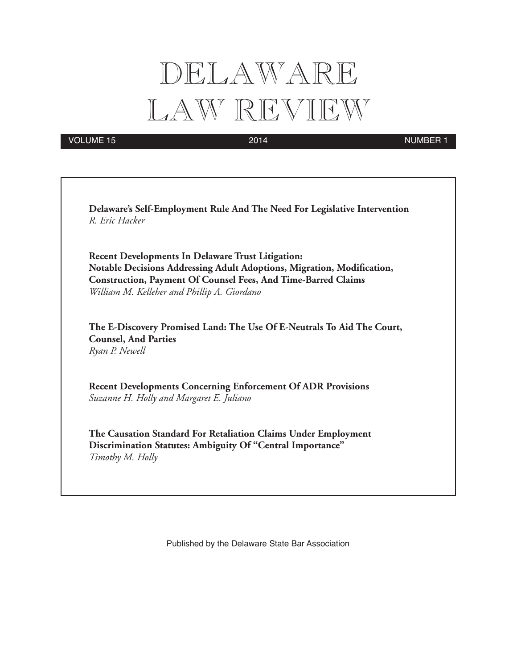# DELAWARE LAW REVIEW

VOLUME 15 2014 NUMBER 1



**Discrimination Statutes: Ambiguity Of "Central Importance"** *Timothy M. Holly*

Published by the Delaware State Bar Association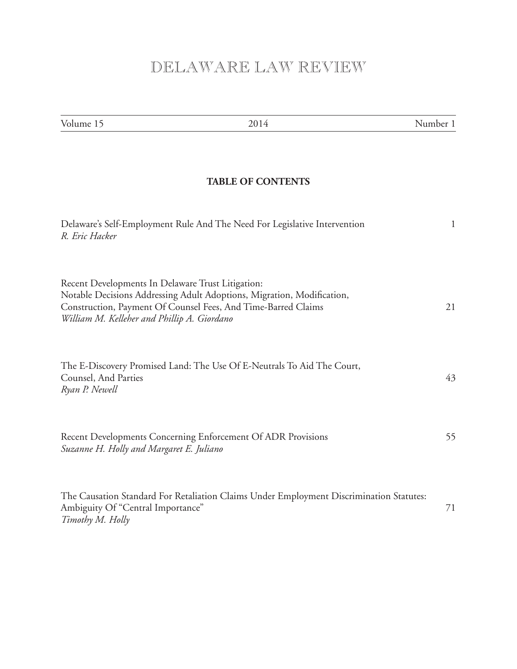# DELAWARE LAW REVIEW

| Volume 15                                                                                                | 2014                                                                                                                                    | Number 1     |
|----------------------------------------------------------------------------------------------------------|-----------------------------------------------------------------------------------------------------------------------------------------|--------------|
|                                                                                                          | <b>TABLE OF CONTENTS</b>                                                                                                                |              |
|                                                                                                          |                                                                                                                                         |              |
| R. Eric Hacker                                                                                           | Delaware's Self-Employment Rule And The Need For Legislative Intervention                                                               | $\mathbf{1}$ |
| Recent Developments In Delaware Trust Litigation:<br>William M. Kelleher and Phillip A. Giordano         | Notable Decisions Addressing Adult Adoptions, Migration, Modification,<br>Construction, Payment Of Counsel Fees, And Time-Barred Claims | 21           |
| Counsel, And Parties<br>Ryan P. Newell                                                                   | The E-Discovery Promised Land: The Use Of E-Neutrals To Aid The Court,                                                                  | 43           |
| Recent Developments Concerning Enforcement Of ADR Provisions<br>Suzanne H. Holly and Margaret E. Juliano |                                                                                                                                         | 55           |
| Ambiguity Of "Central Importance"<br>Timothy M. Holly                                                    | The Causation Standard For Retaliation Claims Under Employment Discrimination Statutes:                                                 | 71           |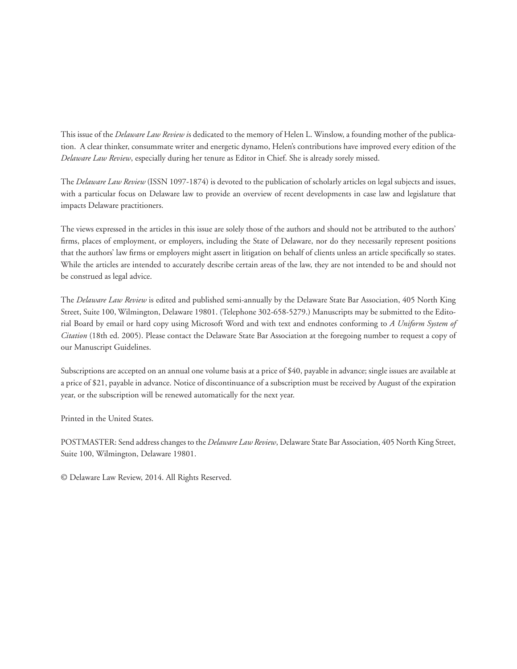This issue of the *Delaware Law Review i*s dedicated to the memory of Helen L. Winslow, a founding mother of the publication. A clear thinker, consummate writer and energetic dynamo, Helen's contributions have improved every edition of the *Delaware Law Review*, especially during her tenure as Editor in Chief. She is already sorely missed.

The *Delaware Law Review* (ISSN 1097-1874) is devoted to the publication of scholarly articles on legal subjects and issues, with a particular focus on Delaware law to provide an overview of recent developments in case law and legislature that impacts Delaware practitioners.

The views expressed in the articles in this issue are solely those of the authors and should not be attributed to the authors' firms, places of employment, or employers, including the State of Delaware, nor do they necessarily represent positions that the authors' law firms or employers might assert in litigation on behalf of clients unless an article specifically so states. While the articles are intended to accurately describe certain areas of the law, they are not intended to be and should not be construed as legal advice.

The *Delaware Law Review* is edited and published semi-annually by the Delaware State Bar Association, 405 North King Street, Suite 100, Wilmington, Delaware 19801. (Telephone 302-658-5279.) Manuscripts may be submitted to the Editorial Board by email or hard copy using Microsoft Word and with text and endnotes conforming to *A Uniform System of Citation* (18th ed. 2005). Please contact the Delaware State Bar Association at the foregoing number to request a copy of our Manuscript Guidelines.

Subscriptions are accepted on an annual one volume basis at a price of \$40, payable in advance; single issues are available at a price of \$21, payable in advance. Notice of discontinuance of a subscription must be received by August of the expiration year, or the subscription will be renewed automatically for the next year.

Printed in the United States.

POSTMASTER: Send address changes to the *Delaware Law Review*, Delaware State Bar Association, 405 North King Street, Suite 100, Wilmington, Delaware 19801.

© Delaware Law Review, 2014. All Rights Reserved.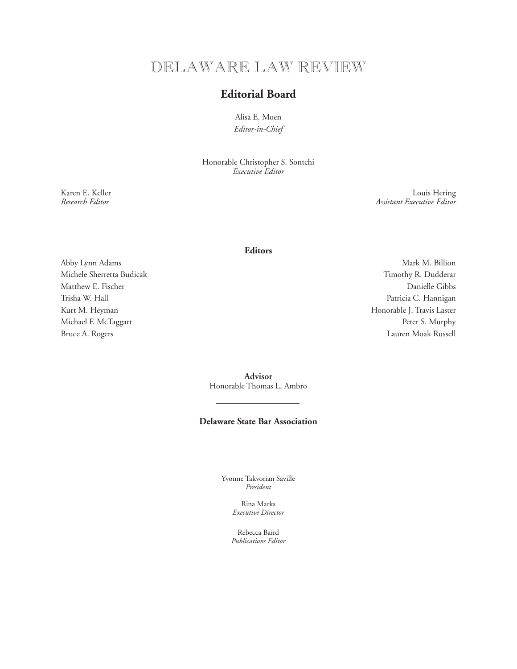# DELAWARE LAW REVIEW

### **Editorial Board**

Alisa E. Moen *Editor-in-Chief*

Honorable Christopher S. Sontchi *Executive Editor*

Karen E. Keller Louis Hering<br>Research Editor Louis Hering<br>Assistant Executive Editor *Research Editor Assistant Executive Editor*

**Editors**

Abby Lynn Adams Mark M. Billion Mark M. Billion Michele Sherretta Budicak Timothy R. Dudderar Matthew E. Fischer Danielle Gibbs Trisha W. Hall Patricia C. Hannigan Kurt M. Heyman Honorable J. Travis Laster Michael F. McTaggart Peter S. Murphy Bruce A. Rogers Lauren Moak Russell

> **Advisor** Honorable Thomas L. Ambro

#### **Delaware State Bar Association**

Yvonne Takvorian Saville *President*

> Rina Marks *Executive Director*

Rebecca Baird *Publications Editor*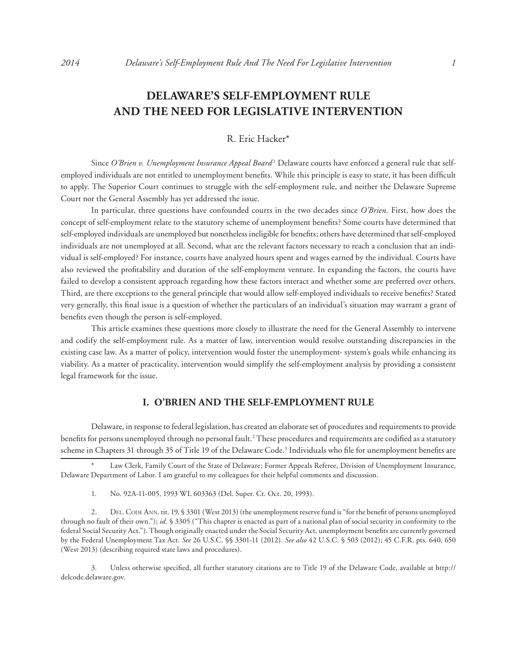## **DELAWARE'S SELF-EMPLOYMENT RULE AND THE NEED FOR LEGISLATIVE INTERVENTION**

#### R. Eric Hacker\*

Since *O'Brien v. Unemployment Insurance Appeal Board*<sup>1</sup> Delaware courts have enforced a general rule that selfemployed individuals are not entitled to unemployment benefits. While this principle is easy to state, it has been difficult to apply. The Superior Court continues to struggle with the self-employment rule, and neither the Delaware Supreme Court nor the General Assembly has yet addressed the issue.

In particular, three questions have confounded courts in the two decades since *O'Brien.* First, how does the concept of self-employment relate to the statutory scheme of unemployment benefits? Some courts have determined that self-employed individuals are unemployed but nonetheless ineligible for benefits; others have determined that self-employed individuals are not unemployed at all. Second, what are the relevant factors necessary to reach a conclusion that an individual is self-employed? For instance, courts have analyzed hours spent and wages earned by the individual. Courts have also reviewed the profitability and duration of the self-employment venture. In expanding the factors, the courts have failed to develop a consistent approach regarding how these factors interact and whether some are preferred over others. Third, are there exceptions to the general principle that would allow self-employed individuals to receive benefits? Stated very generally, this final issue is a question of whether the particulars of an individual's situation may warrant a grant of benefits even though the person is self-employed.

This article examines these questions more closely to illustrate the need for the General Assembly to intervene and codify the self-employment rule. As a matter of law, intervention would resolve outstanding discrepancies in the existing case law. As a matter of policy, intervention would foster the unemployment- system's goals while enhancing its viability. As a matter of practicality, intervention would simplify the self-employment analysis by providing a consistent legal framework for the issue.

#### **I. O'BRIEN AND THE SELF-EMPLOYMENT RULE**

Delaware, in response to federal legislation, has created an elaborate set of procedures and requirements to provide benefits for persons unemployed through no personal fault.<sup>2</sup> These procedures and requirements are codified as a statutory scheme in Chapters 31 through 35 of Title 19 of the Delaware Code.<sup>3</sup> Individuals who file for unemployment benefits are

Law Clerk, Family Court of the State of Delaware; Former Appeals Referee, Division of Unemployment Insurance, Delaware Department of Labor. I am grateful to my colleagues for their helpful comments and discussion.

1. No. 92A-11-005, 1993 WL 603363 (Del. Super. Ct. Oct. 20, 1993).

2. DEL. CODE ANN. tit. 19, § 3301 (West 2013) (the unemployment reserve fund is "for the benefit of persons unemployed through no fault of their own."); *id.* § 3305 ("This chapter is enacted as part of a national plan of social security in conformity to the federal Social Security Act."). Though originally enacted under the Social Security Act, unemployment benefits are currently governed by the Federal Unemployment Tax Act. *See* 26 U.S.C. §§ 3301-11 (2012). *See also* 42 U.S.C. § 503 (2012); 45 C.F.R. pts. 640, 650 (West 2013) (describing required state laws and procedures).

3. Unless otherwise specified, all further statutory citations are to Title 19 of the Delaware Code, available at http:// delcode.delaware.gov.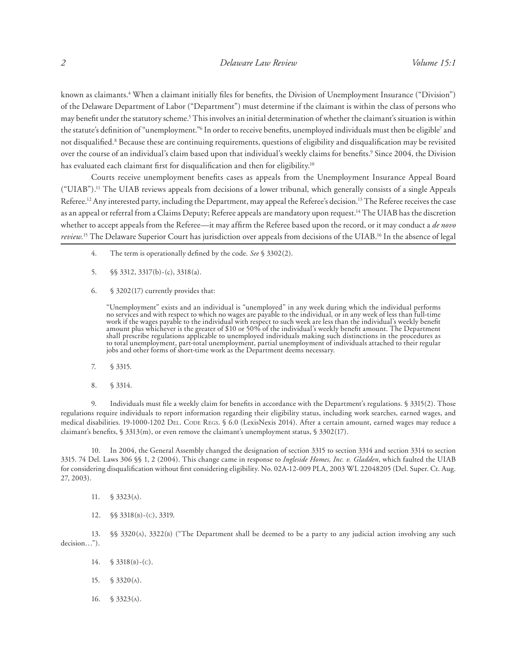known as claimants.4 When a claimant initially files for benefits, the Division of Unemployment Insurance ("Division") of the Delaware Department of Labor ("Department") must determine if the claimant is within the class of persons who may benefit under the statutory scheme.<sup>5</sup> This involves an initial determination of whether the claimant's situation is within the statute's definition of "unemployment." In order to receive benefits, unemployed individuals must then be eligible<sup>7</sup> and not disqualified.<sup>8</sup> Because these are continuing requirements, questions of eligibility and disqualification may be revisited over the course of an individual's claim based upon that individual's weekly claims for benefits.<sup>9</sup> Since 2004, the Division has evaluated each claimant first for disqualification and then for eligibility.<sup>10</sup>

Courts receive unemployment benefits cases as appeals from the Unemployment Insurance Appeal Board ("UIAB").11 The UIAB reviews appeals from decisions of a lower tribunal, which generally consists of a single Appeals Referee.12 Any interested party, including the Department, may appeal the Referee's decision.13 The Referee receives the case as an appeal or referral from a Claims Deputy; Referee appeals are mandatory upon request.<sup>14</sup> The UIAB has the discretion whether to accept appeals from the Referee—it may affirm the Referee based upon the record, or it may conduct a *de novo review.*15 The Delaware Superior Court has jurisdiction over appeals from decisions of the UIAB.16 In the absence of legal

- 4. The term is operationally defined by the code. *See* § 3302(2).
- 5. §§ 3312, 3317(b)-(c), 3318(a).
- 6. § 3202(17) currently provides that:

"Unemployment" exists and an individual is "unemployed" in any week during which the individual performs no services and with respect to which no wages are payable to the individual, or in any week of less than full-time work if the wages payable to the individual with respect to such week are less than the individual's weekly benefit amount plus whichever is the greater of \$10 or 50% of the individual's weekly benefit amount. The Department shall prescribe regulations applicable to unemployed individuals making such distinctions in the procedures as to total unemployment, part-total unemployment, partial unemployment of individuals attached to their regular jobs and other forms of short-time work as the Department deems necessary.

- 7. § 3315.
- 8. § 3314.

9. Individuals must file a weekly claim for benefits in accordance with the Department's regulations. § 3315(2). Those regulations require individuals to report information regarding their eligibility status, including work searches, earned wages, and medical disabilities. 19-1000-1202 DEL. CODE REGS. § 6.0 (LexisNexis 2014). After a certain amount, earned wages may reduce a claimant's benefits, § 3313(m), or even remove the claimant's unemployment status, § 3302(17).

10. In 2004, the General Assembly changed the designation of section 3315 to section 3314 and section 3314 to section 3315. 74 Del. Laws 306 §§ 1, 2 (2004). This change came in response to *Ingleside Homes, Inc. v. Gladden*, which faulted the UIAB for considering disqualification without first considering eligibility. No. 02A-12-009 PLA, 2003 WL 22048205 (Del. Super. Ct. Aug. 27, 2003).

- 11. § 3323(a).
- 12. §§ 3318(b)-(c), 3319.

13. §§ 3320(a), 3322(b) ("The Department shall be deemed to be a party to any judicial action involving any such decision…").

- 14. § 3318(b)-(c).
- 15. § 3320(a).
- 16. § 3323(a).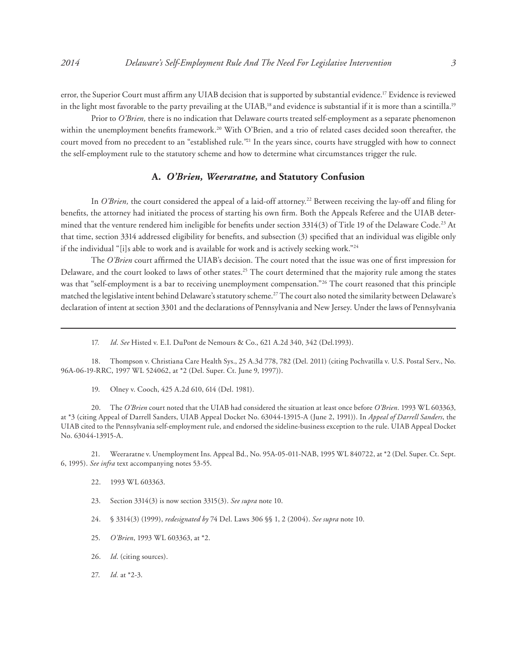error, the Superior Court must affirm any UIAB decision that is supported by substantial evidence.17 Evidence is reviewed in the light most favorable to the party prevailing at the UIAB,<sup>18</sup> and evidence is substantial if it is more than a scintilla.<sup>19</sup>

Prior to *O'Brien,* there is no indication that Delaware courts treated self-employment as a separate phenomenon within the unemployment benefits framework.20 With O'Brien, and a trio of related cases decided soon thereafter, the court moved from no precedent to an "established rule.*"*21 In the years since, courts have struggled with how to connect the self-employment rule to the statutory scheme and how to determine what circumstances trigger the rule.

#### **A.** *O'Brien, Weeraratne,* **and Statutory Confusion**

In *O'Brien,* the court considered the appeal of a laid-off attorney*.* 22 Between receiving the lay-off and filing for benefits, the attorney had initiated the process of starting his own firm. Both the Appeals Referee and the UIAB determined that the venture rendered him ineligible for benefits under section 3314(3) of Title 19 of the Delaware Code.<sup>23</sup> At that time, section 3314 addressed eligibility for benefits, and subsection (3) specified that an individual was eligible only if the individual "[i]s able to work and is available for work and is actively seeking work."<sup>24</sup>

The *O'Brien* court affirmed the UIAB's decision. The court noted that the issue was one of first impression for Delaware, and the court looked to laws of other states.25 The court determined that the majority rule among the states was that "self-employment is a bar to receiving unemployment compensation."26 The court reasoned that this principle matched the legislative intent behind Delaware's statutory scheme.27 The court also noted the similarity between Delaware's declaration of intent at section 3301 and the declarations of Pennsylvania and New Jersey. Under the laws of Pennsylvania

17*. Id*. *See* Histed v. E.I. DuPont de Nemours & Co., 621 A.2d 340, 342 (Del.1993).

18. Thompson v. Christiana Care Health Sys., 25 A.3d 778, 782 (Del. 2011) (citing Pochvatilla v. U.S. Postal Serv., No. 96A-06-19-RRC, 1997 WL 524062, at \*2 (Del. Super. Ct. June 9, 1997)).

19. Olney v. Cooch, 425 A.2d 610, 614 (Del. 1981).

20. The *O'Brien* court noted that the UIAB had considered the situation at least once before *O'Brien*. 1993 WL 603363, at \*3 (citing Appeal of Darrell Sanders, UIAB Appeal Docket No. 63044-13915-A (June 2, 1991)). In *Appeal of Darrell Sanders*, the UIAB cited to the Pennsylvania self-employment rule, and endorsed the sideline-business exception to the rule. UIAB Appeal Docket No. 63044-13915-A.

21. Weeraratne v. Unemployment Ins. Appeal Bd., No. 95A-05-011-NAB, 1995 WL 840722, at \*2 (Del. Super. Ct. Sept. 6, 1995). *See infra* text accompanying notes 53-55.

- 22. 1993 WL 603363.
- 23. Section 3314(3) is now section 3315(3). *See supra* note 10.
- 24. § 3314(3) (1999), *redesignated by* 74 Del. Laws 306 §§ 1, 2 (2004). *See supra* note 10.
- 25. *O'Brien*, 1993 WL 603363, at \*2.
- 26. *Id*. (citing sources).
- 27. *Id.* at \*2-3.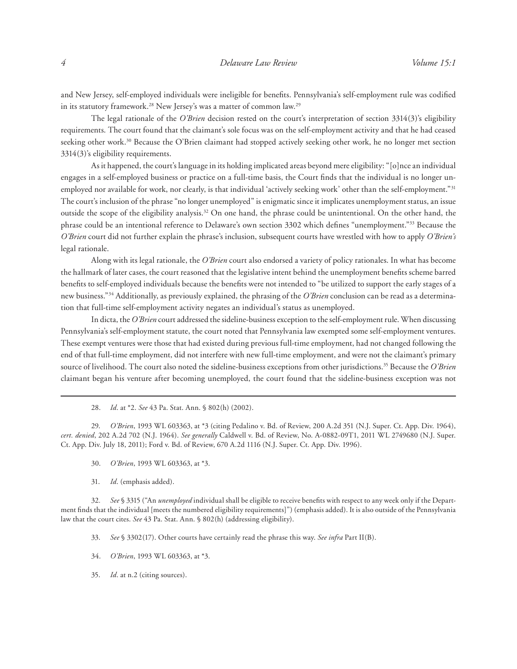and New Jersey, self-employed individuals were ineligible for benefits. Pennsylvania's self-employment rule was codified in its statutory framework.<sup>28</sup> New Jersey's was a matter of common law.<sup>29</sup>

The legal rationale of the *O'Brien* decision rested on the court's interpretation of section 3314(3)'s eligibility requirements. The court found that the claimant's sole focus was on the self-employment activity and that he had ceased seeking other work.<sup>30</sup> Because the O'Brien claimant had stopped actively seeking other work, he no longer met section 3314(3)'s eligibility requirements.

As it happened, the court's language in its holding implicated areas beyond mere eligibility: "[o]nce an individual engages in a self-employed business or practice on a full-time basis, the Court finds that the individual is no longer unemployed nor available for work, nor clearly, is that individual 'actively seeking work' other than the self-employment."31 The court's inclusion of the phrase "no longer unemployed" is enigmatic since it implicates unemployment status, an issue outside the scope of the eligibility analysis.32 On one hand, the phrase could be unintentional. On the other hand, the phrase could be an intentional reference to Delaware's own section 3302 which defines "unemployment."33 Because the *O'Brien* court did not further explain the phrase's inclusion, subsequent courts have wrestled with how to apply *O'Brien's*  legal rationale.

Along with its legal rationale, the *O'Brien* court also endorsed a variety of policy rationales. In what has become the hallmark of later cases, the court reasoned that the legislative intent behind the unemployment benefits scheme barred benefits to self-employed individuals because the benefits were not intended to "be utilized to support the early stages of a new business."34 Additionally, as previously explained, the phrasing of the *O'Brien* conclusion can be read as a determination that full-time self-employment activity negates an individual's status as unemployed.

In dicta, the *O'Brien* court addressed the sideline-business exception to the self-employment rule. When discussing Pennsylvania's self-employment statute, the court noted that Pennsylvania law exempted some self-employment ventures. These exempt ventures were those that had existed during previous full-time employment, had not changed following the end of that full-time employment, did not interfere with new full-time employment, and were not the claimant's primary source of livelihood. The court also noted the sideline-business exceptions from other jurisdictions.35 Because the *O'Brien* claimant began his venture after becoming unemployed, the court found that the sideline-business exception was not

28. *Id*. at \*2. *See* 43 Pa. Stat. Ann. § 802(h) (2002).

29. *O'Brien*, 1993 WL 603363, at \*3 (citing Pedalino v. Bd. of Review, 200 A.2d 351 (N.J. Super. Ct. App. Div. 1964), *cert. denied*, 202 A.2d 702 (N.J. 1964). *See generally* Caldwell v. Bd. of Review, No. A-0882-09T1, 2011 WL 2749680 (N.J. Super. Ct. App. Div. July 18, 2011); Ford v. Bd. of Review, 670 A.2d 1116 (N.J. Super. Ct. App. Div. 1996).

- 30. *O'Brien*, 1993 WL 603363, at \*3.
- 31. *Id*. (emphasis added).

32*. See* § 3315 ("An *unemployed* individual shall be eligible to receive benefits with respect to any week only if the Department finds that the individual [meets the numbered eligibility requirements]") (emphasis added). It is also outside of the Pennsylvania law that the court cites. *See* 43 Pa. Stat. Ann. § 802(h) (addressing eligibility).

33. *See* § 3302(17). Other courts have certainly read the phrase this way. *See infra* Part II(B).

- 34. *O'Brien*, 1993 WL 603363, at \*3.
- 35. *Id*. at n.2 (citing sources).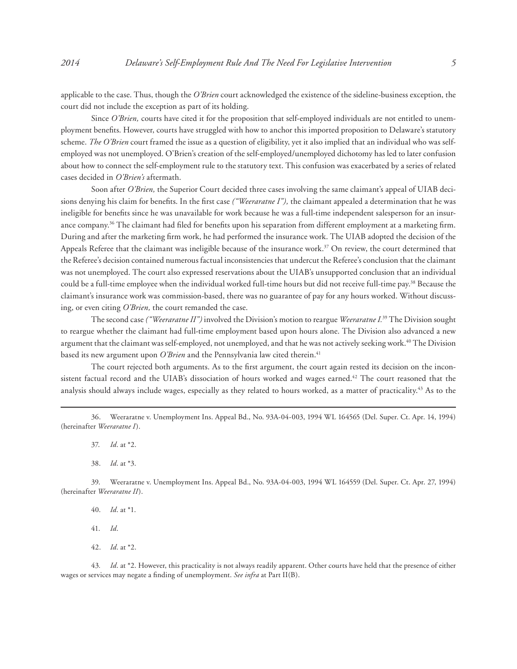applicable to the case. Thus, though the *O'Brien* court acknowledged the existence of the sideline-business exception, the court did not include the exception as part of its holding.

Since *O'Brien*, courts have cited it for the proposition that self-employed individuals are not entitled to unemployment benefits. However, courts have struggled with how to anchor this imported proposition to Delaware's statutory scheme. *The O'Brien* court framed the issue as a question of eligibility, yet it also implied that an individual who was selfemployed was not unemployed. O'Brien's creation of the self-employed/unemployed dichotomy has led to later confusion about how to connect the self-employment rule to the statutory text. This confusion was exacerbated by a series of related cases decided in *O'Brien's* aftermath.

Soon after *O'Brien,* the Superior Court decided three cases involving the same claimant's appeal of UIAB decisions denying his claim for benefits. In the first case *("Weeraratne I"),* the claimant appealed a determination that he was ineligible for benefits since he was unavailable for work because he was a full-time independent salesperson for an insurance company.36 The claimant had filed for benefits upon his separation from different employment at a marketing firm. During and after the marketing firm work, he had performed the insurance work. The UIAB adopted the decision of the Appeals Referee that the claimant was ineligible because of the insurance work.<sup>37</sup> On review, the court determined that the Referee's decision contained numerous factual inconsistencies that undercut the Referee's conclusion that the claimant was not unemployed. The court also expressed reservations about the UIAB's unsupported conclusion that an individual could be a full-time employee when the individual worked full-time hours but did not receive full-time pay.38 Because the claimant's insurance work was commission-based, there was no guarantee of pay for any hours worked. Without discussing, or even citing *O'Brien,* the court remanded the case.

The second case *("Weeraratne II")* involved the Division's motion to reargue *Weeraratne I.*39 The Division sought to reargue whether the claimant had full-time employment based upon hours alone. The Division also advanced a new argument that the claimant was self-employed, not unemployed, and that he was not actively seeking work.<sup>40</sup> The Division based its new argument upon *O'Brien* and the Pennsylvania law cited therein.<sup>41</sup>

The court rejected both arguments. As to the first argument, the court again rested its decision on the inconsistent factual record and the UIAB's dissociation of hours worked and wages earned.42 The court reasoned that the analysis should always include wages, especially as they related to hours worked, as a matter of practicality.43 As to the

- 37. *Id*. at \*2.
- 38. *Id*. at \*3.

39. Weeraratne v. Unemployment Ins. Appeal Bd., No. 93A-04-003, 1994 WL 164559 (Del. Super. Ct. Apr. 27, 1994) (hereinafter *Weeraratne II*).

40. *Id*. at \*1.

41. *Id*.

42. *Id*. at \*2.

43*. Id*. at \*2. However, this practicality is not always readily apparent. Other courts have held that the presence of either wages or services may negate a finding of unemployment. *See infra* at Part II(B).

<sup>36.</sup> Weeraratne v. Unemployment Ins. Appeal Bd., No. 93A-04-003, 1994 WL 164565 (Del. Super. Ct. Apr. 14, 1994) (hereinafter *Weeraratne I*).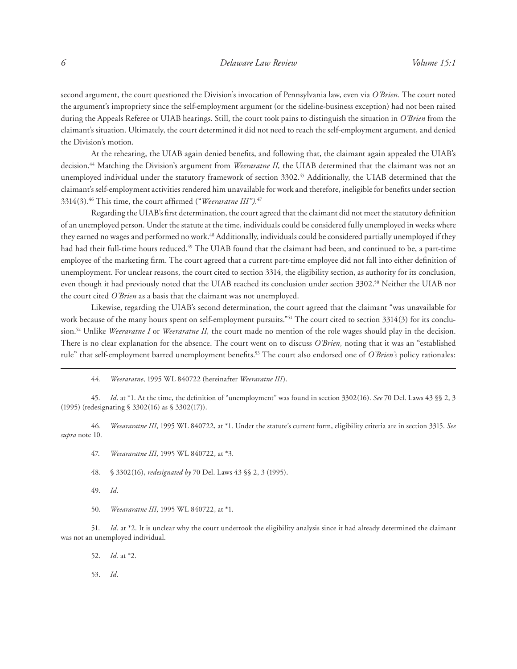second argument, the court questioned the Division's invocation of Pennsylvania law, even via *O'Brien.* The court noted the argument's impropriety since the self-employment argument (or the sideline-business exception) had not been raised during the Appeals Referee or UIAB hearings. Still, the court took pains to distinguish the situation in *O'Brien* from the claimant's situation. Ultimately, the court determined it did not need to reach the self-employment argument, and denied the Division's motion.

At the rehearing, the UIAB again denied benefits, and following that, the claimant again appealed the UIAB's decision.44 Matching the Division's argument from *Weeraratne II,* the UIAB determined that the claimant was not an unemployed individual under the statutory framework of section 3302.45 Additionally, the UIAB determined that the claimant's self-employment activities rendered him unavailable for work and therefore, ineligible for benefits under section 3314(3).46 This time, the court affirmed ("*Weeraratne III").*<sup>47</sup>

Regarding the UIAB's first determination, the court agreed that the claimant did not meet the statutory definition of an unemployed person. Under the statute at the time, individuals could be considered fully unemployed in weeks where they earned no wages and performed no work.<sup>48</sup> Additionally, individuals could be considered partially unemployed if they had had their full-time hours reduced.<sup>49</sup> The UIAB found that the claimant had been, and continued to be, a part-time employee of the marketing firm. The court agreed that a current part-time employee did not fall into either definition of unemployment. For unclear reasons, the court cited to section 3314, the eligibility section, as authority for its conclusion, even though it had previously noted that the UIAB reached its conclusion under section 3302.<sup>50</sup> Neither the UIAB nor the court cited *O'Brien* as a basis that the claimant was not unemployed.

Likewise, regarding the UIAB's second determination, the court agreed that the claimant "was unavailable for work because of the many hours spent on self-employment pursuits."<sup>51</sup> The court cited to section 3314(3) for its conclusion.52 Unlike *Weeraratne I* or *Weeraratne II,* the court made no mention of the role wages should play in the decision. There is no clear explanation for the absence. The court went on to discuss *O'Brien,* noting that it was an "established rule" that self-employment barred unemployment benefits.53 The court also endorsed one of *O'Brien's* policy rationales:

44. *Weeraratne*, 1995 WL 840722 (hereinafter *Weeraratne III*).

45. *Id*. at \*1. At the time, the definition of "unemployment" was found in section 3302(16). *See* 70 Del. Laws 43 §§ 2, 3 (1995) (redesignating § 3302(16) as § 3302(17)).

46. *Weeararatne III*, 1995 WL 840722, at \*1. Under the statute's current form, eligibility criteria are in section 3315. *See supra* note 10.

47. *Weeararatne III*, 1995 WL 840722, at \*3.

48. § 3302(16), *redesignated by* 70 Del. Laws 43 §§ 2, 3 (1995).

49. *Id*.

50. *Weeararatne III*, 1995 WL 840722, at \*1.

51. *Id*. at \*2. It is unclear why the court undertook the eligibility analysis since it had already determined the claimant was not an unemployed individual.

52. *Id.* at \*2.

53. *Id*.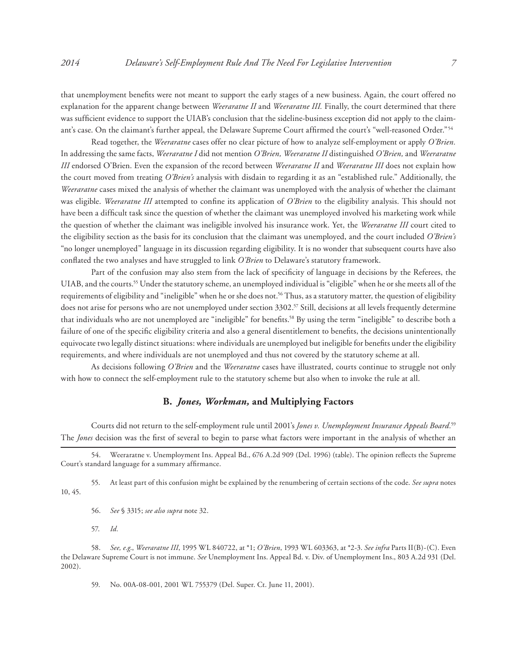that unemployment benefits were not meant to support the early stages of a new business. Again, the court offered no explanation for the apparent change between *Weeraratne II* and *Weeraratne III.* Finally, the court determined that there was sufficient evidence to support the UIAB's conclusion that the sideline-business exception did not apply to the claimant's case. On the claimant's further appeal, the Delaware Supreme Court affirmed the court's "well-reasoned Order."54

Read together, the *Weeraratne* cases offer no clear picture of how to analyze self-employment or apply *O'Brien.*  In addressing the same facts, *Weeraratne I* did not mention *O'Brien, Weeraratne II* distinguished *O'Brien,* and *Weeraratne III* endorsed O'Brien. Even the expansion of the record between *Weeraratne II* and *Weeraratne III* does not explain how the court moved from treating *O'Brien's* analysis with disdain to regarding it as an "established rule." Additionally, the *Weeraratne* cases mixed the analysis of whether the claimant was unemployed with the analysis of whether the claimant was eligible. *Weeraratne III* attempted to confine its application of *O'Brien* to the eligibility analysis. This should not have been a difficult task since the question of whether the claimant was unemployed involved his marketing work while the question of whether the claimant was ineligible involved his insurance work. Yet, the *Weeraratne III* court cited to the eligibility section as the basis for its conclusion that the claimant was unemployed, and the court included *O'Brien's* "no longer unemployed" language in its discussion regarding eligibility. It is no wonder that subsequent courts have also conflated the two analyses and have struggled to link *O'Brien* to Delaware's statutory framework.

Part of the confusion may also stem from the lack of specificity of language in decisions by the Referees, the UIAB, and the courts.55 Under the statutory scheme, an unemployed individual is "eligible" when he or she meets all of the requirements of eligibility and "ineligible" when he or she does not.<sup>56</sup> Thus, as a statutory matter, the question of eligibility does not arise for persons who are not unemployed under section 3302.<sup>57</sup> Still, decisions at all levels frequently determine that individuals who are not unemployed are "ineligible" for benefits.58 By using the term "ineligible" to describe both a failure of one of the specific eligibility criteria and also a general disentitlement to benefits, the decisions unintentionally equivocate two legally distinct situations: where individuals are unemployed but ineligible for benefits under the eligibility requirements, and where individuals are not unemployed and thus not covered by the statutory scheme at all.

As decisions following *O'Brien* and the *Weeraratne* cases have illustrated, courts continue to struggle not only with how to connect the self-employment rule to the statutory scheme but also when to invoke the rule at all.

#### **B.** *Jones, Workman,* **and Multiplying Factors**

Courts did not return to the self-employment rule until 2001's *Jones v. Unemployment Insurance Appeals Board.*<sup>59</sup> The *Jones* decision was the first of several to begin to parse what factors were important in the analysis of whether an

55. At least part of this confusion might be explained by the renumbering of certain sections of the code. *See supra* notes 10, 45.

57. *Id.*

58. *See, e.g*., *Weeraratne III*, 1995 WL 840722, at \*1; *O'Brien*, 1993 WL 603363, at \*2-3. *See infra* Parts II(B)-(C). Even the Delaware Supreme Court is not immune. *See* Unemployment Ins. Appeal Bd. v. Div. of Unemployment Ins., 803 A.2d 931 (Del. 2002).

59. No. 00A-08-001, 2001 WL 755379 (Del. Super. Ct. June 11, 2001).

<sup>54.</sup> Weeraratne v. Unemployment Ins. Appeal Bd., 676 A.2d 909 (Del. 1996) (table). The opinion reflects the Supreme Court's standard language for a summary affirmance.

<sup>56.</sup> *See* § 3315; *see also supra* note 32.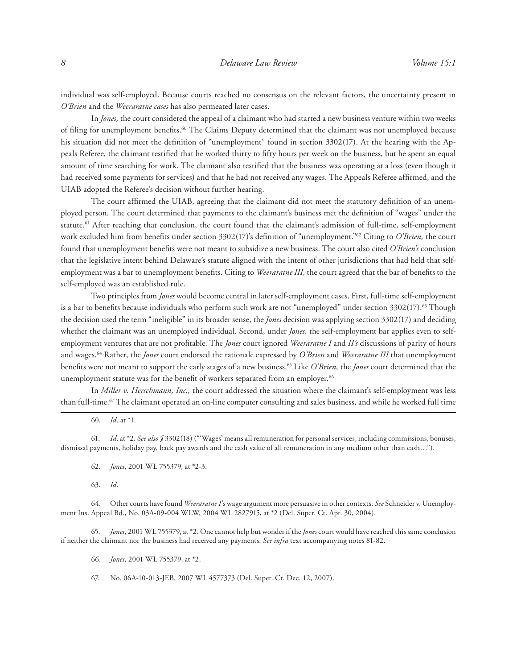individual was self-employed. Because courts reached no consensus on the relevant factors, the uncertainty present in *O'Brien* and the *Weeraratne cases* has also permeated later cases.

In *Jones,* the court considered the appeal of a claimant who had started a new business venture within two weeks of filing for unemployment benefits.<sup>60</sup> The Claims Deputy determined that the claimant was not unemployed because his situation did not meet the definition of "unemployment" found in section 3302(17). At the hearing with the Appeals Referee, the claimant testified that he worked thirty to fifty hours per week on the business, but he spent an equal amount of time searching for work. The claimant also testified that the business was operating at a loss (even though it had received some payments for services) and that he had not received any wages. The Appeals Referee affirmed, and the UIAB adopted the Referee's decision without further hearing.

The court affirmed the UIAB, agreeing that the claimant did not meet the statutory definition of an unemployed person. The court determined that payments to the claimant's business met the definition of "wages" under the statute.<sup>61</sup> After reaching that conclusion, the court found that the claimant's admission of full-time, self-employment work excluded him from benefits under section 3302(17)'s definition of "unemployment."62 Citing to *O'Brien,* the court found that unemployment benefits were not meant to subsidize a new business. The court also cited *O'Brien's* conclusion that the legislative intent behind Delaware's statute aligned with the intent of other jurisdictions that had held that selfemployment was a bar to unemployment benefits. Citing to *Weeraratne III,* the court agreed that the bar of benefits to the self-employed was an established rule.

Two principles from *Jones* would become central in later self-employment cases. First, full-time self-employment is a bar to benefits because individuals who perform such work are not "unemployed" under section 3302(17).<sup>63</sup> Though the decision used the term "ineligible" in its broader sense, the *Jones* decision was applying section 3302(17) and deciding whether the claimant was an unemployed individual. Second, under *Jones,* the self-employment bar applies even to selfemployment ventures that are not profitable. The *Jones* court ignored *Weeraratne I* and *II's* discussions of parity of hours and wages.64 Rather, the *Jones* court endorsed the rationale expressed by *O'Brien* and *Weeraratne III* that unemployment benefits were not meant to support the early stages of a new business.65 Like *O'Brien,* the *Jones* court determined that the unemployment statute was for the benefit of workers separated from an employer*.* 66

In *Miller v. Herschmann, Inc.,* the court addressed the situation where the claimant's self-employment was less than full-time.<sup>67</sup> The claimant operated an on-line computer consulting and sales business, and while he worked full time

60. *Id*. at \*1.

61. *Id*. at \*2. *See also §* 3302(18) ("'Wages' means all remuneration for personal services, including commissions, bonuses, dismissal payments, holiday pay, back pay awards and the cash value of all remuneration in any medium other than cash…").

62. *Jones*, 2001 WL 755379, at \*2-3.

63. *Id*.

64. Other courts have found *Weeraratne I*'s wage argument more persuasive in other contexts. *See* Schneider v. Unemployment Ins. Appeal Bd., No. 03A-09-004 WLW, 2004 WL 2827915, at \*2 (Del. Super. Ct. Apr. 30, 2004).

65. *Jones*, 2001 WL 755379, at \*2. One cannot help but wonder if the *Jones* court would have reached this same conclusion if neither the claimant nor the business had received any payments. *See infra* text accompanying notes 81-82.

66. *Jones*, 2001 WL 755379, at \*2.

67. No. 06A-10-013-JEB, 2007 WL 4577373 (Del. Super. Ct. Dec. 12, 2007).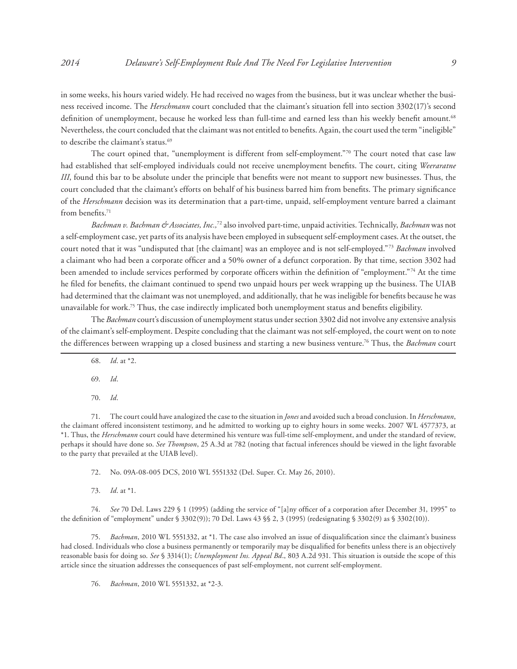in some weeks, his hours varied widely. He had received no wages from the business, but it was unclear whether the business received income. The *Herschmann* court concluded that the claimant's situation fell into section 3302(17)'s second definition of unemployment, because he worked less than full-time and earned less than his weekly benefit amount.<sup>68</sup> Nevertheless, the court concluded that the claimant was not entitled to benefits. Again, the court used the term "ineligible" to describe the claimant's status.<sup>69</sup>

The court opined that, "unemployment is different from self-employment."<sup>70</sup> The court noted that case law had established that self-employed individuals could not receive unemployment benefits. The court, citing *Weeraratne III*, found this bar to be absolute under the principle that benefits were not meant to support new businesses. Thus, the court concluded that the claimant's efforts on behalf of his business barred him from benefits. The primary significance of the *Herschmann* decision was its determination that a part-time, unpaid, self-employment venture barred a claimant from benefits.<sup>71</sup>

*Bachman v. Bachman & Associates, Inc.,*72 also involved part-time, unpaid activities. Technically, *Bachman* was not a self-employment case, yet parts of its analysis have been employed in subsequent self-employment cases. At the outset, the court noted that it was "undisputed that [the claimant] was an employee and is not self-employed." <sup>73</sup> *Bachman* involved a claimant who had been a corporate officer and a 50% owner of a defunct corporation. By that time, section 3302 had been amended to include services performed by corporate officers within the definition of "employment."74 At the time he filed for benefits, the claimant continued to spend two unpaid hours per week wrapping up the business. The UIAB had determined that the claimant was not unemployed, and additionally, that he was ineligible for benefits because he was unavailable for work.75 Thus, the case indirectly implicated both unemployment status and benefits eligibility.

The *Bachman* court's discussion of unemployment status under section 3302 did not involve any extensive analysis of the claimant's self-employment. Despite concluding that the claimant was not self-employed, the court went on to note the differences between wrapping up a closed business and starting a new business venture.76 Thus, the *Bachman* court

68. *Id*. at \*2.

69. *Id*.

70. *Id*.

71. The court could have analogized the case to the situation in *Jones* and avoided such a broad conclusion. In *Herschmann*, the claimant offered inconsistent testimony, and he admitted to working up to eighty hours in some weeks. 2007 WL 4577373, at \*1. Thus, the *Herschmann* court could have determined his venture was full-time self-employment, and under the standard of review, perhaps it should have done so. *See Thompson*, 25 A.3d at 782 (noting that factual inferences should be viewed in the light favorable to the party that prevailed at the UIAB level).

72. No. 09A-08-005 DCS, 2010 WL 5551332 (Del. Super. Ct. May 26, 2010).

73. *Id*. at \*1.

74. *See* 70 Del. Laws 229 § 1 (1995) (adding the service of "[a]ny officer of a corporation after December 31, 1995" to the definition of "employment" under § 3302(9)); 70 Del. Laws 43 §§ 2, 3 (1995) (redesignating § 3302(9) as § 3302(10)).

75. *Bachman*, 2010 WL 5551332, at \*1. The case also involved an issue of disqualification since the claimant's business had closed. Individuals who close a business permanently or temporarily may be disqualified for benefits unless there is an objectively reasonable basis for doing so. *See* § 3314(1); *Unemployment Ins. Appeal Bd*., 803 A.2d 931. This situation is outside the scope of this article since the situation addresses the consequences of past self-employment, not current self-employment.

76. *Bachman*, 2010 WL 5551332, at \*2-3.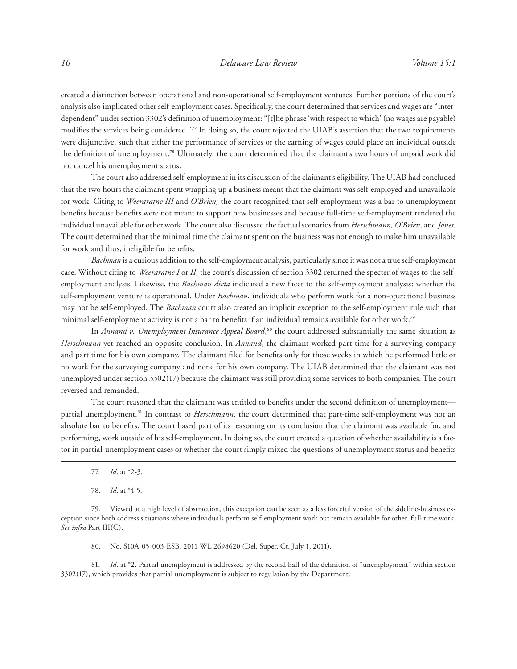created a distinction between operational and non-operational self-employment ventures. Further portions of the court's analysis also implicated other self-employment cases. Specifically, the court determined that services and wages are "interdependent" under section 3302's definition of unemployment: "[t]he phrase 'with respect to which' (no wages are payable) modifies the services being considered."77 In doing so, the court rejected the UIAB's assertion that the two requirements were disjunctive, such that either the performance of services or the earning of wages could place an individual outside the definition of unemployment.78 Ultimately, the court determined that the claimant's two hours of unpaid work did not cancel his unemployment status.

The court also addressed self-employment in its discussion of the claimant's eligibility. The UIAB had concluded that the two hours the claimant spent wrapping up a business meant that the claimant was self-employed and unavailable for work. Citing to *Weeraratne III* and *O'Brien,* the court recognized that self-employment was a bar to unemployment benefits because benefits were not meant to support new businesses and because full-time self-employment rendered the individual unavailable for other work. The court also discussed the factual scenarios from *Herschmann, O'Brien,* and *Jones.* The court determined that the minimal time the claimant spent on the business was not enough to make him unavailable for work and thus, ineligible for benefits.

*Bachman* is a curious addition to the self-employment analysis, particularly since it was not a true self-employment case. Without citing to *Weeraratne I* or *II*, the court's discussion of section 3302 returned the specter of wages to the selfemployment analysis. Likewise, the *Bachman dicta* indicated a new facet to the self-employment analysis: whether the self-employment venture is operational. Under *Bachman*, individuals who perform work for a non-operational business may not be self-employed. The *Bachman* court also created an implicit exception to the self-employment rule such that minimal self-employment activity is not a bar to benefits if an individual remains available for other work.79

In *Annand v. Unemployment Insurance Appeal Board,*80 the court addressed substantially the same situation as *Herschmann* yet reached an opposite conclusion. In *Annand*, the claimant worked part time for a surveying company and part time for his own company. The claimant filed for benefits only for those weeks in which he performed little or no work for the surveying company and none for his own company. The UIAB determined that the claimant was not unemployed under section 3302(17) because the claimant was still providing some services to both companies. The court reversed and remanded.

The court reasoned that the claimant was entitled to benefits under the second definition of unemployment partial unemployment.<sup>81</sup> In contrast to *Herschmann*, the court determined that part-time self-employment was not an absolute bar to benefits. The court based part of its reasoning on its conclusion that the claimant was available for, and performing, work outside of his self-employment. In doing so, the court created a question of whether availability is a factor in partial-unemployment cases or whether the court simply mixed the questions of unemployment status and benefits

77. *Id*. at \*2-3.

78. *Id*. at \*4-5.

79. Viewed at a high level of abstraction, this exception can be seen as a less forceful version of the sideline-business exception since both address situations where individuals perform self-employment work but remain available for other, full-time work. *See infra* Part III(C).

80. No. S10A-05-003-ESB, 2011 WL 2698620 (Del. Super. Ct. July 1, 2011).

81. *Id*. at \*2. Partial unemployment is addressed by the second half of the definition of "unemployment" within section 3302(17), which provides that partial unemployment is subject to regulation by the Department.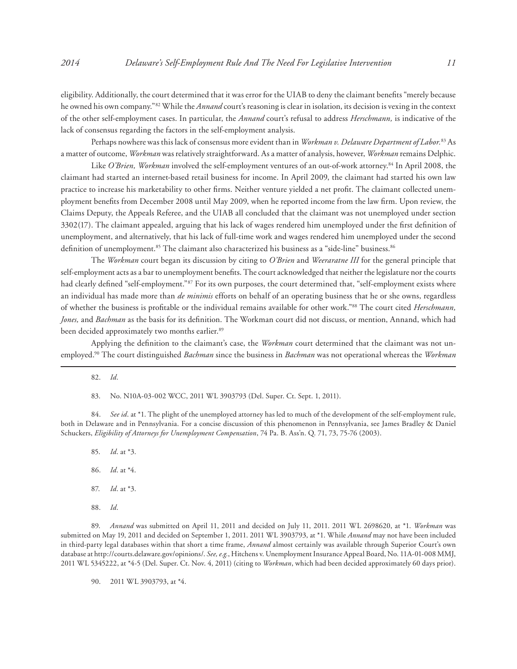eligibility. Additionally, the court determined that it was error for the UIAB to deny the claimant benefits "merely because he owned his own company."82 While the *Annand* court's reasoning is clear in isolation, its decision is vexing in the context of the other self-employment cases. In particular, the *Annand* court's refusal to address *Herschmann,* is indicative of the lack of consensus regarding the factors in the self-employment analysis.

Perhaps nowhere was this lack of consensus more evident than in *Workman v. Delaware Department of Labor.*83 As a matter of outcome, *Workman* was relatively straightforward. As a matter of analysis, however, *Workman* remains Delphic.

Like *O'Brien, Workman* involved the self-employment ventures of an out-of-work attorney.84 In April 2008, the claimant had started an internet-based retail business for income. In April 2009, the claimant had started his own law practice to increase his marketability to other firms. Neither venture yielded a net profit. The claimant collected unemployment benefits from December 2008 until May 2009, when he reported income from the law firm. Upon review, the Claims Deputy, the Appeals Referee, and the UIAB all concluded that the claimant was not unemployed under section 3302(17). The claimant appealed, arguing that his lack of wages rendered him unemployed under the first definition of unemployment, and alternatively, that his lack of full-time work and wages rendered him unemployed under the second definition of unemployment.<sup>85</sup> The claimant also characterized his business as a "side-line" business.<sup>86</sup>

The *Workman* court began its discussion by citing to *O'Brien* and *Weeraratne III* for the general principle that self-employment acts as a bar to unemployment benefits. The court acknowledged that neither the legislature nor the courts had clearly defined "self-employment."<sup>87</sup> For its own purposes, the court determined that, "self-employment exists where an individual has made more than *de minimis* efforts on behalf of an operating business that he or she owns, regardless of whether the business is profitable or the individual remains available for other work."88 The court cited *Herschmann, Jones,* and *Bachman* as the basis for its definition. The Workman court did not discuss, or mention, Annand, which had been decided approximately two months earlier.<sup>89</sup>

Applying the definition to the claimant's case, the *Workman* court determined that the claimant was not unemployed.90 The court distinguished *Bachman* since the business in *Bachman* was not operational whereas the *Workman*

82. *Id*.

83. No. N10A-03-002 WCC, 2011 WL 3903793 (Del. Super. Ct. Sept. 1, 2011).

84. *See id*. at \*1. The plight of the unemployed attorney has led to much of the development of the self-employment rule, both in Delaware and in Pennsylvania. For a concise discussion of this phenomenon in Pennsylvania, see James Bradley & Daniel Schuckers, *Eligibility of Attorneys for Unemployment Compensation*, 74 Pa. B. Ass'n. Q. 71, 73, 75-76 (2003).

85. *Id*. at \*3.

86. *Id*. at \*4.

- 87. *Id*. at \*3.
- 88. *Id*.

89. *Annand* was submitted on April 11, 2011 and decided on July 11, 2011. 2011 WL 2698620, at \*1. *Workman* was submitted on May 19, 2011 and decided on September 1, 2011. 2011 WL 3903793, at \*1. While *Annand* may not have been included in third-party legal databases within that short a time frame, *Annand* almost certainly was available through Superior Court's own database at http://courts.delaware.gov/opinions/. *See, e.g.*, Hitchens v. Unemployment Insurance Appeal Board, No. 11A-01-008 MMJ, 2011 WL 5345222, at \*4-5 (Del. Super. Ct. Nov. 4, 2011) (citing to *Workman*, which had been decided approximately 60 days prior).

90. 2011 WL 3903793, at \*4.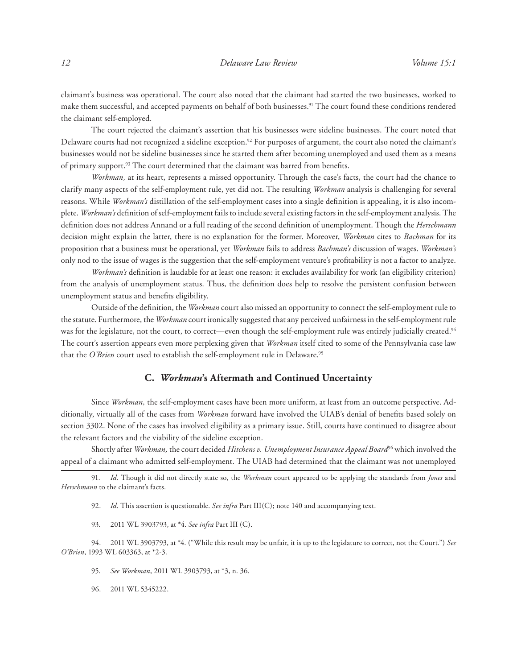claimant's business was operational. The court also noted that the claimant had started the two businesses, worked to make them successful, and accepted payments on behalf of both businesses.<sup>91</sup> The court found these conditions rendered the claimant self-employed.

The court rejected the claimant's assertion that his businesses were sideline businesses. The court noted that Delaware courts had not recognized a sideline exception.92 For purposes of argument, the court also noted the claimant's businesses would not be sideline businesses since he started them after becoming unemployed and used them as a means of primary support.<sup>93</sup> The court determined that the claimant was barred from benefits.

*Workman,* at its heart, represents a missed opportunity. Through the case's facts, the court had the chance to clarify many aspects of the self-employment rule, yet did not. The resulting *Workman* analysis is challenging for several reasons. While *Workman's* distillation of the self-employment cases into a single definition is appealing, it is also incomplete. *Workman's* definition of self-employment fails to include several existing factors in the self-employment analysis. The definition does not address Annand or a full reading of the second definition of unemployment. Though the *Herschmann* decision might explain the latter, there is no explanation for the former. Moreover, *Workman* cites to *Bachman* for its proposition that a business must be operational, yet *Workman* fails to address *Bachman's* discussion of wages. *Workman's*  only nod to the issue of wages is the suggestion that the self-employment venture's profitability is not a factor to analyze.

*Workman's* definition is laudable for at least one reason: it excludes availability for work (an eligibility criterion) from the analysis of unemployment status. Thus, the definition does help to resolve the persistent confusion between unemployment status and benefits eligibility.

Outside of the definition, the *Workman* court also missed an opportunity to connect the self-employment rule to the statute. Furthermore, the *Workman* court ironically suggested that any perceived unfairness in the self-employment rule was for the legislature, not the court, to correct—even though the self-employment rule was entirely judicially created.<sup>94</sup> The court's assertion appears even more perplexing given that *Workman* itself cited to some of the Pennsylvania case law that the *O'Brien* court used to establish the self-employment rule in Delaware.<sup>95</sup>

#### **C.** *Workman***'s Aftermath and Continued Uncertainty**

Since *Workman,* the self-employment cases have been more uniform, at least from an outcome perspective. Additionally, virtually all of the cases from *Workman* forward have involved the UIAB's denial of benefits based solely on section 3302. None of the cases has involved eligibility as a primary issue. Still, courts have continued to disagree about the relevant factors and the viability of the sideline exception.

Shortly after *Workman,* the court decided *Hitchens v. Unemployment Insurance Appeal Board*96 which involved the appeal of a claimant who admitted self-employment. The UIAB had determined that the claimant was not unemployed

91. *Id*. Though it did not directly state so, the *Workman* court appeared to be applying the standards from *Jones* and *Herschmann* to the claimant's facts.

Id. This assertion is questionable. See infra Part III(C); note 140 and accompanying text.

93. 2011 WL 3903793, at \*4. *See infra* Part III (C).

94. 2011 WL 3903793, at \*4. ("While this result may be unfair, it is up to the legislature to correct, not the Court.") *See O'Brien*, 1993 WL 603363, at \*2-3.

- 95. *See Workman*, 2011 WL 3903793, at \*3, n. 36.
- 96. 2011 WL 5345222.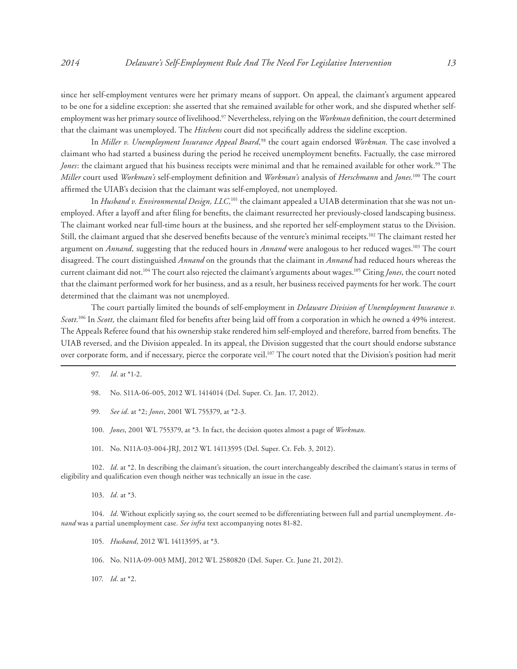since her self-employment ventures were her primary means of support. On appeal, the claimant's argument appeared to be one for a sideline exception: she asserted that she remained available for other work, and she disputed whether selfemployment was her primary source of livelihood.97 Nevertheless, relying on the *Workman* definition, the court determined that the claimant was unemployed. The *Hitchens* court did not specifically address the sideline exception.

In *Miller v. Unemployment Insurance Appeal Board,*98 the court again endorsed *Workman.* The case involved a claimant who had started a business during the period he received unemployment benefits. Factually, the case mirrored *Jones*: the claimant argued that his business receipts were minimal and that he remained available for other work.99 The *Miller* court used *Workman's* self-employment definition and *Workman's* analysis of *Herschmann* and *Jones.*100 The court affirmed the UIAB's decision that the claimant was self-employed, not unemployed.

In *Husband v. Environmental Design, LLC,*101 the claimant appealed a UIAB determination that she was not unemployed. After a layoff and after filing for benefits, the claimant resurrected her previously-closed landscaping business. The claimant worked near full-time hours at the business, and she reported her self-employment status to the Division. Still, the claimant argued that she deserved benefits because of the venture's minimal receipts.102 The claimant rested her argument on *Annand,* suggesting that the reduced hours in *Annand* were analogous to her reduced wages.103 The court disagreed. The court distinguished *Annand* on the grounds that the claimant in *Annand* had reduced hours whereas the current claimant did not.104 The court also rejected the claimant's arguments about wages.105 Citing *Jones*, the court noted that the claimant performed work for her business, and as a result, her business received payments for her work. The court determined that the claimant was not unemployed.

The court partially limited the bounds of self-employment in *Delaware Division of Unemployment Insurance v. Scott.*106 In *Scott,* the claimant filed for benefits after being laid off from a corporation in which he owned a 49% interest. The Appeals Referee found that his ownership stake rendered him self-employed and therefore, barred from benefits. The UIAB reversed, and the Division appealed. In its appeal, the Division suggested that the court should endorse substance over corporate form, and if necessary, pierce the corporate veil.<sup>107</sup> The court noted that the Division's position had merit

97. *Id*. at \*1-2.

98. No. S11A-06-005, 2012 WL 1414014 (Del. Super. Ct. Jan. 17, 2012).

99. *See id*. at \*2; *Jones*, 2001 WL 755379, at \*2-3.

100. *Jones*, 2001 WL 755379, at \*3. In fact, the decision quotes almost a page of *Workman*.

101. No. N11A-03-004-JRJ, 2012 WL 14113595 (Del. Super. Ct. Feb. 3, 2012).

102. *Id.* at \*2. In describing the claimant's situation, the court interchangeably described the claimant's status in terms of eligibility and qualification even though neither was technically an issue in the case.

103. *Id.* at \*3.

104. *Id*. Without explicitly saying so, the court seemed to be differentiating between full and partial unemployment. *Annand* was a partial unemployment case. *See infra* text accompanying notes 81-82.

105. *Husband*, 2012 WL 14113595, at \*3.

106. No. N11A-09-003 MMJ, 2012 WL 2580820 (Del. Super. Ct. June 21, 2012).

107. *Id*. at \*2.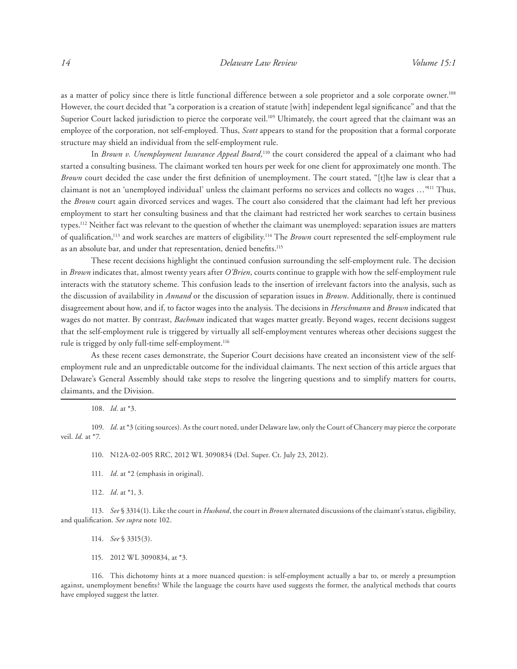as a matter of policy since there is little functional difference between a sole proprietor and a sole corporate owner.<sup>108</sup> However, the court decided that "a corporation is a creation of statute [with] independent legal significance" and that the Superior Court lacked jurisdiction to pierce the corporate veil.<sup>109</sup> Ultimately, the court agreed that the claimant was an employee of the corporation, not self-employed. Thus, *Scott* appears to stand for the proposition that a formal corporate structure may shield an individual from the self-employment rule.

In *Brown v. Unemployment Insurance Appeal Board,*110 the court considered the appeal of a claimant who had started a consulting business. The claimant worked ten hours per week for one client for approximately one month. The *Brown* court decided the case under the first definition of unemployment. The court stated, "[t]he law is clear that a claimant is not an 'unemployed individual' unless the claimant performs no services and collects no wages …*"*111 Thus, the *Brown* court again divorced services and wages. The court also considered that the claimant had left her previous employment to start her consulting business and that the claimant had restricted her work searches to certain business types.112 Neither fact was relevant to the question of whether the claimant was unemployed: separation issues are matters of qualification,113 and work searches are matters of eligibility.114 The *Brown* court represented the self-employment rule as an absolute bar, and under that representation, denied benefits.<sup>115</sup>

These recent decisions highlight the continued confusion surrounding the self-employment rule. The decision in *Brown* indicates that, almost twenty years after *O'Brien*, courts continue to grapple with how the self-employment rule interacts with the statutory scheme. This confusion leads to the insertion of irrelevant factors into the analysis, such as the discussion of availability in *Annand* or the discussion of separation issues in *Brown*. Additionally, there is continued disagreement about how, and if, to factor wages into the analysis. The decisions in *Herschmann* and *Brown* indicated that wages do not matter. By contrast, *Bachman* indicated that wages matter greatly. Beyond wages, recent decisions suggest that the self-employment rule is triggered by virtually all self-employment ventures whereas other decisions suggest the rule is trigged by only full-time self-employment.<sup>116</sup>

As these recent cases demonstrate, the Superior Court decisions have created an inconsistent view of the selfemployment rule and an unpredictable outcome for the individual claimants. The next section of this article argues that Delaware's General Assembly should take steps to resolve the lingering questions and to simplify matters for courts, claimants, and the Division.

108. *Id*. at \*3.

109. *Id*. at \*3 (citing sources). As the court noted, under Delaware law, only the Court of Chancery may pierce the corporate veil. *Id.* at \*7.

110. N12A-02-005 RRC, 2012 WL 3090834 (Del. Super. Ct. July 23, 2012).

- 111. *Id*. at \*2 (emphasis in original).
- 112. *Id*. at \*1, 3.

113. *See* § 3314(1). Like the court in *Husband*, the court in *Brown* alternated discussions of the claimant's status, eligibility, and qualification. *See supra* note 102.

114. *See* § 3315(3).

115. 2012 WL 3090834, at \*3.

116. This dichotomy hints at a more nuanced question: is self-employment actually a bar to, or merely a presumption against, unemployment benefits? While the language the courts have used suggests the former, the analytical methods that courts have employed suggest the latter.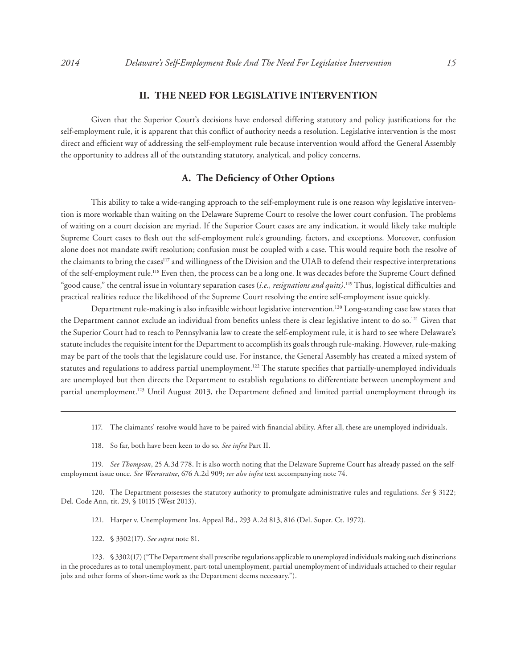#### **II. THE NEED FOR LEGISLATIVE INTERVENTION**

Given that the Superior Court's decisions have endorsed differing statutory and policy justifications for the self-employment rule, it is apparent that this conflict of authority needs a resolution. Legislative intervention is the most direct and efficient way of addressing the self-employment rule because intervention would afford the General Assembly the opportunity to address all of the outstanding statutory, analytical, and policy concerns.

#### **A. The Deficiency of Other Options**

This ability to take a wide-ranging approach to the self-employment rule is one reason why legislative intervention is more workable than waiting on the Delaware Supreme Court to resolve the lower court confusion. The problems of waiting on a court decision are myriad. If the Superior Court cases are any indication, it would likely take multiple Supreme Court cases to flesh out the self-employment rule's grounding, factors, and exceptions. Moreover, confusion alone does not mandate swift resolution; confusion must be coupled with a case. This would require both the resolve of the claimants to bring the cases<sup>117</sup> and willingness of the Division and the UIAB to defend their respective interpretations of the self-employment rule.118 Even then, the process can be a long one. It was decades before the Supreme Court defined "good cause," the central issue in voluntary separation cases (*i.e., resignations and quits).*119 Thus, logistical difficulties and practical realities reduce the likelihood of the Supreme Court resolving the entire self-employment issue quickly.

Department rule-making is also infeasible without legislative intervention.120 Long-standing case law states that the Department cannot exclude an individual from benefits unless there is clear legislative intent to do so.121 Given that the Superior Court had to reach to Pennsylvania law to create the self-employment rule, it is hard to see where Delaware's statute includes the requisite intent for the Department to accomplish its goals through rule-making. However, rule-making may be part of the tools that the legislature could use. For instance, the General Assembly has created a mixed system of statutes and regulations to address partial unemployment.122 The statute specifies that partially-unemployed individuals are unemployed but then directs the Department to establish regulations to differentiate between unemployment and partial unemployment.123 Until August 2013, the Department defined and limited partial unemployment through its

- 117. The claimants' resolve would have to be paired with financial ability. After all, these are unemployed individuals.
- 118. So far, both have been keen to do so. *See infra* Part II.

119. *See Thompson*, 25 A.3d 778. It is also worth noting that the Delaware Supreme Court has already passed on the selfemployment issue once. *See Weeraratne*, 676 A.2d 909; *see also infra* text accompanying note 74.

120. The Department possesses the statutory authority to promulgate administrative rules and regulations. *See* § 3122; Del. Code Ann, tit. 29, § 10115 (West 2013).

121. Harper v. Unemployment Ins. Appeal Bd., 293 A.2d 813, 816 (Del. Super. Ct. 1972).

122. § 3302(17). *See supra* note 81.

123. § 3302(17) ("The Department shall prescribe regulations applicable to unemployed individuals making such distinctions in the procedures as to total unemployment, part-total unemployment, partial unemployment of individuals attached to their regular jobs and other forms of short-time work as the Department deems necessary.").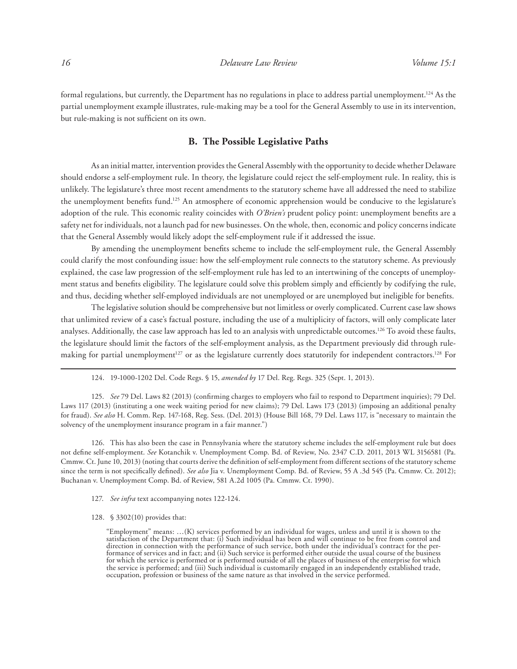formal regulations, but currently, the Department has no regulations in place to address partial unemployment.124 As the partial unemployment example illustrates, rule-making may be a tool for the General Assembly to use in its intervention, but rule-making is not sufficient on its own.

#### **B. The Possible Legislative Paths**

As an initial matter, intervention provides the General Assembly with the opportunity to decide whether Delaware should endorse a self-employment rule. In theory, the legislature could reject the self-employment rule. In reality, this is unlikely. The legislature's three most recent amendments to the statutory scheme have all addressed the need to stabilize the unemployment benefits fund.125 An atmosphere of economic apprehension would be conducive to the legislature's adoption of the rule. This economic reality coincides with *O'Brien's* prudent policy point: unemployment benefits are a safety net for individuals, not a launch pad for new businesses. On the whole, then, economic and policy concerns indicate that the General Assembly would likely adopt the self-employment rule if it addressed the issue.

By amending the unemployment benefits scheme to include the self-employment rule, the General Assembly could clarify the most confounding issue: how the self-employment rule connects to the statutory scheme. As previously explained, the case law progression of the self-employment rule has led to an intertwining of the concepts of unemployment status and benefits eligibility. The legislature could solve this problem simply and efficiently by codifying the rule, and thus, deciding whether self-employed individuals are not unemployed or are unemployed but ineligible for benefits.

The legislative solution should be comprehensive but not limitless or overly complicated. Current case law shows that unlimited review of a case's factual posture, including the use of a multiplicity of factors, will only complicate later analyses. Additionally, the case law approach has led to an analysis with unpredictable outcomes.126 To avoid these faults, the legislature should limit the factors of the self-employment analysis, as the Department previously did through rulemaking for partial unemployment<sup>127</sup> or as the legislature currently does statutorily for independent contractors.<sup>128</sup> For

124. 19-1000-1202 Del. Code Regs. § 15, *amended by* 17 Del. Reg. Regs. 325 (Sept. 1, 2013).

125. *See* 79 Del. Laws 82 (2013) (confirming charges to employers who fail to respond to Department inquiries); 79 Del. Laws 117 (2013) (instituting a one week waiting period for new claims); 79 Del. Laws 173 (2013) (imposing an additional penalty for fraud). *See also* H. Comm. Rep. 147-168, Reg. Sess. (Del. 2013) (House Bill 168, 79 Del. Laws 117, is "necessary to maintain the solvency of the unemployment insurance program in a fair manner.")

126. This has also been the case in Pennsylvania where the statutory scheme includes the self-employment rule but does not define self-employment. *See* Kotanchik v. Unemployment Comp. Bd. of Review, No. 2347 C.D. 2011, 2013 WL 3156581 (Pa. Cmmw. Ct. June 10, 2013) (noting that courts derive the definition of self-employment from different sections of the statutory scheme since the term is not specifically defined). *See also* Jia v. Unemployment Comp. Bd. of Review, 55 A .3d 545 (Pa. Cmmw. Ct. 2012); Buchanan v. Unemployment Comp. Bd. of Review, 581 A.2d 1005 (Pa. Cmmw. Ct. 1990).

- 127. *See infra* text accompanying notes 122-124.
- 128. § 3302(10) provides that:

<sup>&</sup>quot;Employment" means: …(K) services performed by an individual for wages, unless and until it is shown to the satisfaction of the Department that: (i) Such individual has been and will continue to be free from control and direction in connection with the performance of such service, both under the individual's contract for the per-<br>formance of services and in fact; and (ii) Such service is performed either outside the usual course of the bu for which the service is performed or is performed outside of all the places of business of the enterprise for which the service is performed; and (iii) Such individual is customarily engaged in an independently established trade, occupation, profession or business of the same nature as that involved in the service performed.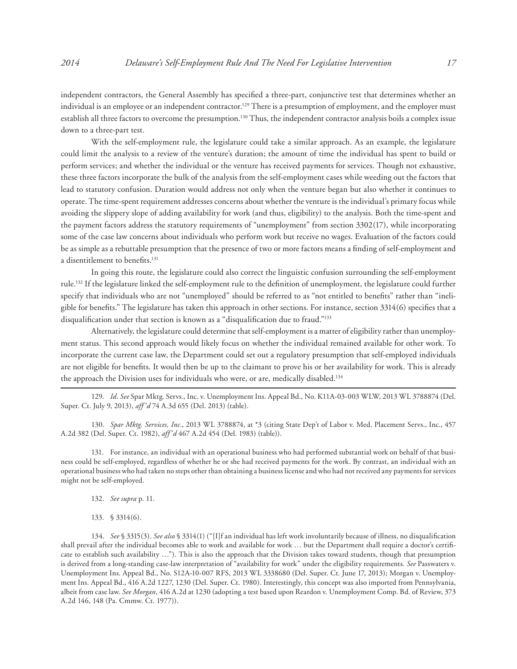independent contractors, the General Assembly has specified a three-part, conjunctive test that determines whether an individual is an employee or an independent contractor.<sup>129</sup> There is a presumption of employment, and the employer must establish all three factors to overcome the presumption.<sup>130</sup> Thus, the independent contractor analysis boils a complex issue down to a three-part test.

With the self-employment rule, the legislature could take a similar approach. As an example, the legislature could limit the analysis to a review of the venture's duration; the amount of time the individual has spent to build or perform services; and whether the individual or the venture has received payments for services. Though not exhaustive, these three factors incorporate the bulk of the analysis from the self-employment cases while weeding out the factors that lead to statutory confusion. Duration would address not only when the venture began but also whether it continues to operate. The time-spent requirement addresses concerns about whether the venture is the individual's primary focus while avoiding the slippery slope of adding availability for work (and thus, eligibility) to the analysis. Both the time-spent and the payment factors address the statutory requirements of "unemployment" from section 3302(17), while incorporating some of the case law concerns about individuals who perform work but receive no wages. Evaluation of the factors could be as simple as a rebuttable presumption that the presence of two or more factors means a finding of self-employment and a disentitlement to benefits.<sup>131</sup>

In going this route, the legislature could also correct the linguistic confusion surrounding the self-employment rule.132 If the legislature linked the self-employment rule to the definition of unemployment, the legislature could further specify that individuals who are not "unemployed" should be referred to as "not entitled to benefits" rather than "ineligible for benefits." The legislature has taken this approach in other sections. For instance, section 3314(6) specifies that a disqualification under that section is known as a "disqualification due to fraud."133

Alternatively, the legislature could determine that self-employment is a matter of eligibility rather than unemployment status. This second approach would likely focus on whether the individual remained available for other work. To incorporate the current case law, the Department could set out a regulatory presumption that self-employed individuals are not eligible for benefits. It would then be up to the claimant to prove his or her availability for work. This is already the approach the Division uses for individuals who were, or are, medically disabled.134

129. *Id*. *See* Spar Mktg. Servs., Inc. v. Unemployment Ins. Appeal Bd., No. K11A-03-003 WLW, 2013 WL 3788874 (Del. Super. Ct. July 9, 2013), *aff 'd* 74 A.3d 655 (Del. 2013) (table).

130. *Spar Mktg. Services, Inc.*, 2013 WL 3788874, at \*3 (citing State Dep't of Labor v. Med. Placement Servs., Inc., 457 A.2d 382 (Del. Super. Ct. 1982), *aff'd* 467 A.2d 454 (Del. 1983) (table)).

131. For instance, an individual with an operational business who had performed substantial work on behalf of that business could be self-employed, regardless of whether he or she had received payments for the work. By contrast, an individual with an operational business who had taken no steps other than obtaining a business license and who had not received any payments for services might not be self-employed.

- 132. *See supra* p. 11.
- 133. § 3314(6).

134. *See* § 3315(3). *See also* § 3314(1) ("[I]f an individual has left work involuntarily because of illness, no disqualification shall prevail after the individual becomes able to work and available for work … but the Department shall require a doctor's certificate to establish such availability …"). This is also the approach that the Division takes toward students, though that presumption is derived from a long-standing case-law interpretation of "availability for work" under the eligibility requirements. *See* Passwaters v. Unemployment Ins. Appeal Bd., No. S12A-10-007 RFS, 2013 WL 3338680 (Del. Super. Ct. June 17, 2013); Morgan v. Unemployment Ins. Appeal Bd., 416 A.2d 1227, 1230 (Del. Super. Ct. 1980). Interestingly, this concept was also imported from Pennsylvania, albeit from case law. *See Morgan*, 416 A.2d at 1230 (adopting a test based upon Reardon v. Unemployment Comp. Bd. of Review, 373 A.2d 146, 148 (Pa. Cmmw. Ct. 1977)).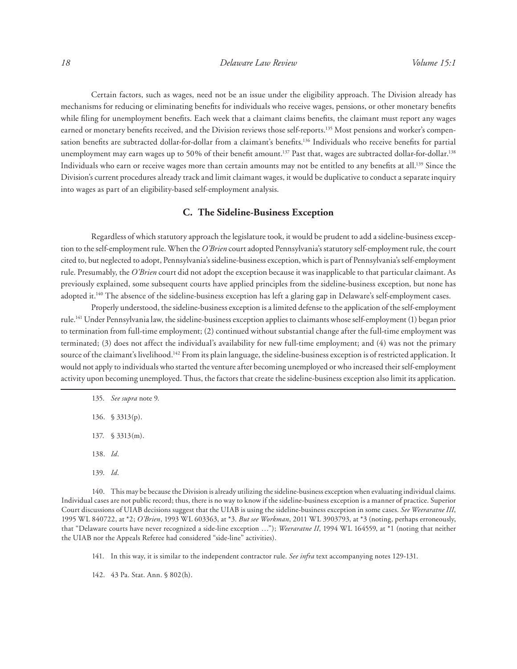Certain factors, such as wages, need not be an issue under the eligibility approach. The Division already has mechanisms for reducing or eliminating benefits for individuals who receive wages, pensions, or other monetary benefits while filing for unemployment benefits. Each week that a claimant claims benefits, the claimant must report any wages earned or monetary benefits received, and the Division reviews those self-reports.<sup>135</sup> Most pensions and worker's compensation benefits are subtracted dollar-for-dollar from a claimant's benefits.136 Individuals who receive benefits for partial unemployment may earn wages up to 50% of their benefit amount.<sup>137</sup> Past that, wages are subtracted dollar-for-dollar.<sup>138</sup> Individuals who earn or receive wages more than certain amounts may not be entitled to any benefits at all.139 Since the Division's current procedures already track and limit claimant wages, it would be duplicative to conduct a separate inquiry into wages as part of an eligibility-based self-employment analysis.

#### **C. The Sideline-Business Exception**

Regardless of which statutory approach the legislature took, it would be prudent to add a sideline-business exception to the self-employment rule. When the *O'Brien* court adopted Pennsylvania's statutory self-employment rule, the court cited to, but neglected to adopt, Pennsylvania's sideline-business exception, which is part of Pennsylvania's self-employment rule. Presumably, the *O'Brien* court did not adopt the exception because it was inapplicable to that particular claimant. As previously explained, some subsequent courts have applied principles from the sideline-business exception, but none has adopted it.140 The absence of the sideline-business exception has left a glaring gap in Delaware's self-employment cases.

Properly understood, the sideline-business exception is a limited defense to the application of the self-employment rule.141 Under Pennsylvania law, the sideline-business exception applies to claimants whose self-employment (1) began prior to termination from full-time employment; (2) continued without substantial change after the full-time employment was terminated; (3) does not affect the individual's availability for new full-time employment; and (4) was not the primary source of the claimant's livelihood.142 From its plain language, the sideline-business exception is of restricted application. It would not apply to individuals who started the venture after becoming unemployed or who increased their self-employment activity upon becoming unemployed. Thus, the factors that create the sideline-business exception also limit its application.

- 136. § 3313(p).
- 137. § 3313(m).
- 138. *Id*.
- 139. *Id*.

140. This may be because the Division is already utilizing the sideline-business exception when evaluating individual claims. Individual cases are not public record; thus, there is no way to know if the sideline-business exception is a manner of practice. Superior Court discussions of UIAB decisions suggest that the UIAB is using the sideline-business exception in some cases. *See Weeraratne III*, 1995 WL 840722, at \*2; *O'Brien*, 1993 WL 603363, at \*3. *But see Workman*, 2011 WL 3903793, at \*3 (noting, perhaps erroneously, that "Delaware courts have never recognized a side-line exception …"); *Weeraratne II*, 1994 WL 164559, at \*1 (noting that neither the UIAB nor the Appeals Referee had considered "side-line" activities).

141. In this way, it is similar to the independent contractor rule. *See infra* text accompanying notes 129-131.

142. 43 Pa. Stat. Ann. § 802(h).

<sup>135.</sup> *See supra* note 9.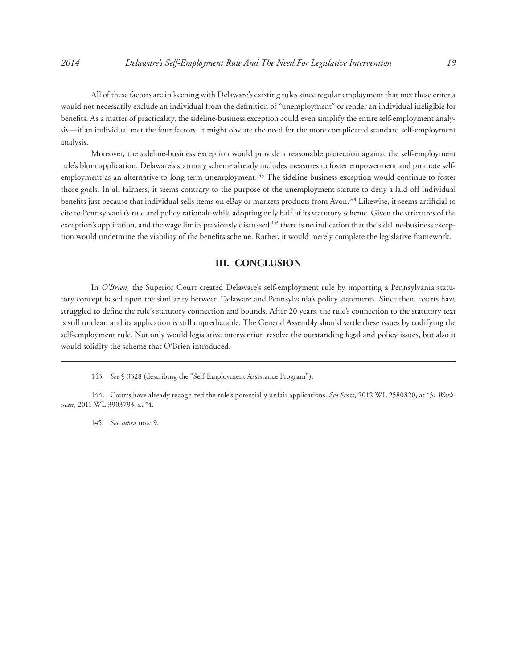All of these factors are in keeping with Delaware's existing rules since regular employment that met these criteria would not necessarily exclude an individual from the definition of "unemployment" or render an individual ineligible for benefits. As a matter of practicality, the sideline-business exception could even simplify the entire self-employment analysis—if an individual met the four factors, it might obviate the need for the more complicated standard self-employment analysis.

Moreover, the sideline-business exception would provide a reasonable protection against the self-employment rule's blunt application. Delaware's statutory scheme already includes measures to foster empowerment and promote selfemployment as an alternative to long-term unemployment.<sup>143</sup> The sideline-business exception would continue to foster those goals. In all fairness, it seems contrary to the purpose of the unemployment statute to deny a laid-off individual benefits just because that individual sells items on eBay or markets products from Avon.144 Likewise, it seems artificial to cite to Pennsylvania's rule and policy rationale while adopting only half of its statutory scheme. Given the strictures of the exception's application, and the wage limits previously discussed,<sup>145</sup> there is no indication that the sideline-business exception would undermine the viability of the benefits scheme. Rather, it would merely complete the legislative framework.

#### **III. CONCLUSION**

In *O'Brien,* the Superior Court created Delaware's self-employment rule by importing a Pennsylvania statutory concept based upon the similarity between Delaware and Pennsylvania's policy statements. Since then, courts have struggled to define the rule's statutory connection and bounds. After 20 years, the rule's connection to the statutory text is still unclear, and its application is still unpredictable. The General Assembly should settle these issues by codifying the self-employment rule. Not only would legislative intervention resolve the outstanding legal and policy issues, but also it would solidify the scheme that O'Brien introduced*.*

143. *See* § 3328 (describing the "Self-Employment Assistance Program").

144. Courts have already recognized the rule's potentially unfair applications. *See Scott*, 2012 WL 2580820, at \*3; *Workman*, 2011 WL 3903793, at \*4.

145. *See supra* note 9.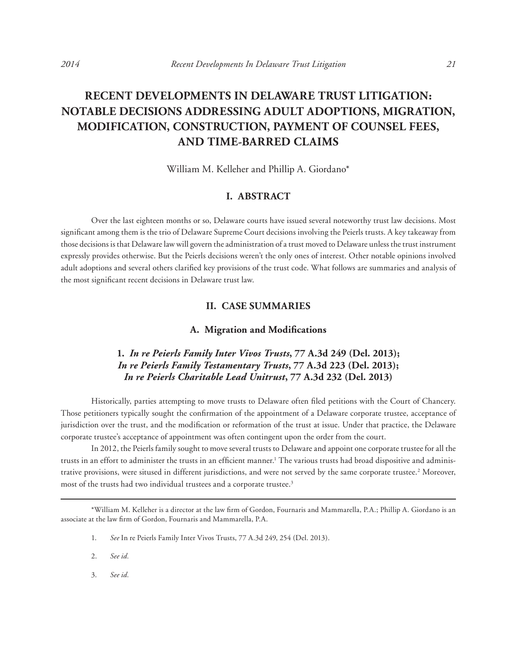## **RECENT DEVELOPMENTS IN DELAWARE TRUST LITIGATION: NOTABLE DECISIONS ADDRESSING ADULT ADOPTIONS, MIGRATION, MODIFICATION, CONSTRUCTION, PAYMENT OF COUNSEL FEES, AND TIME-BARRED CLAIMS**

William M. Kelleher and Phillip A. Giordano\*

#### **I. ABSTRACT**

Over the last eighteen months or so, Delaware courts have issued several noteworthy trust law decisions. Most significant among them is the trio of Delaware Supreme Court decisions involving the Peierls trusts. A key takeaway from those decisions is that Delaware law will govern the administration of a trust moved to Delaware unless the trust instrument expressly provides otherwise. But the Peierls decisions weren't the only ones of interest. Other notable opinions involved adult adoptions and several others clarified key provisions of the trust code. What follows are summaries and analysis of the most significant recent decisions in Delaware trust law.

#### **II. CASE SUMMARIES**

#### **A. Migration and Modifications**

#### **1.** *In re Peierls Family Inter Vivos Trusts***, 77 A.3d 249 (Del. 2013);**  *In re Peierls Family Testamentary Trusts***, 77 A.3d 223 (Del. 2013);**  *In re Peierls Charitable Lead Unitrust***, 77 A.3d 232 (Del. 2013)**

Historically, parties attempting to move trusts to Delaware often filed petitions with the Court of Chancery. Those petitioners typically sought the confirmation of the appointment of a Delaware corporate trustee, acceptance of jurisdiction over the trust, and the modification or reformation of the trust at issue. Under that practice, the Delaware corporate trustee's acceptance of appointment was often contingent upon the order from the court.

In 2012, the Peierls family sought to move several trusts to Delaware and appoint one corporate trustee for all the trusts in an effort to administer the trusts in an efficient manner.' The various trusts had broad dispositive and administrative provisions, were sitused in different jurisdictions, and were not served by the same corporate trustee.<sup>2</sup> Moreover, most of the trusts had two individual trustees and a corporate trustee.<sup>3</sup>

2. *See id.*

3. *See id.*

<sup>\*</sup>William M. Kelleher is a director at the law firm of Gordon, Fournaris and Mammarella, P.A.; Phillip A. Giordano is an associate at the law firm of Gordon, Fournaris and Mammarella, P.A.

<sup>1.</sup> *See* In re Peierls Family Inter Vivos Trusts, 77 A.3d 249, 254 (Del. 2013).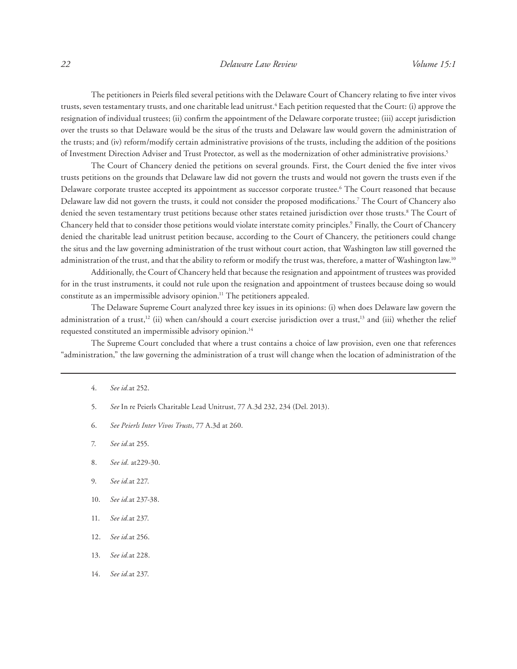The petitioners in Peierls filed several petitions with the Delaware Court of Chancery relating to five inter vivos trusts, seven testamentary trusts, and one charitable lead unitrust.4 Each petition requested that the Court: (i) approve the resignation of individual trustees; (ii) confirm the appointment of the Delaware corporate trustee; (iii) accept jurisdiction over the trusts so that Delaware would be the situs of the trusts and Delaware law would govern the administration of the trusts; and (iv) reform/modify certain administrative provisions of the trusts, including the addition of the positions of Investment Direction Adviser and Trust Protector, as well as the modernization of other administrative provisions.5

The Court of Chancery denied the petitions on several grounds. First, the Court denied the five inter vivos trusts petitions on the grounds that Delaware law did not govern the trusts and would not govern the trusts even if the Delaware corporate trustee accepted its appointment as successor corporate trustee.6 The Court reasoned that because Delaware law did not govern the trusts, it could not consider the proposed modifications.7 The Court of Chancery also denied the seven testamentary trust petitions because other states retained jurisdiction over those trusts.<sup>8</sup> The Court of Chancery held that to consider those petitions would violate interstate comity principles.9 Finally, the Court of Chancery denied the charitable lead unitrust petition because, according to the Court of Chancery, the petitioners could change the situs and the law governing administration of the trust without court action, that Washington law still governed the administration of the trust, and that the ability to reform or modify the trust was, therefore, a matter of Washington law.<sup>10</sup>

Additionally, the Court of Chancery held that because the resignation and appointment of trustees was provided for in the trust instruments, it could not rule upon the resignation and appointment of trustees because doing so would constitute as an impermissible advisory opinion.<sup>11</sup> The petitioners appealed.

The Delaware Supreme Court analyzed three key issues in its opinions: (i) when does Delaware law govern the administration of a trust,<sup>12</sup> (ii) when can/should a court exercise jurisdiction over a trust,<sup>13</sup> and (iii) whether the relief requested constituted an impermissible advisory opinion.<sup>14</sup>

The Supreme Court concluded that where a trust contains a choice of law provision, even one that references "administration," the law governing the administration of a trust will change when the location of administration of the

- 5. *See* In re Peierls Charitable Lead Unitrust, 77 A.3d 232, 234 (Del. 2013).
- 6. *See Peierls Inter Vivos Trusts*, 77 A.3d at 260.
- 7. *See id.*at 255.
- 8. *See id.* at229-30.
- 9. *See id.*at 227.
- 10. *See id.*at 237-38.
- 11. *See id.*at 237.
- 12. *See id.*at 256.
- 13. *See id.*at 228.
- 14. *See id.*at 237.

<sup>4.</sup> *See id.*at 252.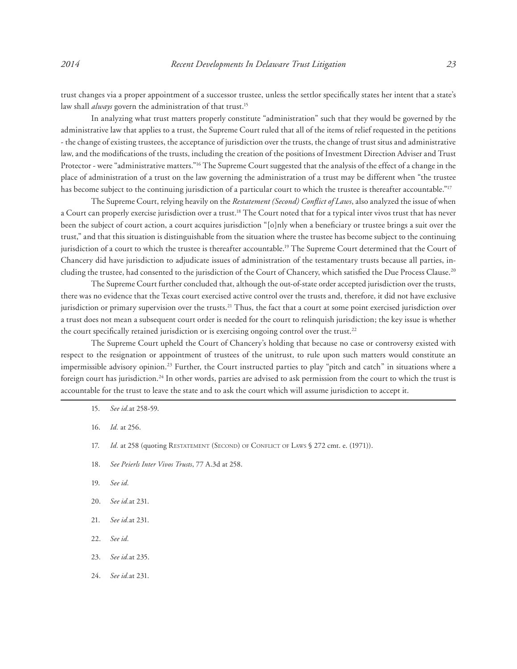trust changes via a proper appointment of a successor trustee, unless the settlor specifically states her intent that a state's law shall *always* govern the administration of that trust.<sup>15</sup>

In analyzing what trust matters properly constitute "administration" such that they would be governed by the administrative law that applies to a trust, the Supreme Court ruled that all of the items of relief requested in the petitions - the change of existing trustees, the acceptance of jurisdiction over the trusts, the change of trust situs and administrative law, and the modifications of the trusts, including the creation of the positions of Investment Direction Adviser and Trust Protector - were "administrative matters."<sup>16</sup> The Supreme Court suggested that the analysis of the effect of a change in the place of administration of a trust on the law governing the administration of a trust may be different when "the trustee has become subject to the continuing jurisdiction of a particular court to which the trustee is thereafter accountable."<sup>17</sup>

The Supreme Court, relying heavily on the *Restatement (Second) Conflict of Laws*, also analyzed the issue of when a Court can properly exercise jurisdiction over a trust.<sup>18</sup> The Court noted that for a typical inter vivos trust that has never been the subject of court action, a court acquires jurisdiction "[o]nly when a beneficiary or trustee brings a suit over the trust," and that this situation is distinguishable from the situation where the trustee has become subject to the continuing jurisdiction of a court to which the trustee is thereafter accountable.<sup>19</sup> The Supreme Court determined that the Court of Chancery did have jurisdiction to adjudicate issues of administration of the testamentary trusts because all parties, including the trustee, had consented to the jurisdiction of the Court of Chancery, which satisfied the Due Process Clause.<sup>20</sup>

The Supreme Court further concluded that, although the out-of-state order accepted jurisdiction over the trusts, there was no evidence that the Texas court exercised active control over the trusts and, therefore, it did not have exclusive jurisdiction or primary supervision over the trusts.<sup>21</sup> Thus, the fact that a court at some point exercised jurisdiction over a trust does not mean a subsequent court order is needed for the court to relinquish jurisdiction; the key issue is whether the court specifically retained jurisdiction or is exercising ongoing control over the trust.<sup>22</sup>

The Supreme Court upheld the Court of Chancery's holding that because no case or controversy existed with respect to the resignation or appointment of trustees of the unitrust, to rule upon such matters would constitute an impermissible advisory opinion.23 Further, the Court instructed parties to play "pitch and catch" in situations where a foreign court has jurisdiction.24 In other words, parties are advised to ask permission from the court to which the trust is accountable for the trust to leave the state and to ask the court which will assume jurisdiction to accept it.

- 18. *See Peierls Inter Vivos Trusts*, 77 A.3d at 258.
- 19. *See id.*
- 20. *See id.*at 231.
- 21. *See id.*at 231.
- 22. *See id.*
- 23. *See id.*at 235.
- 24. *See id.*at 231.

<sup>15.</sup> *See id.*at 258-59.

<sup>16.</sup> *Id.* at 256.

<sup>17.</sup> *Id.* at 258 (quoting RESTATEMENT (SECOND) OF CONFLICT OF LAWS § 272 cmt. e. (1971)).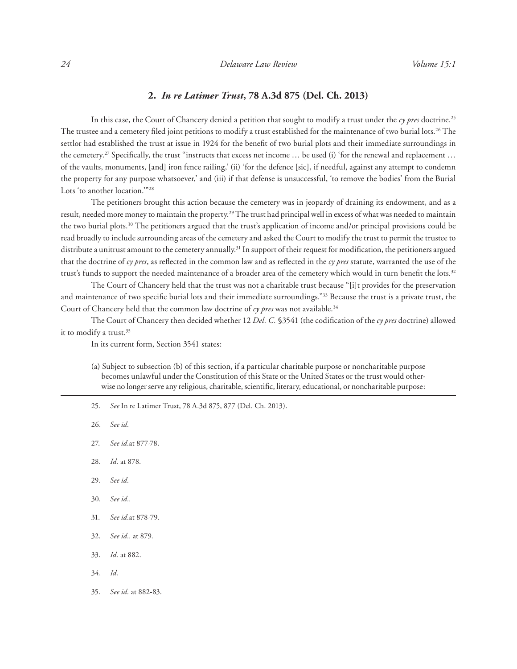#### **2.** *In re Latimer Trust***, 78 A.3d 875 (Del. Ch. 2013)**

In this case, the Court of Chancery denied a petition that sought to modify a trust under the *cy pres* doctrine.<sup>25</sup> The trustee and a cemetery filed joint petitions to modify a trust established for the maintenance of two burial lots.<sup>26</sup> The settlor had established the trust at issue in 1924 for the benefit of two burial plots and their immediate surroundings in the cemetery.<sup>27</sup> Specifically, the trust "instructs that excess net income ... be used (i) 'for the renewal and replacement ... of the vaults, monuments, [and] iron fence railing,' (ii) 'for the defence [sic], if needful, against any attempt to condemn the property for any purpose whatsoever,' and (iii) if that defense is unsuccessful, 'to remove the bodies' from the Burial Lots 'to another location."<sup>28</sup>

The petitioners brought this action because the cemetery was in jeopardy of draining its endowment, and as a result, needed more money to maintain the property.<sup>29</sup> The trust had principal well in excess of what was needed to maintain the two burial plots.30 The petitioners argued that the trust's application of income and/or principal provisions could be read broadly to include surrounding areas of the cemetery and asked the Court to modify the trust to permit the trustee to distribute a unitrust amount to the cemetery annually.<sup>31</sup> In support of their request for modification, the petitioners argued that the doctrine of *cy pres*, as reflected in the common law and as reflected in the *cy pres* statute, warranted the use of the trust's funds to support the needed maintenance of a broader area of the cemetery which would in turn benefit the lots.32

The Court of Chancery held that the trust was not a charitable trust because "[i]t provides for the preservation and maintenance of two specific burial lots and their immediate surroundings."33 Because the trust is a private trust, the Court of Chancery held that the common law doctrine of *cy pres* was not available.<sup>34</sup>

The Court of Chancery then decided whether 12 *Del. C.* §3541 (the codification of the *cy pres* doctrine) allowed it to modify a trust.35

In its current form, Section 3541 states:

(a) Subject to subsection (b) of this section, if a particular charitable purpose or noncharitable purpose becomes unlawful under the Constitution of this State or the United States or the trust would otherwise no longer serve any religious, charitable, scientific, literary, educational, or noncharitable purpose:

- 25. *See* In re Latimer Trust, 78 A.3d 875, 877 (Del. Ch. 2013).
- 26. *See id.*
- 27. *See id.*at 877-78.
- 28. *Id.* at 878.
- 29. *See id.*
- 30. *See id..*
- 31. *See id.*at 878-79.
- 32. *See id..* at 879.
- 33. *Id.* at 882.
- 34. *Id.*
- 35. *See id.* at 882-83.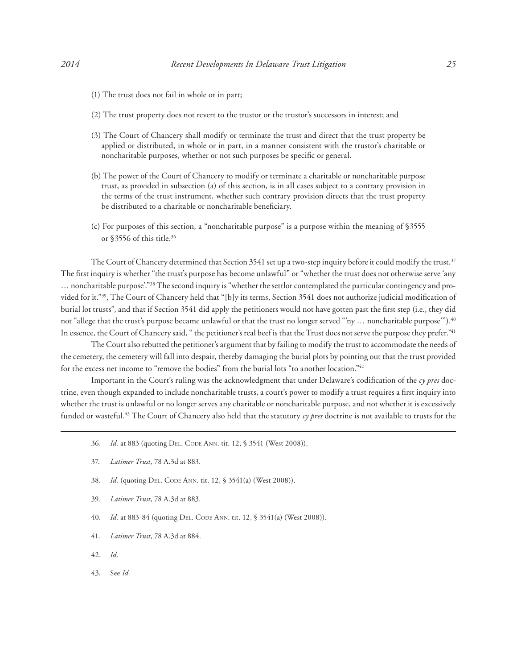- (1) The trust does not fail in whole or in part;
- (2) The trust property does not revert to the trustor or the trustor's successors in interest; and
- (3) The Court of Chancery shall modify or terminate the trust and direct that the trust property be applied or distributed, in whole or in part, in a manner consistent with the trustor's charitable or noncharitable purposes, whether or not such purposes be specific or general.
- (b) The power of the Court of Chancery to modify or terminate a charitable or noncharitable purpose trust, as provided in subsection (a) of this section, is in all cases subject to a contrary provision in the terms of the trust instrument, whether such contrary provision directs that the trust property be distributed to a charitable or noncharitable beneficiary.
- (c) For purposes of this section, a "noncharitable purpose" is a purpose within the meaning of §3555 or §3556 of this title.36

The Court of Chancery determined that Section 3541 set up a two-step inquiry before it could modify the trust.<sup>37</sup> The first inquiry is whether "the trust's purpose has become unlawful" or "whether the trust does not otherwise serve 'any ... noncharitable purpose'."<sup>38</sup> The second inquiry is "whether the settlor contemplated the particular contingency and provided for it."39, The Court of Chancery held that "[b]y its terms, Section 3541 does not authorize judicial modification of burial lot trusts", and that if Section 3541 did apply the petitioners would not have gotten past the first step (i.e., they did not "allege that the trust's purpose became unlawful or that the trust no longer served "ny ... noncharitable purpose").<sup>40</sup> In essence, the Court of Chancery said, " the petitioner's real beef is that the Trust does not serve the purpose they prefer."41

The Court also rebutted the petitioner's argument that by failing to modify the trust to accommodate the needs of the cemetery, the cemetery will fall into despair, thereby damaging the burial plots by pointing out that the trust provided for the excess net income to "remove the bodies" from the burial lots "to another location."<sup>42</sup>

Important in the Court's ruling was the acknowledgment that under Delaware's codification of the *cy pres* doctrine, even though expanded to include noncharitable trusts, a court's power to modify a trust requires a first inquiry into whether the trust is unlawful or no longer serves any charitable or noncharitable purpose, and not whether it is excessively funded or wasteful.43 The Court of Chancery also held that the statutory *cy pres* doctrine is not available to trusts for the

- 36. *Id.* at 883 (quoting DEL. CODE ANN. tit. 12, § 3541 (West 2008)).
- 37. *Latimer Trust*, 78 A.3d at 883.
- 38. *Id.* (quoting DEL. CODE ANN. tit. 12, § 3541(a) (West 2008)).
- 39. *Latimer Trust*, 78 A.3d at 883.
- 40. *Id.* at 883-84 (quoting DEL. CODE ANN. tit. 12, § 3541(a) (West 2008)).
- 41. *Latimer Trust*, 78 A.3d at 884.
- 42. *Id.*
- 43. See *Id.*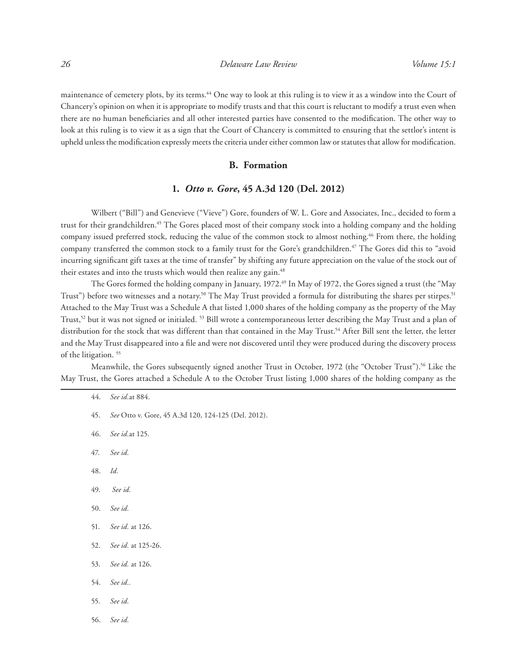maintenance of cemetery plots, by its terms.44 One way to look at this ruling is to view it as a window into the Court of Chancery's opinion on when it is appropriate to modify trusts and that this court is reluctant to modify a trust even when there are no human beneficiaries and all other interested parties have consented to the modification. The other way to look at this ruling is to view it as a sign that the Court of Chancery is committed to ensuring that the settlor's intent is upheld unless the modification expressly meets the criteria under either common law or statutes that allow for modification.

#### **B. Formation**

#### **1.** *Otto v. Gore***, 45 A.3d 120 (Del. 2012)**

Wilbert ("Bill") and Genevieve ("Vieve") Gore, founders of W. L. Gore and Associates, Inc., decided to form a trust for their grandchildren.45 The Gores placed most of their company stock into a holding company and the holding company issued preferred stock, reducing the value of the common stock to almost nothing.46 From there, the holding company transferred the common stock to a family trust for the Gore's grandchildren.47 The Gores did this to "avoid incurring significant gift taxes at the time of transfer" by shifting any future appreciation on the value of the stock out of their estates and into the trusts which would then realize any gain.<sup>48</sup>

The Gores formed the holding company in January, 1972.<sup>49</sup> In May of 1972, the Gores signed a trust (the "May Trust") before two witnesses and a notary.<sup>50</sup> The May Trust provided a formula for distributing the shares per stirpes.<sup>51</sup> Attached to the May Trust was a Schedule A that listed 1,000 shares of the holding company as the property of the May Trust,<sup>52</sup> but it was not signed or initialed. <sup>53</sup> Bill wrote a contemporaneous letter describing the May Trust and a plan of distribution for the stock that was different than that contained in the May Trust.<sup>54</sup> After Bill sent the letter, the letter and the May Trust disappeared into a file and were not discovered until they were produced during the discovery process of the litigation.<sup>55</sup>

Meanwhile, the Gores subsequently signed another Trust in October, 1972 (the "October Trust").<sup>56</sup> Like the May Trust, the Gores attached a Schedule A to the October Trust listing 1,000 shares of the holding company as the

- 45. *See* Otto v. Gore, 45 A.3d 120, 124-125 (Del. 2012).
- 46. *See id.*at 125.
- 47. *See id.*
- 48. *Id.*
- 49. *See id.*
- 50. *See id.*
- 51. *See id.* at 126.
- 52. *See id.* at 125-26.
- 53. *See id.* at 126.
- 54. *See id..*
- 55. *See id.*
- 56. *See id.*

<sup>44.</sup> *See id.*at 884.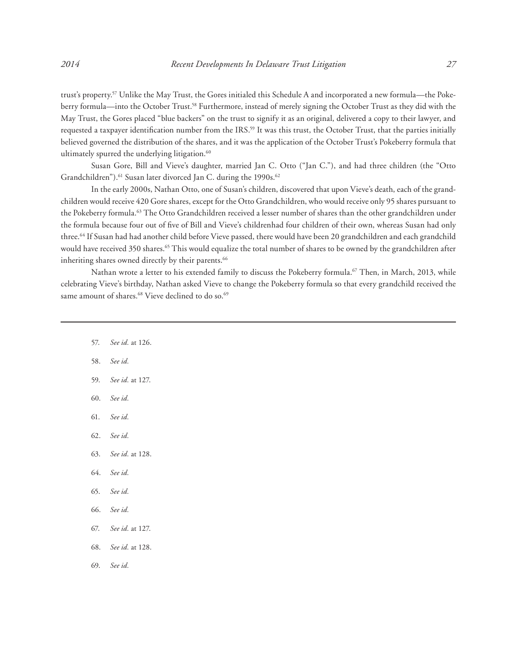trust's property.57 Unlike the May Trust, the Gores initialed this Schedule A and incorporated a new formula—the Pokeberry formula—into the October Trust.58 Furthermore, instead of merely signing the October Trust as they did with the May Trust, the Gores placed "blue backers" on the trust to signify it as an original, delivered a copy to their lawyer, and requested a taxpayer identification number from the IRS.59 It was this trust, the October Trust, that the parties initially believed governed the distribution of the shares, and it was the application of the October Trust's Pokeberry formula that ultimately spurred the underlying litigation.<sup>60</sup>

Susan Gore, Bill and Vieve's daughter, married Jan C. Otto ("Jan C."), and had three children (the "Otto Grandchildren").<sup>61</sup> Susan later divorced Jan C. during the 1990s.<sup>62</sup>

In the early 2000s, Nathan Otto, one of Susan's children, discovered that upon Vieve's death, each of the grandchildren would receive 420 Gore shares, except for the Otto Grandchildren, who would receive only 95 shares pursuant to the Pokeberry formula.63 The Otto Grandchildren received a lesser number of shares than the other grandchildren under the formula because four out of five of Bill and Vieve's childrenhad four children of their own, whereas Susan had only three.64 If Susan had had another child before Vieve passed, there would have been 20 grandchildren and each grandchild would have received 350 shares.<sup>65</sup> This would equalize the total number of shares to be owned by the grandchildren after inheriting shares owned directly by their parents.<sup>66</sup>

Nathan wrote a letter to his extended family to discuss the Pokeberry formula.<sup>67</sup> Then, in March, 2013, while celebrating Vieve's birthday, Nathan asked Vieve to change the Pokeberry formula so that every grandchild received the same amount of shares.<sup>68</sup> Vieve declined to do so.<sup>69</sup>

- 57. *See id.* at 126.
- 58. *See id.*
- 59. *See id.* at 127.
- 60. *See id.*
- 61. *See id.*
- 62. *See id.*
- 63. *See id.* at 128.
- 64. *See id.*
- 65. *See id.*
- 66. *See id.*
- 67. *See id.* at 127.
- 68. *See id.* at 128.
- 69. *See id.*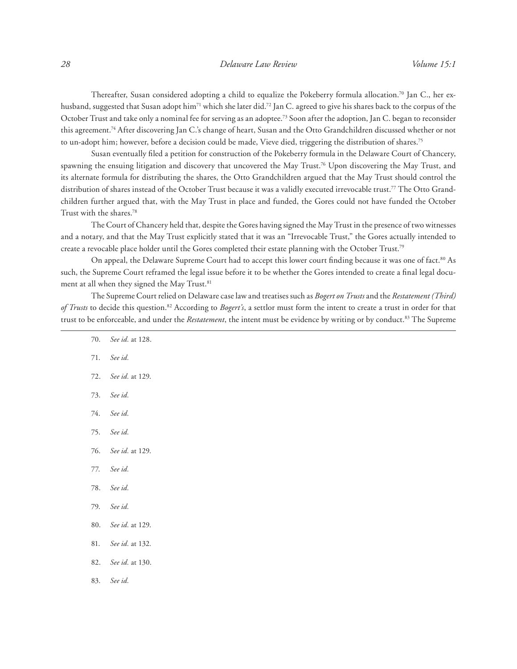Thereafter, Susan considered adopting a child to equalize the Pokeberry formula allocation.70 Jan C., her exhusband, suggested that Susan adopt him<sup>71</sup> which she later did.<sup>72</sup> Jan C. agreed to give his shares back to the corpus of the October Trust and take only a nominal fee for serving as an adoptee.73 Soon after the adoption, Jan C. began to reconsider this agreement.74 After discovering Jan C.'s change of heart, Susan and the Otto Grandchildren discussed whether or not to un-adopt him; however, before a decision could be made, Vieve died, triggering the distribution of shares.75

Susan eventually filed a petition for construction of the Pokeberry formula in the Delaware Court of Chancery, spawning the ensuing litigation and discovery that uncovered the May Trust.76 Upon discovering the May Trust, and its alternate formula for distributing the shares, the Otto Grandchildren argued that the May Trust should control the distribution of shares instead of the October Trust because it was a validly executed irrevocable trust.77 The Otto Grandchildren further argued that, with the May Trust in place and funded, the Gores could not have funded the October Trust with the shares.78

The Court of Chancery held that, despite the Gores having signed the May Trust in the presence of two witnesses and a notary, and that the May Trust explicitly stated that it was an "Irrevocable Trust," the Gores actually intended to create a revocable place holder until the Gores completed their estate planning with the October Trust.79

On appeal, the Delaware Supreme Court had to accept this lower court finding because it was one of fact.<sup>80</sup> As such, the Supreme Court reframed the legal issue before it to be whether the Gores intended to create a final legal document at all when they signed the May Trust.<sup>81</sup>

The Supreme Court relied on Delaware case law and treatises such as *Bogert on Trusts* and the *Restatement (Third) of Trusts* to decide this question.82 According to *Bogert's*, a settlor must form the intent to create a trust in order for that trust to be enforceable, and under the *Restatement*, the intent must be evidence by writing or by conduct.83 The Supreme

70. *See id.* at 128. 71. *See id.* 72. *See id.* at 129. 73. *See id.* 74. *See id.* 75. *See id.* 76. *See id.* at 129. 77. *See id.* 78. *See id.* 79. *See id.* 80. *See id.* at 129. 81. *See id.* at 132*.* 82. *See id.* at 130. 83. *See id.*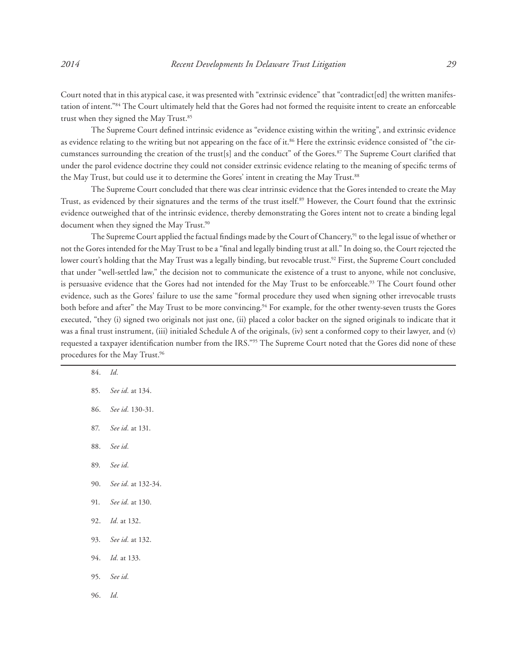Court noted that in this atypical case, it was presented with "extrinsic evidence" that "contradict[ed] the written manifestation of intent."84 The Court ultimately held that the Gores had not formed the requisite intent to create an enforceable trust when they signed the May Trust.85

The Supreme Court defined intrinsic evidence as "evidence existing within the writing", and extrinsic evidence as evidence relating to the writing but not appearing on the face of it.<sup>86</sup> Here the extrinsic evidence consisted of "the circumstances surrounding the creation of the trust[s] and the conduct" of the Gores.87 The Supreme Court clarified that under the parol evidence doctrine they could not consider extrinsic evidence relating to the meaning of specific terms of the May Trust, but could use it to determine the Gores' intent in creating the May Trust.<sup>88</sup>

The Supreme Court concluded that there was clear intrinsic evidence that the Gores intended to create the May Trust, as evidenced by their signatures and the terms of the trust itself.89 However, the Court found that the extrinsic evidence outweighed that of the intrinsic evidence, thereby demonstrating the Gores intent not to create a binding legal document when they signed the May Trust.<sup>90</sup>

The Supreme Court applied the factual findings made by the Court of Chancery,<sup>91</sup> to the legal issue of whether or not the Gores intended for the May Trust to be a "final and legally binding trust at all." In doing so, the Court rejected the lower court's holding that the May Trust was a legally binding, but revocable trust.<sup>92</sup> First, the Supreme Court concluded that under "well-settled law," the decision not to communicate the existence of a trust to anyone, while not conclusive, is persuasive evidence that the Gores had not intended for the May Trust to be enforceable.<sup>93</sup> The Court found other evidence, such as the Gores' failure to use the same "formal procedure they used when signing other irrevocable trusts both before and after" the May Trust to be more convincing.94 For example, for the other twenty-seven trusts the Gores executed, "they (i) signed two originals not just one, (ii) placed a color backer on the signed originals to indicate that it was a final trust instrument, (iii) initialed Schedule A of the originals, (iv) sent a conformed copy to their lawyer, and (v) requested a taxpayer identification number from the IRS."95 The Supreme Court noted that the Gores did none of these procedures for the May Trust.<sup>96</sup>

| 84. | Id.                    |
|-----|------------------------|
|     | 85. See id. at 134.    |
| 86. | See id. 130-31.        |
| 87. | See id. at 131.        |
| 88. | See id.                |
| 89. | See id.                |
|     | 90. See id. at 132-34. |
| 91. | See id. at 130.        |
| 92. | <i>Id.</i> at 132.     |
| 93. | See id. at 132.        |
| 94. | Id. at 133.            |
| 95. | See id.                |
| 96. | Id.                    |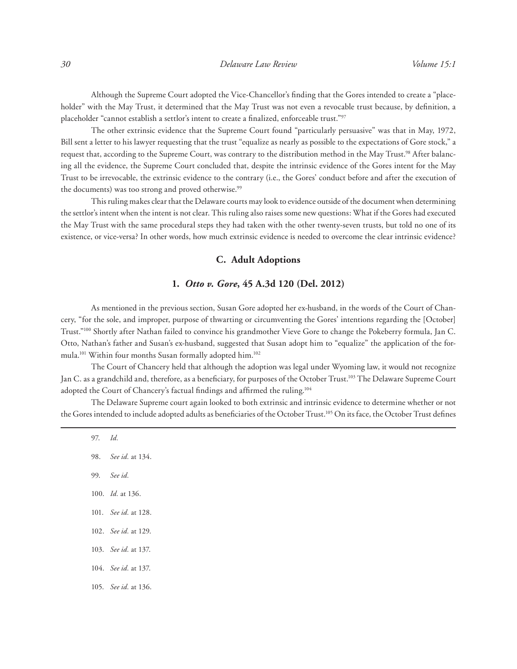Although the Supreme Court adopted the Vice-Chancellor's finding that the Gores intended to create a "placeholder" with the May Trust, it determined that the May Trust was not even a revocable trust because, by definition, a placeholder "cannot establish a settlor's intent to create a finalized, enforceable trust."97

The other extrinsic evidence that the Supreme Court found "particularly persuasive" was that in May, 1972, Bill sent a letter to his lawyer requesting that the trust "equalize as nearly as possible to the expectations of Gore stock," a request that, according to the Supreme Court, was contrary to the distribution method in the May Trust.<sup>98</sup> After balancing all the evidence, the Supreme Court concluded that, despite the intrinsic evidence of the Gores intent for the May Trust to be irrevocable, the extrinsic evidence to the contrary (i.e., the Gores' conduct before and after the execution of the documents) was too strong and proved otherwise.<sup>99</sup>

This ruling makes clear that the Delaware courts may look to evidence outside of the document when determining the settlor's intent when the intent is not clear. This ruling also raises some new questions: What if the Gores had executed the May Trust with the same procedural steps they had taken with the other twenty-seven trusts, but told no one of its existence, or vice-versa? In other words, how much extrinsic evidence is needed to overcome the clear intrinsic evidence?

#### **C. Adult Adoptions**

#### **1.** *Otto v. Gore***, 45 A.3d 120 (Del. 2012)**

As mentioned in the previous section, Susan Gore adopted her ex-husband, in the words of the Court of Chancery, "for the sole, and improper, purpose of thwarting or circumventing the Gores' intentions regarding the [October] Trust."100 Shortly after Nathan failed to convince his grandmother Vieve Gore to change the Pokeberry formula, Jan C. Otto, Nathan's father and Susan's ex-husband, suggested that Susan adopt him to "equalize" the application of the formula.101 Within four months Susan formally adopted him.102

The Court of Chancery held that although the adoption was legal under Wyoming law, it would not recognize Jan C. as a grandchild and, therefore, as a beneficiary, for purposes of the October Trust.<sup>103</sup> The Delaware Supreme Court adopted the Court of Chancery's factual findings and affirmed the ruling.<sup>104</sup>

The Delaware Supreme court again looked to both extrinsic and intrinsic evidence to determine whether or not the Gores intended to include adopted adults as beneficiaries of the October Trust.105 On its face, the October Trust defines

- 97. *Id.*
- 98. *See id.* at 134. 99. *See id.* 100. *Id.* at 136. 101. *See id.* at 128. 102. *See id.* at 129. 103. *See id.* at 137.
- 104. *See id.* at 137.
- 105. *See id.* at 136.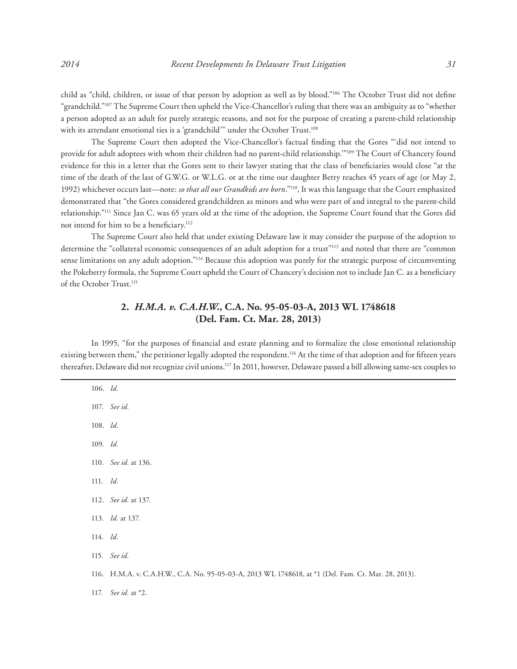child as "child, children, or issue of that person by adoption as well as by blood."106 The October Trust did not define "grandchild."107 The Supreme Court then upheld the Vice-Chancellor's ruling that there was an ambiguity as to "whether a person adopted as an adult for purely strategic reasons, and not for the purpose of creating a parent-child relationship with its attendant emotional ties is a 'grandchild'" under the October Trust.<sup>108</sup>

The Supreme Court then adopted the Vice-Chancellor's factual finding that the Gores "'did not intend to provide for adult adoptees with whom their children had no parent-child relationship.'"109 The Court of Chancery found evidence for this in a letter that the Gores sent to their lawyer stating that the class of beneficiaries would close "at the time of the death of the last of G.W.G. or W.L.G. or at the time our daughter Betty reaches 45 years of age (or May 2, 1992) whichever occurs last—note: *so that all our Grandkids are born*."110, It was this language that the Court emphasized demonstrated that "the Gores considered grandchildren as minors and who were part of and integral to the parent-child relationship."111 Since Jan C. was 65 years old at the time of the adoption, the Supreme Court found that the Gores did not intend for him to be a beneficiary.<sup>112</sup>

The Supreme Court also held that under existing Delaware law it may consider the purpose of the adoption to determine the "collateral economic consequences of an adult adoption for a trust"113 and noted that there are "common sense limitations on any adult adoption."<sup>114</sup> Because this adoption was purely for the strategic purpose of circumventing the Pokeberry formula, the Supreme Court upheld the Court of Chancery's decision not to include Jan C. as a beneficiary of the October Trust.115

# **2.** *H.M.A. v. C.A.H.W.***, C.A. No. 95-05-03-A, 2013 WL 1748618 (Del. Fam. Ct. Mar. 28, 2013)**

In 1995, "for the purposes of financial and estate planning and to formalize the close emotional relationship existing between them," the petitioner legally adopted the respondent.116 At the time of that adoption and for fifteen years thereafter, Delaware did not recognize civil unions.117 In 2011, however, Delaware passed a bill allowing same-sex couples to

107. *See id.* 108. *Id.* 109. *Id.* 110. *See id.* at 136. 111. *Id.*

106. *Id.*

- 112. *See id.* at 137.
- 113. *Id.* at 137.
- 114. *Id.*
- 115. *See id.*

117. *See id.* at \*2.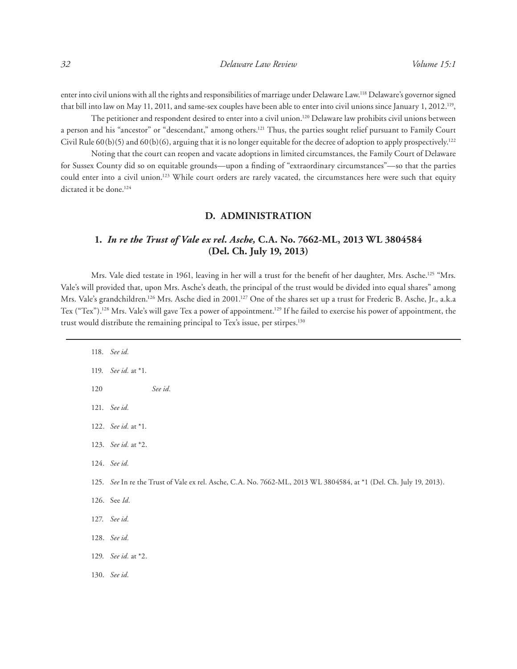enter into civil unions with all the rights and responsibilities of marriage under Delaware Law.118 Delaware's governor signed that bill into law on May 11, 2011, and same-sex couples have been able to enter into civil unions since January 1, 2012.119,

The petitioner and respondent desired to enter into a civil union.<sup>120</sup> Delaware law prohibits civil unions between a person and his "ancestor" or "descendant," among others.<sup>121</sup> Thus, the parties sought relief pursuant to Family Court Civil Rule  $60(b)(5)$  and  $60(b)(6)$ , arguing that it is no longer equitable for the decree of adoption to apply prospectively.<sup>122</sup>

Noting that the court can reopen and vacate adoptions in limited circumstances, the Family Court of Delaware for Sussex County did so on equitable grounds—upon a finding of "extraordinary circumstances"—so that the parties could enter into a civil union.<sup>123</sup> While court orders are rarely vacated, the circumstances here were such that equity dictated it be done.<sup>124</sup>

#### **D. ADMINISTRATION**

# **1.** *In re the Trust of Vale ex rel. Asche,* **C.A. No. 7662-ML, 2013 WL 3804584 (Del. Ch. July 19, 2013)**

Mrs. Vale died testate in 1961, leaving in her will a trust for the benefit of her daughter, Mrs. Asche.<sup>125</sup> "Mrs. Vale's will provided that, upon Mrs. Asche's death, the principal of the trust would be divided into equal shares" among Mrs. Vale's grandchildren.126 Mrs. Asche died in 2001.127 One of the shares set up a trust for Frederic B. Asche, Jr., a.k.a Tex ("Tex").<sup>128</sup> Mrs. Vale's will gave Tex a power of appointment.<sup>129</sup> If he failed to exercise his power of appointment, the trust would distribute the remaining principal to Tex's issue, per stirpes.<sup>130</sup>

118. *See id.* 119. *See id.* at \*1. 120 *See id.* 121. *See id.* 122. *See id.* at \*1. 123. *See id.* at \*2. 124. *See id.* 125. *See* In re the Trust of Vale ex rel. Asche, C.A. No. 7662-ML, 2013 WL 3804584, at \*1 (Del. Ch. July 19, 2013). 126. See *Id.* 127. *See id.* 128. *See id.* 129. *See id.* at \*2. 130. *See id.*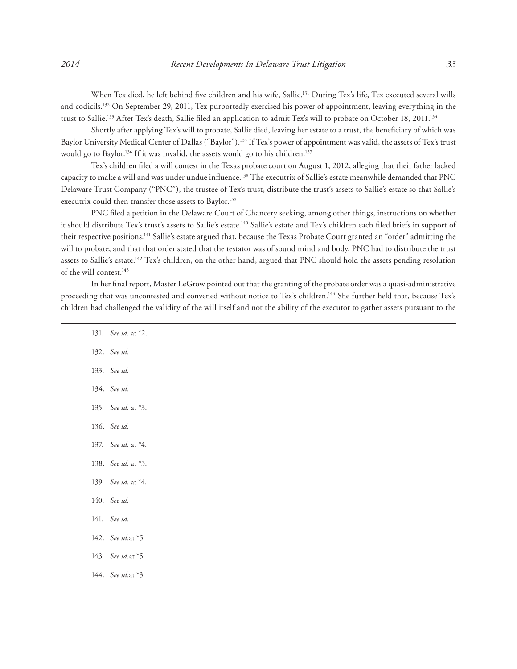When Tex died, he left behind five children and his wife, Sallie.131 During Tex's life, Tex executed several wills and codicils.132 On September 29, 2011, Tex purportedly exercised his power of appointment, leaving everything in the trust to Sallie.133 After Tex's death, Sallie filed an application to admit Tex's will to probate on October 18, 2011.134

Shortly after applying Tex's will to probate, Sallie died, leaving her estate to a trust, the beneficiary of which was Baylor University Medical Center of Dallas ("Baylor").135 If Tex's power of appointment was valid, the assets of Tex's trust would go to Baylor.<sup>136</sup> If it was invalid, the assets would go to his children.<sup>137</sup>

Tex's children filed a will contest in the Texas probate court on August 1, 2012, alleging that their father lacked capacity to make a will and was under undue influence.138 The executrix of Sallie's estate meanwhile demanded that PNC Delaware Trust Company ("PNC"), the trustee of Tex's trust, distribute the trust's assets to Sallie's estate so that Sallie's executrix could then transfer those assets to Baylor.139

PNC filed a petition in the Delaware Court of Chancery seeking, among other things, instructions on whether it should distribute Tex's trust's assets to Sallie's estate.140 Sallie's estate and Tex's children each filed briefs in support of their respective positions.141 Sallie's estate argued that, because the Texas Probate Court granted an "order" admitting the will to probate, and that that order stated that the testator was of sound mind and body, PNC had to distribute the trust assets to Sallie's estate.142 Tex's children, on the other hand, argued that PNC should hold the assets pending resolution of the will contest.143

In her final report, Master LeGrow pointed out that the granting of the probate order was a quasi-administrative proceeding that was uncontested and convened without notice to Tex's children.<sup>144</sup> She further held that, because Tex's children had challenged the validity of the will itself and not the ability of the executor to gather assets pursuant to the

- 131. *See id.* at \*2. 132. *See id.* 133. *See id.* 134. *See id.* 135. *See id.* at \*3. 136. *See id.* 137. *See id.* at \*4. 138. *See id.* at \*3. 139. *See id.* at \*4. 140. *See id.* 141. *See id.* 142. *See id.*at \*5.
- 143. *See id.*at \*5.
- 144. *See id.*at \*3.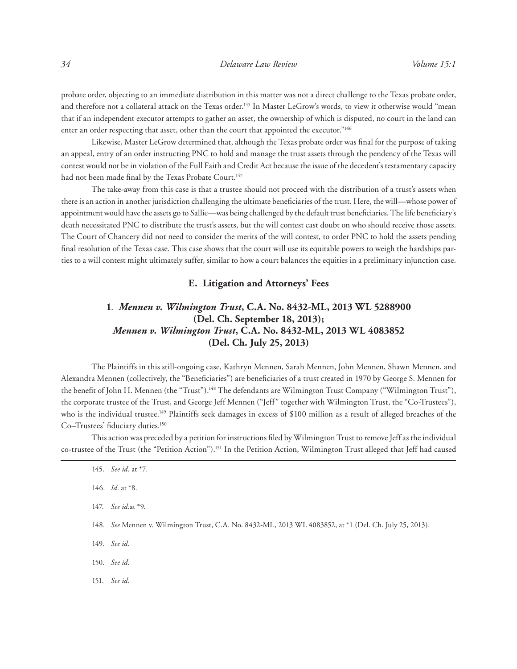probate order, objecting to an immediate distribution in this matter was not a direct challenge to the Texas probate order, and therefore not a collateral attack on the Texas order.145 In Master LeGrow's words, to view it otherwise would "mean that if an independent executor attempts to gather an asset, the ownership of which is disputed, no court in the land can enter an order respecting that asset, other than the court that appointed the executor."<sup>146</sup>

Likewise, Master LeGrow determined that, although the Texas probate order was final for the purpose of taking an appeal, entry of an order instructing PNC to hold and manage the trust assets through the pendency of the Texas will contest would not be in violation of the Full Faith and Credit Act because the issue of the decedent's testamentary capacity had not been made final by the Texas Probate Court.<sup>147</sup>

The take-away from this case is that a trustee should not proceed with the distribution of a trust's assets when there is an action in another jurisdiction challenging the ultimate beneficiaries of the trust. Here, the will—whose power of appointment would have the assets go to Sallie—was being challenged by the default trust beneficiaries. The life beneficiary's death necessitated PNC to distribute the trust's assets, but the will contest cast doubt on who should receive those assets. The Court of Chancery did not need to consider the merits of the will contest, to order PNC to hold the assets pending final resolution of the Texas case. This case shows that the court will use its equitable powers to weigh the hardships parties to a will contest might ultimately suffer, similar to how a court balances the equities in a preliminary injunction case.

#### **E. Litigation and Attorneys' Fees**

# **1***. Mennen v. Wilmington Trust***, C.A. No. 8432-ML, 2013 WL 5288900 (Del. Ch. September 18, 2013);**  *Mennen v. Wilmington Trust***, C.A. No. 8432-ML, 2013 WL 4083852 (Del. Ch. July 25, 2013)**

The Plaintiffs in this still-ongoing case, Kathryn Mennen, Sarah Mennen, John Mennen, Shawn Mennen, and Alexandra Mennen (collectively, the "Beneficiaries") are beneficiaries of a trust created in 1970 by George S. Mennen for the benefit of John H. Mennen (the "Trust").<sup>148</sup> The defendants are Wilmington Trust Company ("Wilmington Trust"), the corporate trustee of the Trust, and George Jeff Mennen ("Jeff" together with Wilmington Trust, the "Co-Trustees"), who is the individual trustee.<sup>149</sup> Plaintiffs seek damages in excess of \$100 million as a result of alleged breaches of the Co–Trustees' fiduciary duties.150

This action was preceded by a petition for instructions filed by Wilmington Trust to remove Jeff as the individual co-trustee of the Trust (the "Petition Action").151 In the Petition Action, Wilmington Trust alleged that Jeff had caused

148. *See* Mennen v. Wilmington Trust, C.A. No. 8432-ML, 2013 WL 4083852, at \*1 (Del. Ch. July 25, 2013).

149. *See id.*

150. *See id.*

151. *See id.*

<sup>145.</sup> *See id.* at \*7.

<sup>146.</sup> *Id.* at \*8.

<sup>147.</sup> *See id.*at \*9.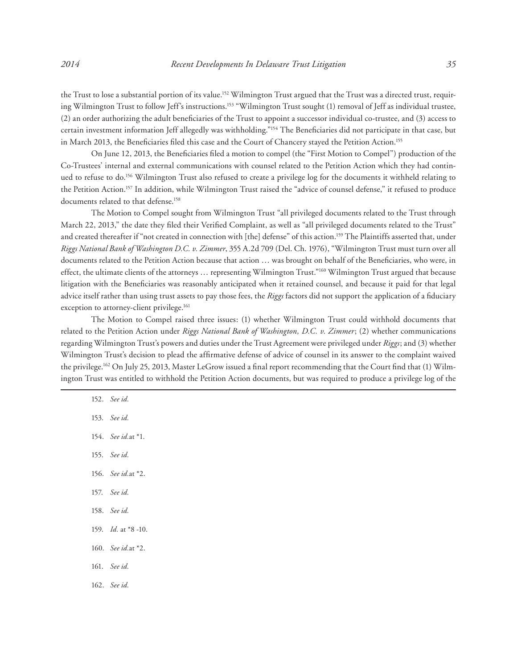the Trust to lose a substantial portion of its value.<sup>152</sup> Wilmington Trust argued that the Trust was a directed trust, requiring Wilmington Trust to follow Jeff's instructions.<sup>153</sup> "Wilmington Trust sought (1) removal of Jeff as individual trustee, (2) an order authorizing the adult beneficiaries of the Trust to appoint a successor individual co-trustee, and (3) access to certain investment information Jeff allegedly was withholding."154 The Beneficiaries did not participate in that case, but in March 2013, the Beneficiaries filed this case and the Court of Chancery stayed the Petition Action.<sup>155</sup>

On June 12, 2013, the Beneficiaries filed a motion to compel (the "First Motion to Compel") production of the Co-Trustees' internal and external communications with counsel related to the Petition Action which they had continued to refuse to do.156 Wilmington Trust also refused to create a privilege log for the documents it withheld relating to the Petition Action.<sup>157</sup> In addition, while Wilmington Trust raised the "advice of counsel defense," it refused to produce documents related to that defense.<sup>158</sup>

The Motion to Compel sought from Wilmington Trust "all privileged documents related to the Trust through March 22, 2013," the date they filed their Verified Complaint, as well as "all privileged documents related to the Trust" and created thereafter if "not created in connection with [the] defense" of this action.<sup>159</sup> The Plaintiffs asserted that, under *Riggs National Bank of Washington D.C. v. Zimmer*, 355 A.2d 709 (Del. Ch. 1976), "Wilmington Trust must turn over all documents related to the Petition Action because that action … was brought on behalf of the Beneficiaries, who were, in effect, the ultimate clients of the attorneys … representing Wilmington Trust."160 Wilmington Trust argued that because litigation with the Beneficiaries was reasonably anticipated when it retained counsel, and because it paid for that legal advice itself rather than using trust assets to pay those fees, the *Riggs* factors did not support the application of a fiduciary exception to attorney-client privilege.<sup>161</sup>

The Motion to Compel raised three issues: (1) whether Wilmington Trust could withhold documents that related to the Petition Action under *Riggs National Bank of Washington, D.C. v. Zimmer*; (2) whether communications regarding Wilmington Trust's powers and duties under the Trust Agreement were privileged under *Riggs*; and (3) whether Wilmington Trust's decision to plead the affirmative defense of advice of counsel in its answer to the complaint waived the privilege.<sup>162</sup> On July 25, 2013, Master LeGrow issued a final report recommending that the Court find that (1) Wilmington Trust was entitled to withhold the Petition Action documents, but was required to produce a privilege log of the

- 152. *See id.*
- 153. *See id.*
- 154. *See id.*at \*1.
- 155. *See id.*
- 156. *See id.*at \*2.
- 157. *See id.*
- 158. *See id.*
- 159. *Id.* at \*8 -10.
- 160. *See id.*at \*2.
- 161. *See id.*
- 162. *See id.*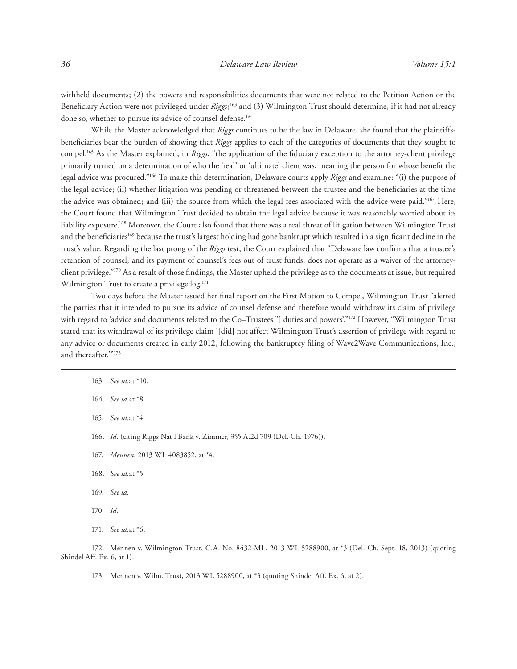withheld documents; (2) the powers and responsibilities documents that were not related to the Petition Action or the Beneficiary Action were not privileged under *Riggs*; 163 and (3) Wilmington Trust should determine, if it had not already done so, whether to pursue its advice of counsel defense.<sup>164</sup>

While the Master acknowledged that *Riggs* continues to be the law in Delaware, she found that the plaintiffsbeneficiaries bear the burden of showing that *Riggs* applies to each of the categories of documents that they sought to compel.165 As the Master explained, in *Riggs*, "the application of the fiduciary exception to the attorney-client privilege primarily turned on a determination of who the 'real' or 'ultimate' client was, meaning the person for whose benefit the legal advice was procured."166 To make this determination, Delaware courts apply *Riggs* and examine: "(i) the purpose of the legal advice; (ii) whether litigation was pending or threatened between the trustee and the beneficiaries at the time the advice was obtained; and (iii) the source from which the legal fees associated with the advice were paid."<sup>167</sup> Here, the Court found that Wilmington Trust decided to obtain the legal advice because it was reasonably worried about its liability exposure.168 Moreover, the Court also found that there was a real threat of litigation between Wilmington Trust and the beneficiaries<sup>169</sup> because the trust's largest holding had gone bankrupt which resulted in a significant decline in the trust's value. Regarding the last prong of the *Riggs* test, the Court explained that "Delaware law confirms that a trustee's retention of counsel, and its payment of counsel's fees out of trust funds, does not operate as a waiver of the attorneyclient privilege."170 As a result of those findings, the Master upheld the privilege as to the documents at issue, but required Wilmington Trust to create a privilege log.<sup>171</sup>

Two days before the Master issued her final report on the First Motion to Compel, Wilmington Trust "alerted the parties that it intended to pursue its advice of counsel defense and therefore would withdraw its claim of privilege with regard to 'advice and documents related to the Co–Trustees['] duties and powers'."<sup>172</sup> However, "Wilmington Trust stated that its withdrawal of its privilege claim '[did] not affect Wilmington Trust's assertion of privilege with regard to any advice or documents created in early 2012, following the bankruptcy filing of Wave2Wave Communications, Inc., and thereafter.'"173

163 *See id.*at \*10.

165. *See id.*at \*4.

166. *Id.* (citing Riggs Nat'l Bank v. Zimmer, 355 A.2d 709 (Del. Ch. 1976)).

- 167. *Mennen*, 2013 WL 4083852, at \*4.
- 168. *See id.*at \*5.
- 169. *See id.*
- 170. *Id.*
- 171. *See id.*at \*6.

172. Mennen v. Wilmington Trust, C.A. No. 8432-ML, 2013 WL 5288900, at \*3 (Del. Ch. Sept. 18, 2013) (quoting Shindel Aff. Ex. 6, at 1).

173. Mennen v. Wilm. Trust, 2013 WL 5288900, at \*3 (quoting Shindel Aff. Ex. 6, at 2).

<sup>164.</sup> *See id.*at \*8.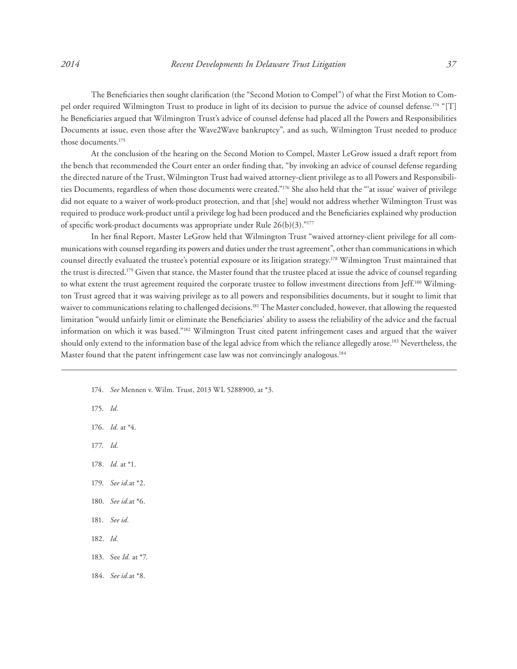The Beneficiaries then sought clarification (the "Second Motion to Compel") of what the First Motion to Compel order required Wilmington Trust to produce in light of its decision to pursue the advice of counsel defense.<sup>174</sup> "[T] he Beneficiaries argued that Wilmington Trust's advice of counsel defense had placed all the Powers and Responsibilities Documents at issue, even those after the Wave2Wave bankruptcy", and as such, Wilmington Trust needed to produce those documents.175

At the conclusion of the hearing on the Second Motion to Compel, Master LeGrow issued a draft report from the bench that recommended the Court enter an order finding that, "by invoking an advice of counsel defense regarding the directed nature of the Trust, Wilmington Trust had waived attorney-client privilege as to all Powers and Responsibilities Documents, regardless of when those documents were created."176 She also held that the "'at issue' waiver of privilege did not equate to a waiver of work-product protection, and that [she] would not address whether Wilmington Trust was required to produce work-product until a privilege log had been produced and the Beneficiaries explained why production of specific work-product documents was appropriate under Rule 26(b)(3)."177

In her final Report, Master LeGrow held that Wilmington Trust "waived attorney-client privilege for all communications with counsel regarding its powers and duties under the trust agreement", other than communications in which counsel directly evaluated the trustee's potential exposure or its litigation strategy.178 Wilmington Trust maintained that the trust is directed.<sup>179</sup> Given that stance, the Master found that the trustee placed at issue the advice of counsel regarding to what extent the trust agreement required the corporate trustee to follow investment directions from Jeff.<sup>180</sup> Wilmington Trust agreed that it was waiving privilege as to all powers and responsibilities documents, but it sought to limit that waiver to communications relating to challenged decisions.<sup>181</sup> The Master concluded, however, that allowing the requested limitation "would unfairly limit or eliminate the Beneficiaries' ability to assess the reliability of the advice and the factual information on which it was based."182 Wilmington Trust cited patent infringement cases and argued that the waiver should only extend to the information base of the legal advice from which the reliance allegedly arose.183 Nevertheless, the Master found that the patent infringement case law was not convincingly analogous.<sup>184</sup>

- 174. *See* Mennen v. Wilm. Trust, 2013 WL 5288900, at \*3.
- 175. *Id.*
- 176. *Id.* at \*4.
- 177. *Id.*
- 178. *Id.* at \*1.
- 179. *See id.*at \*2.
- 180. *See id.*at \*6.
- 181. *See id.*
- 182. *Id.*
- 183. See *Id.* at \*7.
- 184. *See id.*at \*8.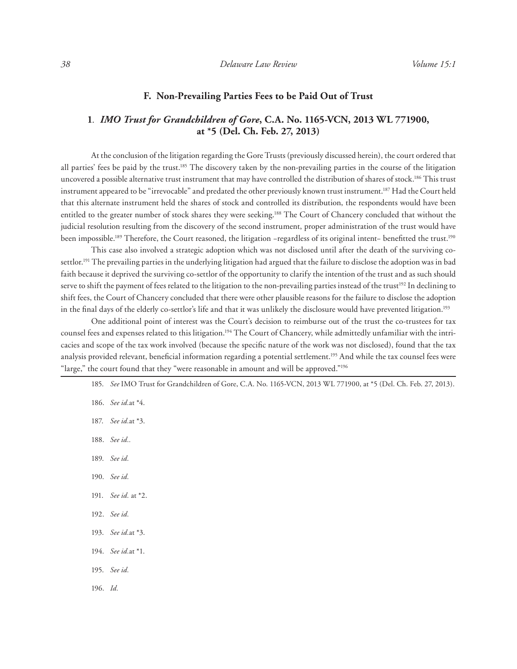#### **F. Non-Prevailing Parties Fees to be Paid Out of Trust**

## **1***. IMO Trust for Grandchildren of Gore***, C.A. No. 1165-VCN, 2013 WL 771900, at \*5 (Del. Ch. Feb. 27, 2013)**

At the conclusion of the litigation regarding the Gore Trusts (previously discussed herein), the court ordered that all parties' fees be paid by the trust.185 The discovery taken by the non-prevailing parties in the course of the litigation uncovered a possible alternative trust instrument that may have controlled the distribution of shares of stock.<sup>186</sup> This trust instrument appeared to be "irrevocable" and predated the other previously known trust instrument.<sup>187</sup> Had the Court held that this alternate instrument held the shares of stock and controlled its distribution, the respondents would have been entitled to the greater number of stock shares they were seeking.<sup>188</sup> The Court of Chancery concluded that without the judicial resolution resulting from the discovery of the second instrument, proper administration of the trust would have been impossible.<sup>189</sup> Therefore, the Court reasoned, the litigation -regardless of its original intent- benefitted the trust.<sup>190</sup>

This case also involved a strategic adoption which was not disclosed until after the death of the surviving cosettlor.191 The prevailing parties in the underlying litigation had argued that the failure to disclose the adoption was in bad faith because it deprived the surviving co-settlor of the opportunity to clarify the intention of the trust and as such should serve to shift the payment of fees related to the litigation to the non-prevailing parties instead of the trust<sup>192</sup> In declining to shift fees, the Court of Chancery concluded that there were other plausible reasons for the failure to disclose the adoption in the final days of the elderly co-settlor's life and that it was unlikely the disclosure would have prevented litigation.193

One additional point of interest was the Court's decision to reimburse out of the trust the co-trustees for tax counsel fees and expenses related to this litigation.194 The Court of Chancery, while admittedly unfamiliar with the intricacies and scope of the tax work involved (because the specific nature of the work was not disclosed), found that the tax analysis provided relevant, beneficial information regarding a potential settlement.<sup>195</sup> And while the tax counsel fees were "large," the court found that they "were reasonable in amount and will be approved."<sup>196</sup>

- 185. *See* IMO Trust for Grandchildren of Gore, C.A. No. 1165-VCN, 2013 WL 771900, at \*5 (Del. Ch. Feb. 27, 2013).
- 186. *See id.*at \*4.
- 187. *See id.*at \*3.
- 188. *See id..*
- 189. *See id.*
- 190. *See id.*
- 191. *See id.* at \*2.
- 192. *See id.*
- 193. *See id.*at \*3.
- 194. *See id.*at \*1.
- 195. *See id.*
- 196. *Id.*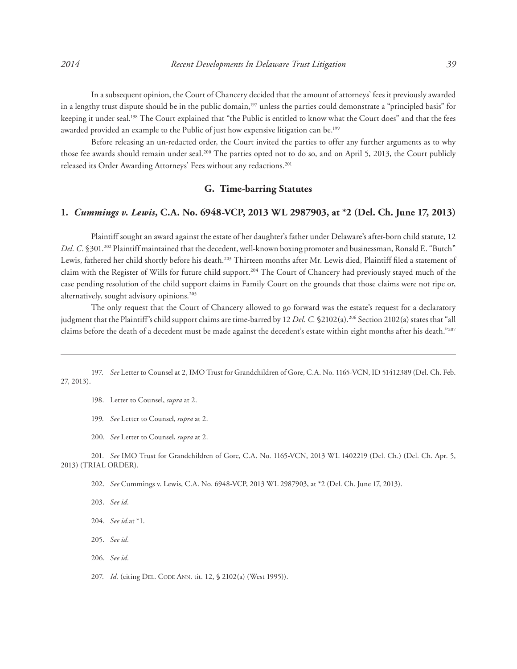In a subsequent opinion, the Court of Chancery decided that the amount of attorneys' fees it previously awarded in a lengthy trust dispute should be in the public domain,<sup>197</sup> unless the parties could demonstrate a "principled basis" for keeping it under seal.198 The Court explained that "the Public is entitled to know what the Court does" and that the fees awarded provided an example to the Public of just how expensive litigation can be.<sup>199</sup>

Before releasing an un-redacted order, the Court invited the parties to offer any further arguments as to why those fee awards should remain under seal.<sup>200</sup> The parties opted not to do so, and on April 5, 2013, the Court publicly released its Order Awarding Attorneys' Fees without any redactions.201

## **G. Time-barring Statutes**

#### **1***. Cummings v. Lewis***, C.A. No. 6948-VCP, 2013 WL 2987903, at \*2 (Del. Ch. June 17, 2013)**

Plaintiff sought an award against the estate of her daughter's father under Delaware's after-born child statute, 12 *Del. C.* §301.202 Plaintiff maintained that the decedent, well-known boxing promoter and businessman, Ronald E. "Butch" Lewis, fathered her child shortly before his death.203 Thirteen months after Mr. Lewis died, Plaintiff filed a statement of claim with the Register of Wills for future child support.204 The Court of Chancery had previously stayed much of the case pending resolution of the child support claims in Family Court on the grounds that those claims were not ripe or, alternatively, sought advisory opinions.<sup>205</sup>

The only request that the Court of Chancery allowed to go forward was the estate's request for a declaratory judgment that the Plaintiff's child support claims are time-barred by 12 *Del. C.* §2102(a).<sup>206</sup> Section 2102(a) states that "all claims before the death of a decedent must be made against the decedent's estate within eight months after his death."207

197. *See* Letter to Counsel at 2, IMO Trust for Grandchildren of Gore, C.A. No. 1165-VCN, ID 51412389 (Del. Ch. Feb. 27, 2013).

198. Letter to Counsel, *supra* at 2.

- 199. *See* Letter to Counsel, *supra* at 2.
- 200. *See* Letter to Counsel, *supra* at 2.

201. *See* IMO Trust for Grandchildren of Gore, C.A. No. 1165-VCN, 2013 WL 1402219 (Del. Ch.) (Del. Ch. Apr. 5, 2013) (TRIAL ORDER).

202. *See* Cummings v. Lewis, C.A. No. 6948-VCP, 2013 WL 2987903, at \*2 (Del. Ch. June 17, 2013).

203. *See id.*

204. *See id.*at \*1.

205. *See id.*

206. *See id.*

207. *Id.* (citing DEL. CODE ANN. tit. 12, § 2102(a) (West 1995)).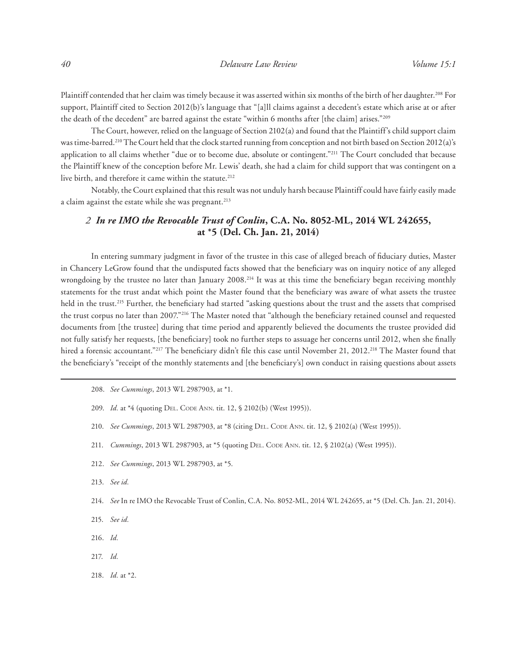Plaintiff contended that her claim was timely because it was asserted within six months of the birth of her daughter.208 For support, Plaintiff cited to Section 2012(b)'s language that "[a]ll claims against a decedent's estate which arise at or after the death of the decedent" are barred against the estate "within 6 months after [the claim] arises."209

The Court, however, relied on the language of Section 2102(a) and found that the Plaintiff's child support claim was time-barred.210 The Court held that the clock started running from conception and not birth based on Section 2012(a)'s application to all claims whether "due or to become due, absolute or contingent."211 The Court concluded that because the Plaintiff knew of the conception before Mr. Lewis' death, she had a claim for child support that was contingent on a live birth, and therefore it came within the statute.<sup>212</sup>

Notably, the Court explained that this result was not unduly harsh because Plaintiff could have fairly easily made a claim against the estate while she was pregnant.<sup>213</sup>

# *2 In re IMO the Revocable Trust of Conlin***, C.A. No. 8052-ML, 2014 WL 242655, at \*5 (Del. Ch. Jan. 21, 2014)**

In entering summary judgment in favor of the trustee in this case of alleged breach of fiduciary duties, Master in Chancery LeGrow found that the undisputed facts showed that the beneficiary was on inquiry notice of any alleged wrongdoing by the trustee no later than January 2008.<sup>214</sup> It was at this time the beneficiary began receiving monthly statements for the trust andat which point the Master found that the beneficiary was aware of what assets the trustee held in the trust.<sup>215</sup> Further, the beneficiary had started "asking questions about the trust and the assets that comprised the trust corpus no later than 2007."216 The Master noted that "although the beneficiary retained counsel and requested documents from [the trustee] during that time period and apparently believed the documents the trustee provided did not fully satisfy her requests, [the beneficiary] took no further steps to assuage her concerns until 2012, when she finally hired a forensic accountant."<sup>217</sup> The beneficiary didn't file this case until November 21, 2012.<sup>218</sup> The Master found that the beneficiary's "receipt of the monthly statements and [the beneficiary's] own conduct in raising questions about assets

- 209. *Id.* at \*4 (quoting DEL. CODE ANN. tit. 12, § 2102(b) (West 1995)).
- 210. *See Cummings*, 2013 WL 2987903, at \*8 (citing DEL. CODE ANN. tit. 12, § 2102(a) (West 1995)).
- 211. *Cummings*, 2013 WL 2987903, at \*5 (quoting Del. Code Ann. tit. 12, § 2102(a) (West 1995)).
- 212. *See Cummings*, 2013 WL 2987903, at \*5.
- 213. *See id.*
- 214. *See* In re IMO the Revocable Trust of Conlin, C.A. No. 8052-ML, 2014 WL 242655, at \*5 (Del. Ch. Jan. 21, 2014).
- 215. *See id.*
- 216. *Id.*
- 217. *Id.*
- 218. *Id.* at \*2.

<sup>208.</sup> *See Cummings*, 2013 WL 2987903, at \*1.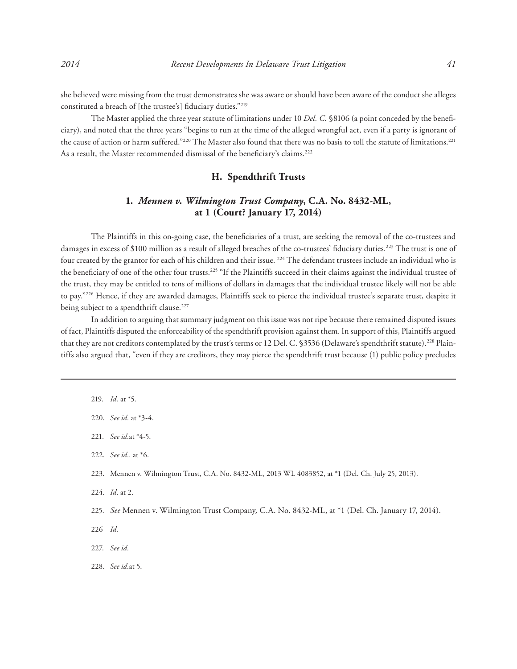she believed were missing from the trust demonstrates she was aware or should have been aware of the conduct she alleges constituted a breach of [the trustee's] fiduciary duties."219

The Master applied the three year statute of limitations under 10 *Del. C.* §8106 (a point conceded by the beneficiary), and noted that the three years "begins to run at the time of the alleged wrongful act, even if a party is ignorant of the cause of action or harm suffered."<sup>220</sup> The Master also found that there was no basis to toll the statute of limitations.<sup>221</sup> As a result, the Master recommended dismissal of the beneficiary's claims.<sup>222</sup>

# **H. Spendthrift Trusts**

## **1.** *Mennen v. Wilmington Trust Company***, C.A. No. 8432-ML, at 1 (Court? January 17, 2014)**

The Plaintiffs in this on-going case, the beneficiaries of a trust, are seeking the removal of the co-trustees and damages in excess of \$100 million as a result of alleged breaches of the co-trustees' fiduciary duties.<sup>223</sup> The trust is one of four created by the grantor for each of his children and their issue.<sup>224</sup> The defendant trustees include an individual who is the beneficiary of one of the other four trusts.225 "If the Plaintiffs succeed in their claims against the individual trustee of the trust, they may be entitled to tens of millions of dollars in damages that the individual trustee likely will not be able to pay."226 Hence, if they are awarded damages, Plaintiffs seek to pierce the individual trustee's separate trust, despite it being subject to a spendthrift clause.<sup>227</sup>

In addition to arguing that summary judgment on this issue was not ripe because there remained disputed issues of fact, Plaintiffs disputed the enforceability of the spendthrift provision against them. In support of this, Plaintiffs argued that they are not creditors contemplated by the trust's terms or 12 Del. C. \$3536 (Delaware's spendthrift statute).<sup>228</sup> Plaintiffs also argued that, "even if they are creditors, they may pierce the spendthrift trust because (1) public policy precludes

- 221. *See id.*at \*4-5.
- 222. *See id..* at \*6.
- 223. Mennen v. Wilmington Trust, C.A. No. 8432-ML, 2013 WL 4083852, at \*1 (Del. Ch. July 25, 2013).
- 224. *Id*. at 2.
- 225. *See* Mennen v. Wilmington Trust Company*,* C.A. No. 8432-ML, at \*1 (Del. Ch. January 17, 2014).
- 226 *Id.*
- 227. *See id.*
- 228. *See id.*at 5.

<sup>219.</sup> *Id.* at \*5.

<sup>220.</sup> *See id.* at \*3-4.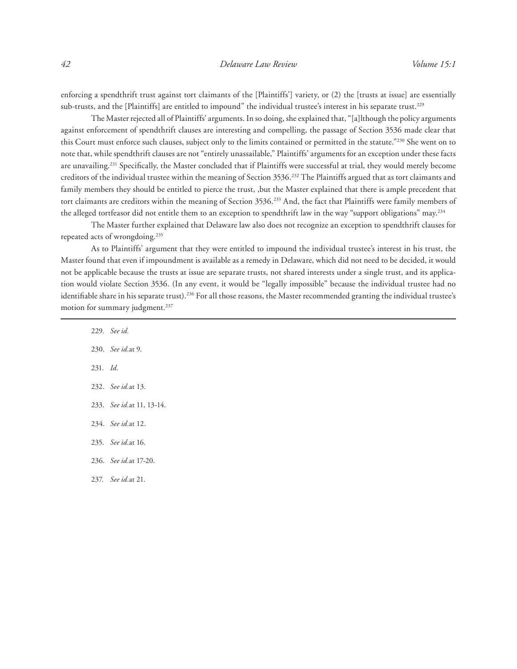enforcing a spendthrift trust against tort claimants of the [Plaintiffs'] variety, or (2) the [trusts at issue] are essentially sub-trusts, and the [Plaintiffs] are entitled to impound" the individual trustee's interest in his separate trust.<sup>229</sup>

The Master rejected all of Plaintiffs' arguments. In so doing, she explained that, "[a]lthough the policy arguments against enforcement of spendthrift clauses are interesting and compelling, the passage of Section 3536 made clear that this Court must enforce such clauses, subject only to the limits contained or permitted in the statute."230 She went on to note that, while spendthrift clauses are not "entirely unassailable," Plaintiffs' arguments for an exception under these facts are unavailing.<sup>231</sup> Specifically, the Master concluded that if Plaintiffs were successful at trial, they would merely become creditors of the individual trustee within the meaning of Section 3536.232 The Plaintiffs argued that as tort claimants and family members they should be entitled to pierce the trust, ,but the Master explained that there is ample precedent that tort claimants are creditors within the meaning of Section 3536.233 And, the fact that Plaintiffs were family members of the alleged tortfeasor did not entitle them to an exception to spendthrift law in the way "support obligations" may.<sup>234</sup>

The Master further explained that Delaware law also does not recognize an exception to spendthrift clauses for repeated acts of wrongdoing.235

As to Plaintiffs' argument that they were entitled to impound the individual trustee's interest in his trust, the Master found that even if impoundment is available as a remedy in Delaware, which did not need to be decided, it would not be applicable because the trusts at issue are separate trusts, not shared interests under a single trust, and its application would violate Section 3536. (In any event, it would be "legally impossible" because the individual trustee had no identifiable share in his separate trust).<sup>236</sup> For all those reasons, the Master recommended granting the individual trustee's motion for summary judgment.<sup>237</sup>

229. *See id.* 230. *See id.*at 9. 231. *Id*. 232. *See id.*at 13. 233. *See id.*at 11, 13-14. 234. *See id.*at 12. 235. *See id.*at 16. 236. *See id.*at 17-20. 237. *See id.*at 21.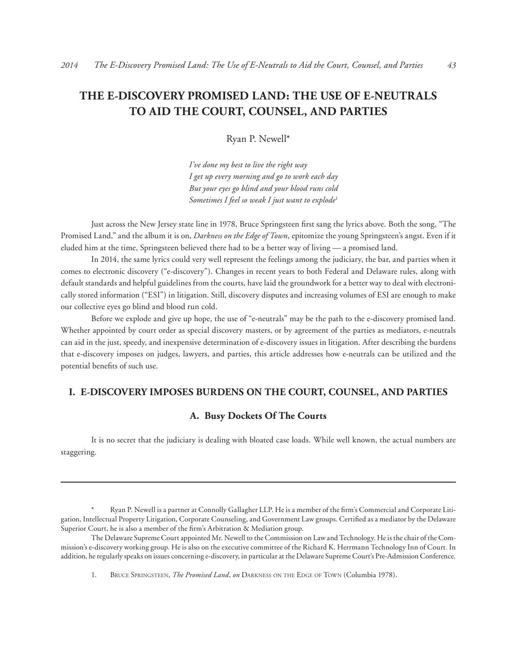# **THE E-DISCOVERY PROMISED LAND: THE USE OF E-NEUTRALS TO AID THE COURT, COUNSEL, AND PARTIES**

Ryan P. Newell\*

*I've done my best to live the right way I get up every morning and go to work each day But your eyes go blind and your blood runs cold Sometimes I feel so weak I just want to explode*<sup>1</sup>

Just across the New Jersey state line in 1978, Bruce Springsteen first sang the lyrics above. Both the song, "The Promised Land," and the album it is on, *Darkness on the Edge of Town*, epitomize the young Springsteen's angst. Even if it eluded him at the time, Springsteen believed there had to be a better way of living — a promised land.

In 2014, the same lyrics could very well represent the feelings among the judiciary, the bar, and parties when it comes to electronic discovery ("e-discovery"). Changes in recent years to both Federal and Delaware rules, along with default standards and helpful guidelines from the courts, have laid the groundwork for a better way to deal with electronically stored information ("ESI") in litigation. Still, discovery disputes and increasing volumes of ESI are enough to make our collective eyes go blind and blood run cold.

Before we explode and give up hope, the use of "e-neutrals" may be the path to the e-discovery promised land. Whether appointed by court order as special discovery masters, or by agreement of the parties as mediators, e-neutrals can aid in the just, speedy, and inexpensive determination of e-discovery issues in litigation. After describing the burdens that e-discovery imposes on judges, lawyers, and parties, this article addresses how e-neutrals can be utilized and the potential benefits of such use.

### **I. E-DISCOVERY IMPOSES BURDENS ON THE COURT, COUNSEL, AND PARTIES**

#### **A. Busy Dockets Of The Courts**

It is no secret that the judiciary is dealing with bloated case loads. While well known, the actual numbers are staggering.

Ryan P. Newell is a partner at Connolly Gallagher LLP. He is a member of the firm's Commercial and Corporate Litigation, Intellectual Property Litigation, Corporate Counseling, and Government Law groups. Certified as a mediator by the Delaware Superior Court, he is also a member of the firm's Arbitration & Mediation group.

The Delaware Supreme Court appointed Mr. Newell to the Commission on Law and Technology. He is the chair of the Commission's e-discovery working group. He is also on the executive committee of the Richard K. Herrmann Technology Inn of Court. In addition, he regularly speaks on issues concerning e-discovery, in particular at the Delaware Supreme Court's Pre-Admission Conference.

<sup>1.</sup> Bruce Springsteen, *The Promised Land*, *on* Darkness on the Edge of Town (Columbia 1978).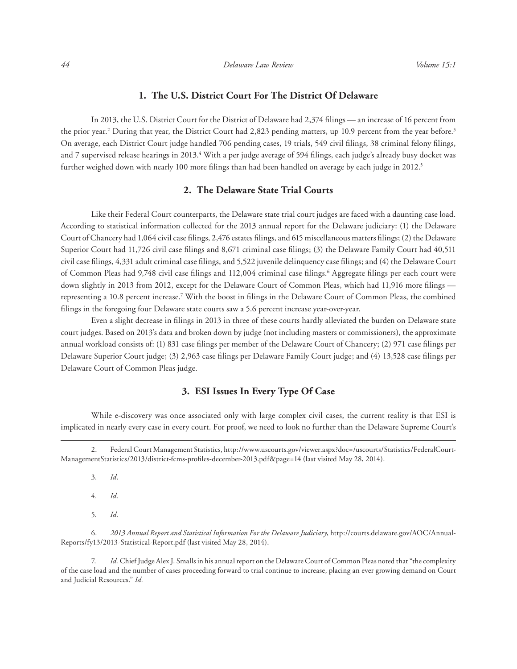### **1. The U.S. District Court For The District Of Delaware**

In 2013, the U.S. District Court for the District of Delaware had 2,374 filings — an increase of 16 percent from the prior year.<sup>2</sup> During that year, the District Court had 2,823 pending matters, up 10.9 percent from the year before.<sup>3</sup> On average, each District Court judge handled 706 pending cases, 19 trials, 549 civil filings, 38 criminal felony filings, and 7 supervised release hearings in 2013.<sup>4</sup> With a per judge average of 594 filings, each judge's already busy docket was further weighed down with nearly 100 more filings than had been handled on average by each judge in 2012.<sup>5</sup>

### **2. The Delaware State Trial Courts**

Like their Federal Court counterparts, the Delaware state trial court judges are faced with a daunting case load. According to statistical information collected for the 2013 annual report for the Delaware judiciary: (1) the Delaware Court of Chancery had 1,064 civil case filings, 2,476 estates filings, and 615 miscellaneous matters filings; (2) the Delaware Superior Court had 11,726 civil case filings and 8,671 criminal case filings; (3) the Delaware Family Court had 40,511 civil case filings, 4,331 adult criminal case filings, and 5,522 juvenile delinquency case filings; and (4) the Delaware Court of Common Pleas had 9,748 civil case filings and 112,004 criminal case filings.<sup>6</sup> Aggregate filings per each court were down slightly in 2013 from 2012, except for the Delaware Court of Common Pleas, which had 11,916 more filings representing a 10.8 percent increase.7 With the boost in filings in the Delaware Court of Common Pleas, the combined filings in the foregoing four Delaware state courts saw a 5.6 percent increase year-over-year.

Even a slight decrease in filings in 2013 in three of these courts hardly alleviated the burden on Delaware state court judges. Based on 2013's data and broken down by judge (not including masters or commissioners), the approximate annual workload consists of: (1) 831 case filings per member of the Delaware Court of Chancery; (2) 971 case filings per Delaware Superior Court judge; (3) 2,963 case filings per Delaware Family Court judge; and (4) 13,528 case filings per Delaware Court of Common Pleas judge.

# **3. ESI Issues In Every Type Of Case**

While e-discovery was once associated only with large complex civil cases, the current reality is that ESI is implicated in nearly every case in every court. For proof, we need to look no further than the Delaware Supreme Court's

2. Federal Court Management Statistics, http://www.uscourts.gov/viewer.aspx?doc=/uscourts/Statistics/FederalCourt-ManagementStatistics/2013/district-fcms-profiles-december-2013.pdf&page=14 (last visited May 28, 2014).

- 3. *Id*.
- 4. *Id.*
- 5. *Id.*

6. *2013 Annual Report and Statistical Information For the Delaware Judiciary*, http://courts.delaware.gov/AOC/Annual-Reports/fy13/2013-Statistical-Report.pdf (last visited May 28, 2014).

7. *Id.* Chief Judge Alex J. Smalls in his annual report on the Delaware Court of Common Pleas noted that "the complexity of the case load and the number of cases proceeding forward to trial continue to increase, placing an ever growing demand on Court and Judicial Resources." *Id.*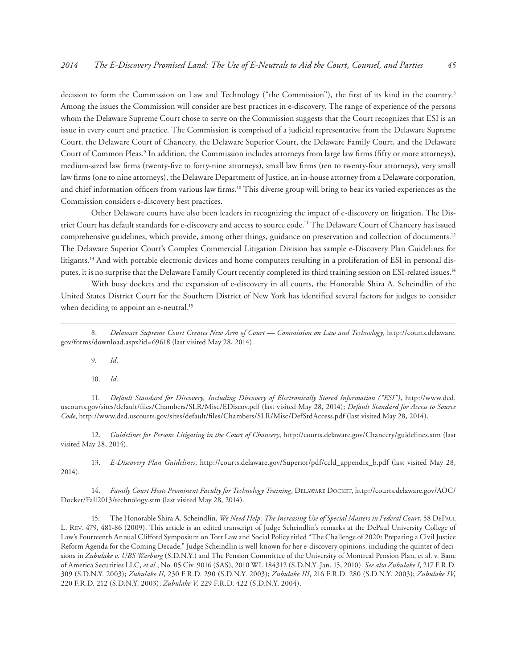decision to form the Commission on Law and Technology ("the Commission"), the first of its kind in the country.<sup>8</sup> Among the issues the Commission will consider are best practices in e-discovery. The range of experience of the persons whom the Delaware Supreme Court chose to serve on the Commission suggests that the Court recognizes that ESI is an issue in every court and practice. The Commission is comprised of a judicial representative from the Delaware Supreme Court, the Delaware Court of Chancery, the Delaware Superior Court, the Delaware Family Court, and the Delaware Court of Common Pleas.<sup>9</sup> In addition, the Commission includes attorneys from large law firms (fifty or more attorneys), medium-sized law firms (twenty-five to forty-nine attorneys), small law firms (ten to twenty-four attorneys), very small law firms (one to nine attorneys), the Delaware Department of Justice, an in-house attorney from a Delaware corporation, and chief information officers from various law firms.<sup>10</sup> This diverse group will bring to bear its varied experiences as the Commission considers e-discovery best practices.

Other Delaware courts have also been leaders in recognizing the impact of e-discovery on litigation. The District Court has default standards for e-discovery and access to source code.11 The Delaware Court of Chancery has issued comprehensive guidelines, which provide, among other things, guidance on preservation and collection of documents.12 The Delaware Superior Court's Complex Commercial Litigation Division has sample e-Discovery Plan Guidelines for litigants.13 And with portable electronic devices and home computers resulting in a proliferation of ESI in personal disputes, it is no surprise that the Delaware Family Court recently completed its third training session on ESI-related issues.<sup>14</sup>

With busy dockets and the expansion of e-discovery in all courts, the Honorable Shira A. Scheindlin of the United States District Court for the Southern District of New York has identified several factors for judges to consider when deciding to appoint an e-neutral.<sup>15</sup>

8. *Delaware Supreme Court Creates New Arm of Court — Commission on Law and Technology*, http://courts.delaware. gov/forms/download.aspx?id=69618 (last visited May 28, 2014).

9. *Id.*

10. *Id.*

11. *Default Standard for Discovery, Including Discovery of Electronically Stored Information ("ESI")*, http://www.ded. uscourts.gov/sites/default/files/Chambers/SLR/Misc/EDiscov.pdf (last visited May 28, 2014); *Default Standard for Access to Source Code*, http://www.ded.uscourts.gov/sites/default/files/Chambers/SLR/Misc/DefStdAccess.pdf (last visited May 28, 2014).

12. *Guidelines for Persons Litigating in the Court of Chancery*, http://courts.delaware.gov/Chancery/guidelines.stm (last visited May 28, 2014).

13. *E-Discovery Plan Guidelines*, http://courts.delaware.gov/Superior/pdf/ccld\_appendix\_b.pdf (last visited May 28, 2014).

14. *Family Court Hosts Prominent Faculty for Technology Training*, Delaware Docket, http://courts.delaware.gov/AOC/ Docket/Fall2013/technology.stm (last visited May 28, 2014).

15. The Honorable Shira A. Scheindlin, *We Need Help: The Increasing Use of Special Masters in Federal Court*, 58 DePaul L. Rev. 479, 481-86 (2009). This article is an edited transcript of Judge Scheindlin's remarks at the DePaul University College of Law's Fourteenth Annual Clifford Symposium on Tort Law and Social Policy titled "The Challenge of 2020: Preparing a Civil Justice Reform Agenda for the Coming Decade." Judge Scheindlin is well-known for her e-discovery opinions, including the quintet of decisions in *Zubulake v. UBS Warburg* (S.D.N.Y.) and The Pension Committee of the University of Montreal Pension Plan, et al. v. Banc of America Securities LLC, *et al.*, No. 05 Civ. 9016 (SAS), 2010 WL 184312 (S.D.N.Y. Jan. 15, 2010). *See also Zubulake I*, 217 F.R.D. 309 (S.D.N.Y. 2003); *Zubulake II*, 230 F.R.D. 290 (S.D.N.Y. 2003); *Zubulake III*, 216 F.R.D. 280 (S.D.N.Y. 2003); *Zubulake IV,*  220 F.R.D. 212 (S.D.N.Y. 2003); *Zubulake V,* 229 F.R.D. 422 (S.D.N.Y. 2004).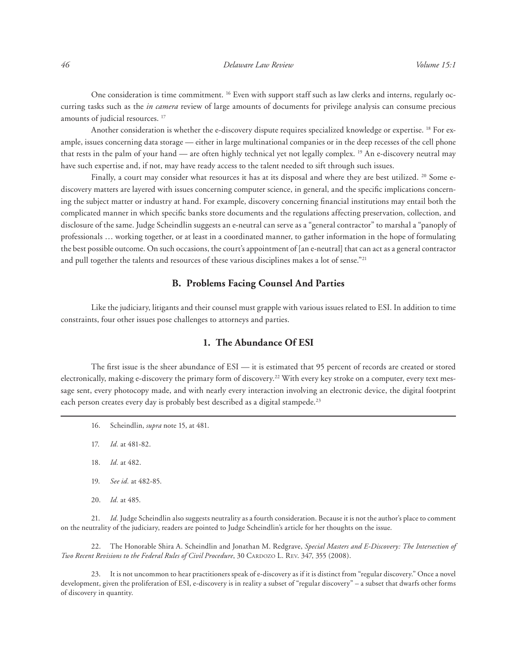One consideration is time commitment. <sup>16</sup> Even with support staff such as law clerks and interns, regularly occurring tasks such as the *in camera* review of large amounts of documents for privilege analysis can consume precious amounts of judicial resources. 17

Another consideration is whether the e-discovery dispute requires specialized knowledge or expertise.<sup>18</sup> For example, issues concerning data storage — either in large multinational companies or in the deep recesses of the cell phone that rests in the palm of your hand — are often highly technical yet not legally complex. 19 An e-discovery neutral may have such expertise and, if not, may have ready access to the talent needed to sift through such issues.

Finally, a court may consider what resources it has at its disposal and where they are best utilized. <sup>20</sup> Some ediscovery matters are layered with issues concerning computer science, in general, and the specific implications concerning the subject matter or industry at hand. For example, discovery concerning financial institutions may entail both the complicated manner in which specific banks store documents and the regulations affecting preservation, collection, and disclosure of the same. Judge Scheindlin suggests an e-neutral can serve as a "general contractor" to marshal a "panoply of professionals … working together, or at least in a coordinated manner, to gather information in the hope of formulating the best possible outcome. On such occasions, the court's appointment of [an e-neutral] that can act as a general contractor and pull together the talents and resources of these various disciplines makes a lot of sense."<sup>21</sup>

### **B. Problems Facing Counsel And Parties**

Like the judiciary, litigants and their counsel must grapple with various issues related to ESI. In addition to time constraints, four other issues pose challenges to attorneys and parties.

#### **1. The Abundance Of ESI**

The first issue is the sheer abundance of ESI — it is estimated that 95 percent of records are created or stored electronically, making e-discovery the primary form of discovery.<sup>22</sup> With every key stroke on a computer, every text message sent, every photocopy made, and with nearly every interaction involving an electronic device, the digital footprint each person creates every day is probably best described as a digital stampede.<sup>23</sup>

- 16. Scheindlin, *supra* note 15, at 481.
- 17. *Id.* at 481-82.
- 18. *Id.* at 482.
- 19. *See id.* at 482-85.
- 20. *Id.* at 485.

21. *Id.* Judge Scheindlin also suggests neutrality as a fourth consideration. Because it is not the author's place to comment on the neutrality of the judiciary, readers are pointed to Judge Scheindlin's article for her thoughts on the issue.

22. The Honorable Shira A. Scheindlin and Jonathan M. Redgrave, *Special Masters and E-Discovery: The Intersection of*  Two Recent Revisions to the Federal Rules of Civil Procedure, 30 CARDOZO L. REV. 347, 355 (2008).

23. It is not uncommon to hear practitioners speak of e-discovery as if it is distinct from "regular discovery." Once a novel development, given the proliferation of ESI, e-discovery is in reality a subset of "regular discovery" – a subset that dwarfs other forms of discovery in quantity.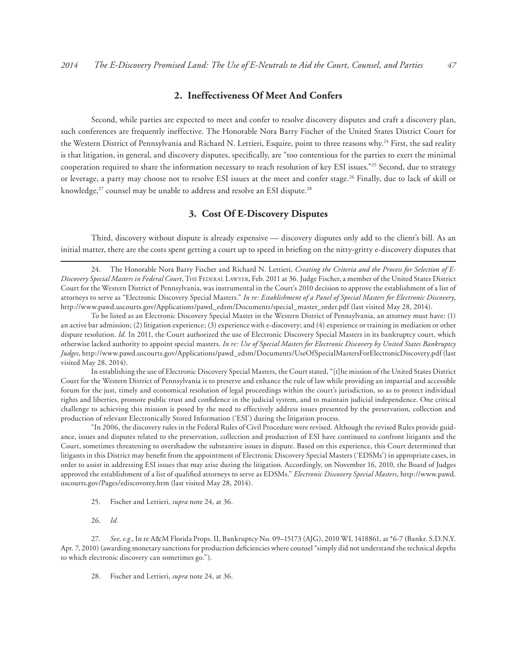#### **2. Ineffectiveness Of Meet And Confers**

Second, while parties are expected to meet and confer to resolve discovery disputes and craft a discovery plan, such conferences are frequently ineffective. The Honorable Nora Barry Fischer of the United States District Court for the Western District of Pennsylvania and Richard N. Lettieri, Esquire, point to three reasons why.<sup>24</sup> First, the sad reality is that litigation, in general, and discovery disputes, specifically, are "too contentious for the parties to exert the minimal cooperation required to share the information necessary to reach resolution of key ESI issues."25 Second, due to strategy or leverage, a party may choose not to resolve ESI issues at the meet and confer stage.26 Finally, due to lack of skill or knowledge,<sup>27</sup> counsel may be unable to address and resolve an ESI dispute.<sup>28</sup>

## **3. Cost Of E-Discovery Disputes**

Third, discovery without dispute is already expensive — discovery disputes only add to the client's bill. As an initial matter, there are the costs spent getting a court up to speed in briefing on the nitty-gritty e-discovery disputes that

In establishing the use of Electronic Discovery Special Masters, the Court stated, "[t]he mission of the United States District Court for the Western District of Pennsylvania is to preserve and enhance the rule of law while providing an impartial and accessible forum for the just, timely and economical resolution of legal proceedings within the court's jurisdiction, so as to protect individual rights and liberties, promote public trust and confidence in the judicial system, and to maintain judicial independence. One critical challenge to achieving this mission is posed by the need to effectively address issues presented by the preservation, collection and production of relevant Electronically Stored Information ('ESI') during the litigation process.

"In 2006, the discovery rules in the Federal Rules of Civil Procedure were revised. Although the revised Rules provide guidance, issues and disputes related to the preservation, collection and production of ESI have continued to confront litigants and the Court, sometimes threatening to overshadow the substantive issues in dispute. Based on this experience, this Court determined that litigants in this District may benefit from the appointment of Electronic Discovery Special Masters ('EDSMs') in appropriate cases, in order to assist in addressing ESI issues that may arise during the litigation. Accordingly, on November 16, 2010, the Board of Judges approved the establishment of a list of qualified attorneys to serve as EDSMs." *Electronic Discovery Special Masters*, http://www.pawd. uscourts.gov/Pages/ediscovorey.htm (last visited May 28, 2014).

25. Fischer and Lettieri, *supra* note 24, at 36.

26. *Id.*

27. *See, e.g.*, In re A&M Florida Props. II, Bankruptcy No. 09–15173 (AJG), 2010 WL 1418861, at \*6-7 (Bankr. S.D.N.Y. Apr. 7, 2010) (awarding monetary sanctions for production deficiencies where counsel "simply did not understand the technical depths to which electronic discovery can sometimes go.").

28. Fischer and Lettieri, *supra* note 24, at 36.

<sup>24.</sup> The Honorable Nora Barry Fischer and Richard N. Lettieri, *Creating the Criteria and the Process for Selection of E-Discovery Special Masters in Federal Court*, The Federal Lawyer, Feb. 2011 at 36. Judge Fischer, a member of the United States District Court for the Western District of Pennsylvania, was instrumental in the Court's 2010 decision to approve the establishment of a list of attorneys to serve as "Electronic Discovery Special Masters." *In re: Establishment of a Panel of Special Masters for Electronic Discovery*, http://www.pawd.uscourts.gov/Applications/pawd\_edsm/Documents/special\_master\_order.pdf (last visited May 28, 2014).

To be listed as an Electronic Discovery Special Master in the Western District of Pennsylvania, an attorney must have: (1) an active bar admission; (2) litigation experience; (3) experience with e-discovery; and (4) experience or training in mediation or other dispute resolution. *Id.* In 2011, the Court authorized the use of Electronic Discovery Special Masters in its bankruptcy court, which otherwise lacked authority to appoint special masters. *In re: Use of Special Masters for Electronic Discovery by United States Bankruptcy Judges*, http://www.pawd.uscourts.gov/Applications/pawd\_edsm/Documents/UseOfSpecialMastersForElectronicDiscovery.pdf (last visited May 28, 2014).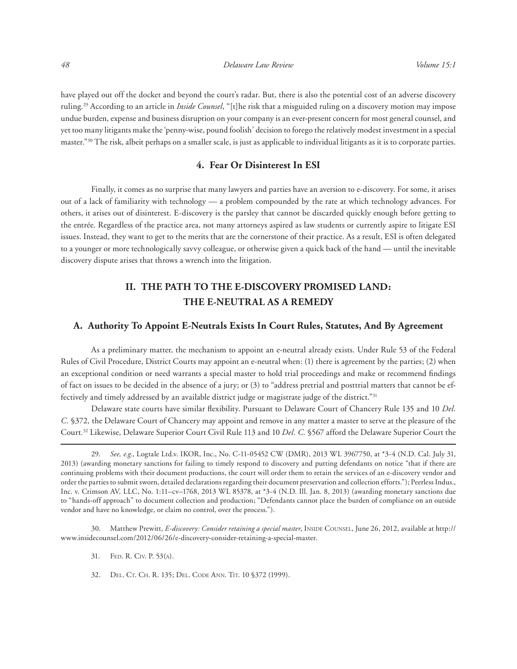have played out off the docket and beyond the court's radar. But, there is also the potential cost of an adverse discovery ruling.29 According to an article in *Inside Counsel*, "[t]he risk that a misguided ruling on a discovery motion may impose undue burden, expense and business disruption on your company is an ever-present concern for most general counsel, and yet too many litigants make the 'penny-wise, pound foolish' decision to forego the relatively modest investment in a special master."<sup>30</sup> The risk, albeit perhaps on a smaller scale, is just as applicable to individual litigants as it is to corporate parties.

## **4. Fear Or Disinterest In ESI**

Finally, it comes as no surprise that many lawyers and parties have an aversion to e-discovery. For some, it arises out of a lack of familiarity with technology — a problem compounded by the rate at which technology advances. For others, it arises out of disinterest. E-discovery is the parsley that cannot be discarded quickly enough before getting to the entrée. Regardless of the practice area, not many attorneys aspired as law students or currently aspire to litigate ESI issues. Instead, they want to get to the merits that are the cornerstone of their practice. As a result, ESI is often delegated to a younger or more technologically savvy colleague, or otherwise given a quick back of the hand — until the inevitable discovery dispute arises that throws a wrench into the litigation.

# **II. THE PATH TO THE E-DISCOVERY PROMISED LAND: THE E-NEUTRAL AS A REMEDY**

#### **A. Authority To Appoint E-Neutrals Exists In Court Rules, Statutes, And By Agreement**

As a preliminary matter, the mechanism to appoint an e-neutral already exists. Under Rule 53 of the Federal Rules of Civil Procedure, District Courts may appoint an e-neutral when: (1) there is agreement by the parties; (2) when an exceptional condition or need warrants a special master to hold trial proceedings and make or recommend findings of fact on issues to be decided in the absence of a jury; or (3) to "address pretrial and posttrial matters that cannot be effectively and timely addressed by an available district judge or magistrate judge of the district."31

Delaware state courts have similar flexibility. Pursuant to Delaware Court of Chancery Rule 135 and 10 *Del. C.* §372*,* the Delaware Court of Chancery may appoint and remove in any matter a master to serve at the pleasure of the Court*.* 32 Likewise, Delaware Superior Court Civil Rule 113 and 10 *Del. C.* §567 afford the Delaware Superior Court the

30. Matthew Prewitt, *E-discovery: Consider retaining a special master*, INSIDE COUNSEL, June 26, 2012, available at http:// www.insidecounsel.com/2012/06/26/e-discovery-consider-retaining-a-special-master.

- 31. Fed. R. Civ. P. 53(a).
- 32. DEL. CT. CH. R. 135; DEL. CODE ANN. TIT. 10 §372 (1999).

<sup>29.</sup> *See, e.g.*, Logtale Ltd.v. IKOR, Inc., No. C-11-05452 CW (DMR), 2013 WL 3967750, at \*3-4 (N.D. Cal. July 31, 2013) (awarding monetary sanctions for failing to timely respond to discovery and putting defendants on notice "that if there are continuing problems with their document productions, the court will order them to retain the services of an e-discovery vendor and order the parties to submit sworn, detailed declarations regarding their document preservation and collection efforts."); Peerless Indus., Inc. v. Crimson AV*,* LLC, No. 1:11–cv–1768, 2013 WL 85378, at \*3-4 (N.D. Ill. Jan. 8, 2013) (awarding monetary sanctions due to "hands-off approach" to document collection and production; "Defendants cannot place the burden of compliance on an outside vendor and have no knowledge, or claim no control, over the process.").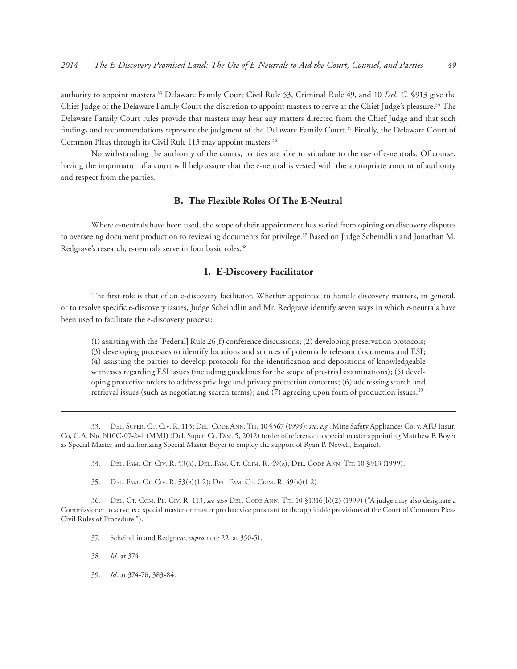authority to appoint masters*.* 33 Delaware Family Court Civil Rule 53, Criminal Rule 49, and 10 *Del. C.* §913 give the Chief Judge of the Delaware Family Court the discretion to appoint masters to serve at the Chief Judge's pleasure.<sup>34</sup> The Delaware Family Court rules provide that masters may hear any matters directed from the Chief Judge and that such findings and recommendations represent the judgment of the Delaware Family Court.35 Finally, the Delaware Court of Common Pleas through its Civil Rule 113 may appoint masters.<sup>36</sup>

Notwithstanding the authority of the courts, parties are able to stipulate to the use of e-neutrals. Of course, having the imprimatur of a court will help assure that the e-neutral is vested with the appropriate amount of authority and respect from the parties.

### **B. The Flexible Roles Of The E-Neutral**

Where e-neutrals have been used, the scope of their appointment has varied from opining on discovery disputes to overseeing document production to reviewing documents for privilege.<sup>37</sup> Based on Judge Scheindlin and Jonathan M. Redgrave's research, e-neutrals serve in four basic roles.<sup>38</sup>

#### **1. E-Discovery Facilitator**

The first role is that of an e-discovery facilitator. Whether appointed to handle discovery matters, in general, or to resolve specific e-discovery issues, Judge Scheindlin and Mr. Redgrave identify seven ways in which e-neutrals have been used to facilitate the e-discovery process:

(1) assisting with the [Federal] Rule 26(f) conference discussions; (2) developing preservation protocols; (3) developing processes to identify locations and sources of potentially relevant documents and ESI; (4) assisting the parties to develop protocols for the identification and depositions of knowledgeable witnesses regarding ESI issues (including guidelines for the scope of pre-trial examinations); (5) developing protective orders to address privilege and privacy protection concerns; (6) addressing search and retrieval issues (such as negotiating search terms); and (7) agreeing upon form of production issues.<sup>39</sup>

33. Del. Super. Ct. Civ. R. 113; Del. Code Ann. Tit. 10 §567 (1999); *see, e.g.*, Mine Safety Appliances Co. v. AIU Insur. Co, C.A. No. N10C-07-241 (MMJ) (Del. Super. Ct. Dec. 5, 2012) (order of reference to special master appointing Matthew F. Boyer as Special Master and authorizing Special Master Boyer to employ the support of Ryan P. Newell, Esquire).

34. Del. Fam. Ct. Civ. R. 53(a); Del. Fam. Ct. Crim. R. 49(a); Del. Code Ann. Tit. 10 §913 (1999).

35. Del. Fam. Ct. Civ. R. 53(b)(1-2); Del. Fam. Ct. Crim. R. 49(b)(1-2).

36. Del. Ct. Com. Pl. Civ. R. 113; *see also* Del. Code Ann. Tit. 10 §1316(b)(2) (1999) ("A judge may also designate a Commissioner to serve as a special master or master pro hac vice pursuant to the applicable provisions of the Court of Common Pleas Civil Rules of Procedure.").

37. Scheindlin and Redgrave, *supra* note 22, at 350-51.

38. *Id.* at 374.

39. *Id.* at 374-76, 383-84.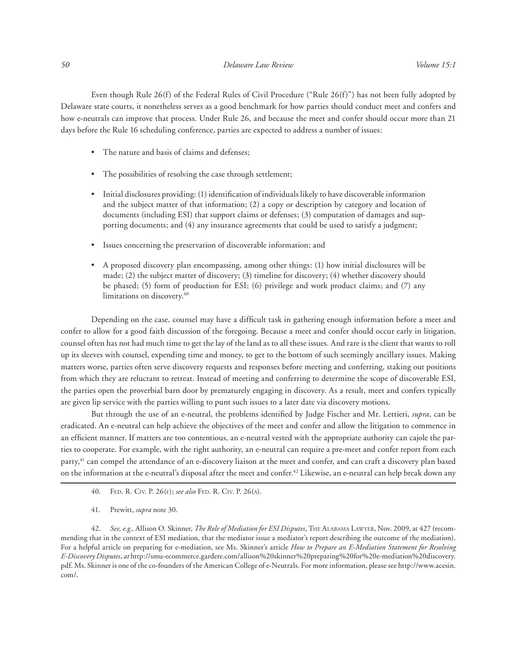#### *50 Delaware Law Review Volume 15:1*

Even though Rule 26(f) of the Federal Rules of Civil Procedure ("Rule 26(f)") has not been fully adopted by Delaware state courts, it nonetheless serves as a good benchmark for how parties should conduct meet and confers and how e-neutrals can improve that process. Under Rule 26, and because the meet and confer should occur more than 21 days before the Rule 16 scheduling conference, parties are expected to address a number of issues:

- The nature and basis of claims and defenses;
- The possibilities of resolving the case through settlement;
- Initial disclosures providing: (1) identification of individuals likely to have discoverable information and the subject matter of that information; (2) a copy or description by category and location of documents (including ESI) that support claims or defenses; (3) computation of damages and supporting documents; and (4) any insurance agreements that could be used to satisfy a judgment;
- • Issues concerning the preservation of discoverable information; and
- • A proposed discovery plan encompassing, among other things: (1) how initial disclosures will be made; (2) the subject matter of discovery; (3) timeline for discovery; (4) whether discovery should be phased; (5) form of production for ESI; (6) privilege and work product claims; and (7) any limitations on discovery.<sup>40</sup>

Depending on the case, counsel may have a difficult task in gathering enough information before a meet and confer to allow for a good faith discussion of the foregoing. Because a meet and confer should occur early in litigation, counsel often has not had much time to get the lay of the land as to all these issues. And rare is the client that wants to roll up its sleeves with counsel, expending time and money, to get to the bottom of such seemingly ancillary issues. Making matters worse, parties often serve discovery requests and responses before meeting and conferring, staking out positions from which they are reluctant to retreat. Instead of meeting and conferring to determine the scope of discoverable ESI, the parties open the proverbial barn door by prematurely engaging in discovery. As a result, meet and confers typically are given lip service with the parties willing to punt such issues to a later date via discovery motions.

But through the use of an e-neutral, the problems identified by Judge Fischer and Mr. Lettieri, *supra*, can be eradicated. An e-neutral can help achieve the objectives of the meet and confer and allow the litigation to commence in an efficient manner. If matters are too contentious, an e-neutral vested with the appropriate authority can cajole the parties to cooperate. For example, with the right authority, an e-neutral can require a pre-meet and confer report from each party,<sup>41</sup> can compel the attendance of an e-discovery liaison at the meet and confer, and can craft a discovery plan based on the information at the e-neutral's disposal after the meet and confer.<sup>42</sup> Likewise, an e-neutral can help break down any

- 40. Fed. R. Civ. P. 26(f); *see also* Fed. R. Civ. P. 26(a).
- 41. Prewitt, *supra* note 30.

42. *See, e.g.*, Allison O. Skinner, *The Role of Mediation for ESI Disputes*, The Alabama Lawyer, Nov. 2009, at 427 (recommending that in the context of ESI mediation, that the mediator issue a mediator's report describing the outcome of the mediation). For a helpful article on preparing for e-mediation, see Ms. Skinner's article *How to Prepare an E-Mediation Statement for Resolving E-Discovery Disputes*, *at* http://smu-ecommerce.gardere.com/allison%20skinner%20preparing%20for%20e-mediation%20discovery. pdf. Ms. Skinner is one of the co-founders of the American College of e-Neutrals. For more information, please see http://www.acesin. com/.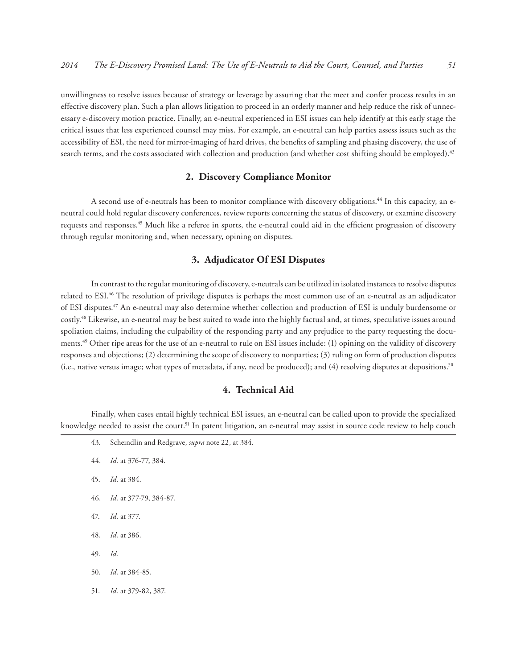unwillingness to resolve issues because of strategy or leverage by assuring that the meet and confer process results in an effective discovery plan. Such a plan allows litigation to proceed in an orderly manner and help reduce the risk of unnecessary e-discovery motion practice. Finally, an e-neutral experienced in ESI issues can help identify at this early stage the critical issues that less experienced counsel may miss. For example, an e-neutral can help parties assess issues such as the accessibility of ESI, the need for mirror-imaging of hard drives, the benefits of sampling and phasing discovery, the use of search terms, and the costs associated with collection and production (and whether cost shifting should be employed).<sup>43</sup>

# **2. Discovery Compliance Monitor**

A second use of e-neutrals has been to monitor compliance with discovery obligations.44 In this capacity, an eneutral could hold regular discovery conferences, review reports concerning the status of discovery, or examine discovery requests and responses.45 Much like a referee in sports, the e-neutral could aid in the efficient progression of discovery through regular monitoring and, when necessary, opining on disputes.

## **3. Adjudicator Of ESI Disputes**

In contrast to the regular monitoring of discovery, e-neutrals can be utilized in isolated instances to resolve disputes related to ESI.46 The resolution of privilege disputes is perhaps the most common use of an e-neutral as an adjudicator of ESI disputes.47 An e-neutral may also determine whether collection and production of ESI is unduly burdensome or costly.48 Likewise, an e-neutral may be best suited to wade into the highly factual and, at times, speculative issues around spoliation claims, including the culpability of the responding party and any prejudice to the party requesting the documents.49 Other ripe areas for the use of an e-neutral to rule on ESI issues include: (1) opining on the validity of discovery responses and objections; (2) determining the scope of discovery to nonparties; (3) ruling on form of production disputes (i.e., native versus image; what types of metadata, if any, need be produced); and (4) resolving disputes at depositions.50

## **4. Technical Aid**

Finally, when cases entail highly technical ESI issues, an e-neutral can be called upon to provide the specialized knowledge needed to assist the court.<sup>51</sup> In patent litigation, an e-neutral may assist in source code review to help couch

- 43. Scheindlin and Redgrave, *supra* note 22, at 384.
- 44. *Id.* at 376-77, 384.
- 45. *Id.* at 384.
- 46. *Id.* at 377-79, 384-87.
- 47. *Id.* at 377.
- 48. *Id.* at 386.
- 49. *Id.*
- 50. *Id.* at 384-85.
- 51. *Id.* at 379-82, 387.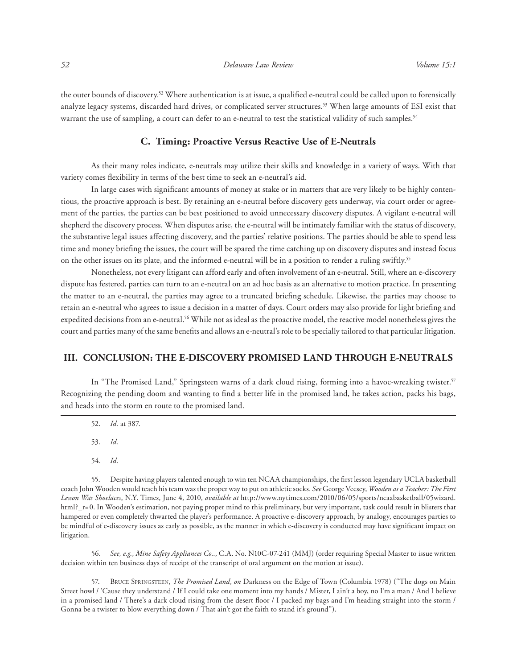the outer bounds of discovery.52 Where authentication is at issue, a qualified e-neutral could be called upon to forensically analyze legacy systems, discarded hard drives, or complicated server structures.53 When large amounts of ESI exist that warrant the use of sampling, a court can defer to an e-neutral to test the statistical validity of such samples.<sup>54</sup>

### **C. Timing: Proactive Versus Reactive Use of E-Neutrals**

As their many roles indicate, e-neutrals may utilize their skills and knowledge in a variety of ways. With that variety comes flexibility in terms of the best time to seek an e-neutral's aid.

In large cases with significant amounts of money at stake or in matters that are very likely to be highly contentious, the proactive approach is best. By retaining an e-neutral before discovery gets underway, via court order or agreement of the parties, the parties can be best positioned to avoid unnecessary discovery disputes. A vigilant e-neutral will shepherd the discovery process. When disputes arise, the e-neutral will be intimately familiar with the status of discovery, the substantive legal issues affecting discovery, and the parties' relative positions. The parties should be able to spend less time and money briefing the issues, the court will be spared the time catching up on discovery disputes and instead focus on the other issues on its plate, and the informed e-neutral will be in a position to render a ruling swiftly.<sup>55</sup>

Nonetheless, not every litigant can afford early and often involvement of an e-neutral. Still, where an e-discovery dispute has festered, parties can turn to an e-neutral on an ad hoc basis as an alternative to motion practice. In presenting the matter to an e-neutral, the parties may agree to a truncated briefing schedule. Likewise, the parties may choose to retain an e-neutral who agrees to issue a decision in a matter of days. Court orders may also provide for light briefing and expedited decisions from an e-neutral.<sup>56</sup> While not as ideal as the proactive model, the reactive model nonetheless gives the court and parties many of the same benefits and allows an e-neutral's role to be specially tailored to that particular litigation.

# **III. CONCLUSION: THE E-DISCOVERY PROMISED LAND THROUGH E-NEUTRALS**

In "The Promised Land," Springsteen warns of a dark cloud rising, forming into a havoc-wreaking twister.<sup>57</sup> Recognizing the pending doom and wanting to find a better life in the promised land, he takes action, packs his bags, and heads into the storm en route to the promised land.

52. *Id.* at 387.

53. *Id.*

54. *Id.*

55. Despite having players talented enough to win ten NCAA championships, the first lesson legendary UCLA basketball coach John Wooden would teach his team was the proper way to put on athletic socks. *See* George Vecsey, *Wooden as a Teacher: The First Lesson Was Shoelaces*, N.Y. Times, June 4, 2010, *available at* http://www.nytimes.com/2010/06/05/sports/ncaabasketball/05wizard. html?\_r=0. In Wooden's estimation, not paying proper mind to this preliminary, but very important, task could result in blisters that hampered or even completely thwarted the player's performance. A proactive e-discovery approach, by analogy, encourages parties to be mindful of e-discovery issues as early as possible, as the manner in which e-discovery is conducted may have significant impact on litigation.

56. *See, e.g.*, *Mine Safety Appliances Co..*, C.A. No. N10C-07-241 (MMJ) (order requiring Special Master to issue written decision within ten business days of receipt of the transcript of oral argument on the motion at issue).

57. Bruce Springsteen, *The Promised Land*, *on* Darkness on the Edge of Town (Columbia 1978) ("The dogs on Main Street howl / 'Cause they understand / If I could take one moment into my hands / Mister, I ain't a boy, no I'm a man / And I believe in a promised land / There's a dark cloud rising from the desert floor / I packed my bags and I'm heading straight into the storm / Gonna be a twister to blow everything down / That ain't got the faith to stand it's ground").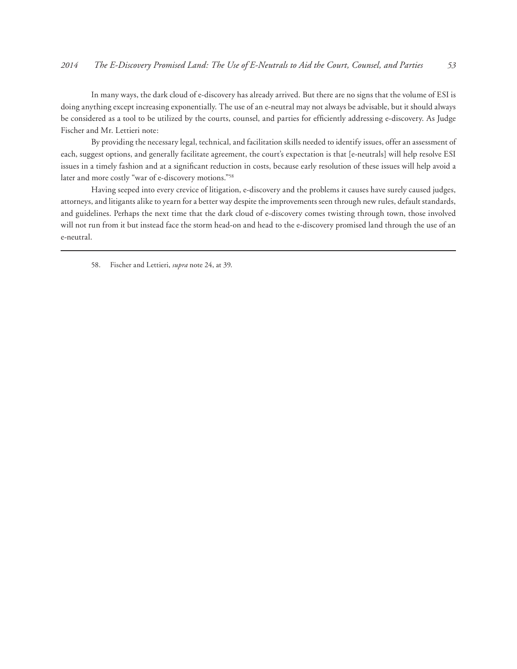In many ways, the dark cloud of e-discovery has already arrived. But there are no signs that the volume of ESI is doing anything except increasing exponentially. The use of an e-neutral may not always be advisable, but it should always be considered as a tool to be utilized by the courts, counsel, and parties for efficiently addressing e-discovery. As Judge Fischer and Mr. Lettieri note:

By providing the necessary legal, technical, and facilitation skills needed to identify issues, offer an assessment of each, suggest options, and generally facilitate agreement, the court's expectation is that [e-neutrals] will help resolve ESI issues in a timely fashion and at a significant reduction in costs, because early resolution of these issues will help avoid a later and more costly "war of e-discovery motions."58

Having seeped into every crevice of litigation, e-discovery and the problems it causes have surely caused judges, attorneys, and litigants alike to yearn for a better way despite the improvements seen through new rules, default standards, and guidelines. Perhaps the next time that the dark cloud of e-discovery comes twisting through town, those involved will not run from it but instead face the storm head-on and head to the e-discovery promised land through the use of an e-neutral.

58. Fischer and Lettieri, *supra* note 24, at 39.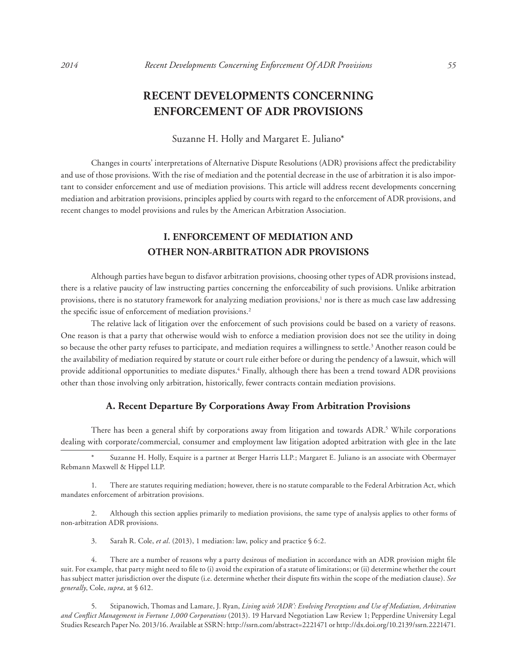# **RECENT DEVELOPMENTS CONCERNING ENFORCEMENT OF ADR PROVISIONS**

Suzanne H. Holly and Margaret E. Juliano\*

Changes in courts' interpretations of Alternative Dispute Resolutions (ADR) provisions affect the predictability and use of those provisions. With the rise of mediation and the potential decrease in the use of arbitration it is also important to consider enforcement and use of mediation provisions. This article will address recent developments concerning mediation and arbitration provisions, principles applied by courts with regard to the enforcement of ADR provisions, and recent changes to model provisions and rules by the American Arbitration Association.

# **I. ENFORCEMENT OF MEDIATION AND OTHER NON-ARBITRATION ADR PROVISIONS**

Although parties have begun to disfavor arbitration provisions, choosing other types of ADR provisions instead, there is a relative paucity of law instructing parties concerning the enforceability of such provisions. Unlike arbitration provisions, there is no statutory framework for analyzing mediation provisions,<sup>1</sup> nor is there as much case law addressing the specific issue of enforcement of mediation provisions.<sup>2</sup>

The relative lack of litigation over the enforcement of such provisions could be based on a variety of reasons. One reason is that a party that otherwise would wish to enforce a mediation provision does not see the utility in doing so because the other party refuses to participate, and mediation requires a willingness to settle.<sup>3</sup> Another reason could be the availability of mediation required by statute or court rule either before or during the pendency of a lawsuit, which will provide additional opportunities to mediate disputes.<sup>4</sup> Finally, although there has been a trend toward ADR provisions other than those involving only arbitration, historically, fewer contracts contain mediation provisions.

#### **A. Recent Departure By Corporations Away From Arbitration Provisions**

There has been a general shift by corporations away from litigation and towards ADR.<sup>5</sup> While corporations dealing with corporate/commercial, consumer and employment law litigation adopted arbitration with glee in the late

Suzanne H. Holly, Esquire is a partner at Berger Harris LLP.; Margaret E. Juliano is an associate with Obermayer Rebmann Maxwell & Hippel LLP.

1. There are statutes requiring mediation; however, there is no statute comparable to the Federal Arbitration Act, which mandates enforcement of arbitration provisions.

2. Although this section applies primarily to mediation provisions, the same type of analysis applies to other forms of non-arbitration ADR provisions.

3. Sarah R. Cole, *et al*. (2013), 1 mediation: law, policy and practice § 6:2.

4. There are a number of reasons why a party desirous of mediation in accordance with an ADR provision might file suit. For example, that party might need to file to (i) avoid the expiration of a statute of limitations; or (ii) determine whether the court has subject matter jurisdiction over the dispute (i.e. determine whether their dispute fits within the scope of the mediation clause). *See generally*, Cole, *supra*, at § 612.

5. Stipanowich, Thomas and Lamare, J. Ryan, *Living with 'ADR': Evolving Perceptions and Use of Mediation, Arbitration and Conflict Management in Fortune 1,000 Corporations* (2013). 19 Harvard Negotiation Law Review 1; Pepperdine University Legal Studies Research Paper No. 2013/16. Available at SSRN: http://ssrn.com/abstract=2221471 or http://dx.doi.org/10.2139/ssrn.2221471.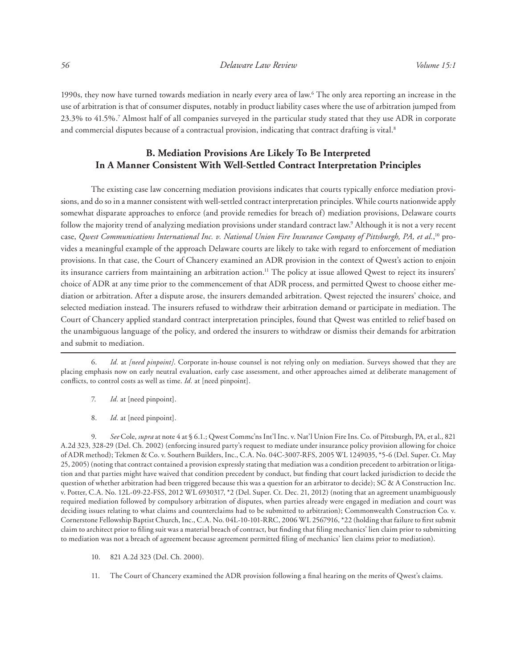1990s, they now have turned towards mediation in nearly every area of law.6 The only area reporting an increase in the use of arbitration is that of consumer disputes, notably in product liability cases where the use of arbitration jumped from 23.3% to 41.5%.7 Almost half of all companies surveyed in the particular study stated that they use ADR in corporate and commercial disputes because of a contractual provision, indicating that contract drafting is vital.<sup>8</sup>

# **B. Mediation Provisions Are Likely To Be Interpreted In A Manner Consistent With Well-Settled Contract Interpretation Principles**

The existing case law concerning mediation provisions indicates that courts typically enforce mediation provisions, and do so in a manner consistent with well-settled contract interpretation principles. While courts nationwide apply somewhat disparate approaches to enforce (and provide remedies for breach of) mediation provisions, Delaware courts follow the majority trend of analyzing mediation provisions under standard contract law.<sup>9</sup> Although it is not a very recent case, *Qwest Communications International Inc. v. National Union Fire Insurance Company of Pittsburgh, PA, et al.*, 10 provides a meaningful example of the approach Delaware courts are likely to take with regard to enforcement of mediation provisions. In that case, the Court of Chancery examined an ADR provision in the context of Qwest's action to enjoin its insurance carriers from maintaining an arbitration action.11 The policy at issue allowed Qwest to reject its insurers' choice of ADR at any time prior to the commencement of that ADR process, and permitted Qwest to choose either mediation or arbitration. After a dispute arose, the insurers demanded arbitration. Qwest rejected the insurers' choice, and selected mediation instead. The insurers refused to withdraw their arbitration demand or participate in mediation. The Court of Chancery applied standard contract interpretation principles, found that Qwest was entitled to relief based on the unambiguous language of the policy, and ordered the insurers to withdraw or dismiss their demands for arbitration and submit to mediation.

- 7. *Id.* at [need pinpoint].
- 8. *Id.* at [need pinpoint].

9. *See* Cole, *supra* at note 4 at § 6.1.; Qwest Commc'ns Int'l Inc. v. Nat'l Union Fire Ins. Co. of Pittsburgh, PA, et al., 821 A.2d 323, 328-29 (Del. Ch. 2002) (enforcing insured party's request to mediate under insurance policy provision allowing for choice of ADR method); Tekmen & Co. v. Southern Builders, Inc., C.A. No. 04C-3007-RFS, 2005 WL 1249035, \*5-6 (Del. Super. Ct. May 25, 2005) (noting that contract contained a provision expressly stating that mediation was a condition precedent to arbitration or litigation and that parties might have waived that condition precedent by conduct, but finding that court lacked jurisdiction to decide the question of whether arbitration had been triggered because this was a question for an arbitrator to decide); SC & A Construction Inc. v. Potter, C.A. No. 12L-09-22-FSS, 2012 WL 6930317, \*2 (Del. Super. Ct. Dec. 21, 2012) (noting that an agreement unambiguously required mediation followed by compulsory arbitration of disputes, when parties already were engaged in mediation and court was deciding issues relating to what claims and counterclaims had to be submitted to arbitration); Commonwealth Construction Co. v. Cornerstone Fellowship Baptist Church, Inc., C.A. No. 04L-10-101-RRC, 2006 WL 2567916, \*22 (holding that failure to first submit claim to architect prior to filing suit was a material breach of contract, but finding that filing mechanics' lien claim prior to submitting to mediation was not a breach of agreement because agreement permitted filing of mechanics' lien claims prior to mediation).

- 10. 821 A.2d 323 (Del. Ch. 2000).
- 11. The Court of Chancery examined the ADR provision following a final hearing on the merits of Qwest's claims.

Id. at *[need pinpoint]*. Corporate in-house counsel is not relying only on mediation. Surveys showed that they are placing emphasis now on early neutral evaluation, early case assessment, and other approaches aimed at deliberate management of conflicts, to control costs as well as time. *Id.* at [need pinpoint].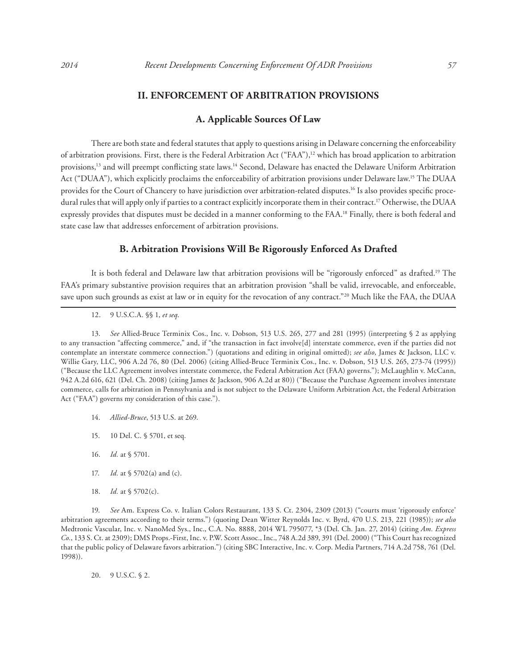#### **II. ENFORCEMENT OF ARBITRATION PROVISIONS**

#### **A. Applicable Sources Of Law**

There are both state and federal statutes that apply to questions arising in Delaware concerning the enforceability of arbitration provisions. First, there is the Federal Arbitration Act ("FAA"),12 which has broad application to arbitration provisions,<sup>13</sup> and will preempt conflicting state laws.<sup>14</sup> Second, Delaware has enacted the Delaware Uniform Arbitration Act ("DUAA"), which explicitly proclaims the enforceability of arbitration provisions under Delaware law.15 The DUAA provides for the Court of Chancery to have jurisdiction over arbitration-related disputes.16 Is also provides specific procedural rules that will apply only if parties to a contract explicitly incorporate them in their contract.<sup>17</sup> Otherwise, the DUAA expressly provides that disputes must be decided in a manner conforming to the FAA.18 Finally, there is both federal and state case law that addresses enforcement of arbitration provisions.

#### **B. Arbitration Provisions Will Be Rigorously Enforced As Drafted**

It is both federal and Delaware law that arbitration provisions will be "rigorously enforced" as drafted.<sup>19</sup> The FAA's primary substantive provision requires that an arbitration provision "shall be valid, irrevocable, and enforceable, save upon such grounds as exist at law or in equity for the revocation of any contract."<sup>20</sup> Much like the FAA, the DUAA

12. 9 U.S.C.A. §§ 1, *et seq*.

13. *See* Allied-Bruce Terminix Cos., Inc. v. Dobson, 513 U.S. 265, 277 and 281 (1995) (interpreting § 2 as applying to any transaction "affecting commerce," and, if "the transaction in fact involve[d] interstate commerce, even if the parties did not contemplate an interstate commerce connection.") (quotations and editing in original omitted); *see also*, James & Jackson, LLC v. Willie Gary, LLC, 906 A.2d 76, 80 (Del. 2006) (citing Allied-Bruce Terminix Cos., Inc. v. Dobson, 513 U.S. 265, 273-74 (1995)) ("Because the LLC Agreement involves interstate commerce, the Federal Arbitration Act (FAA) governs."); McLaughlin v. McCann, 942 A.2d 616, 621 (Del. Ch. 2008) (citing James & Jackson, 906 A.2d at 80)) ("Because the Purchase Agreement involves interstate commerce, calls for arbitration in Pennsylvania and is not subject to the Delaware Uniform Arbitration Act, the Federal Arbitration Act ("FAA") governs my consideration of this case.").

- 14. *Allied-Bruce*, 513 U.S. at 269.
- 15. 10 Del. C. § 5701, et seq.
- 16. *Id.* at § 5701.
- 17. *Id.* at § 5702(a) and (c).
- 18. *Id.* at § 5702(c).

20. 9 U.S.C. § 2.

<sup>19.</sup> *See* Am. Express Co. v. Italian Colors Restaurant, 133 S. Ct. 2304, 2309 (2013) ("courts must 'rigorously enforce' arbitration agreements according to their terms.") (quoting Dean Witter Reynolds Inc. v. Byrd, 470 U.S. 213, 221 (1985)); *see also* Medtronic Vascular, Inc. v. NanoMed Sys., Inc., C.A. No. 8888, 2014 WL 795077, \*3 (Del. Ch. Jan. 27, 2014) (citing *Am. Express Co.*, 133 S. Ct. at 2309); DMS Props.-First, Inc. v. P.W. Scott Assoc., Inc., 748 A.2d 389, 391 (Del. 2000) ("This Court has recognized that the public policy of Delaware favors arbitration.") (citing SBC Interactive, Inc. v. Corp. Media Partners, 714 A.2d 758, 761 (Del. 1998)).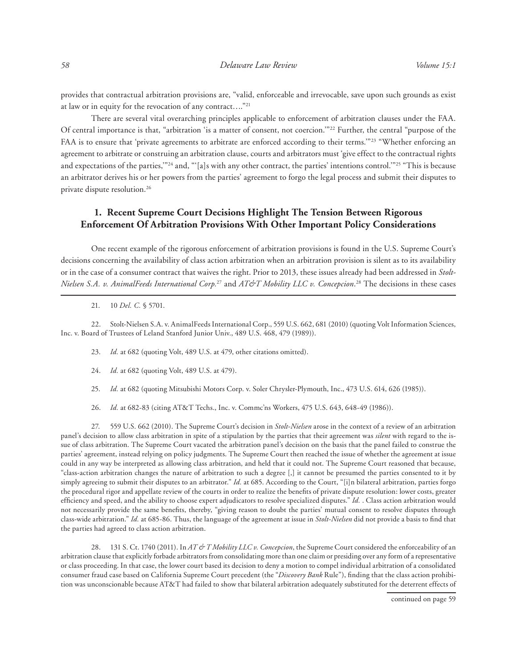provides that contractual arbitration provisions are, "valid, enforceable and irrevocable, save upon such grounds as exist at law or in equity for the revocation of any contract…."21

There are several vital overarching principles applicable to enforcement of arbitration clauses under the FAA. Of central importance is that, "arbitration 'is a matter of consent, not coercion.'"22 Further, the central "purpose of the FAA is to ensure that 'private agreements to arbitrate are enforced according to their terms."<sup>23</sup> "Whether enforcing an agreement to arbitrate or construing an arbitration clause, courts and arbitrators must 'give effect to the contractual rights and expectations of the parties,"<sup>24</sup> and, "'[a]s with any other contract, the parties' intentions control."<sup>25</sup> "This is because an arbitrator derives his or her powers from the parties' agreement to forgo the legal process and submit their disputes to private dispute resolution.26

## **1. Recent Supreme Court Decisions Highlight The Tension Between Rigorous Enforcement Of Arbitration Provisions With Other Important Policy Considerations**

One recent example of the rigorous enforcement of arbitration provisions is found in the U.S. Supreme Court's decisions concerning the availability of class action arbitration when an arbitration provision is silent as to its availability or in the case of a consumer contract that waives the right. Prior to 2013, these issues already had been addressed in *Stolt-Nielsen S.A. v. AnimalFeeds International Corp.*27 and *AT&T Mobility LLC v. Concepcion*. 28 The decisions in these cases

#### 21. 10 *Del. C.* § 5701.

22. Stolt-Nielsen S.A. v. AnimalFeeds International Corp., 559 U.S. 662, 681 (2010) (quoting Volt Information Sciences, Inc. v. Board of Trustees of Leland Stanford Junior Univ., 489 U.S. 468, 479 (1989)).

- 23. *Id.* at 682 (quoting Volt, 489 U.S. at 479, other citations omitted).
- 24. *Id.* at 682 (quoting Volt, 489 U.S. at 479).
- 25. *Id.* at 682 (quoting Mitsubishi Motors Corp. v. Soler Chrysler-Plymouth, Inc., 473 U.S. 614, 626 (1985)).
- 26. *Id.* at 682-83 (citing AT&T Techs., Inc. v. Commc'ns Workers, 475 U.S. 643, 648-49 (1986)).

27. 559 U.S. 662 (2010). The Supreme Court's decision in *Stolt-Nielsen* arose in the context of a review of an arbitration panel's decision to allow class arbitration in spite of a stipulation by the parties that their agreement was *silent* with regard to the issue of class arbitration. The Supreme Court vacated the arbitration panel's decision on the basis that the panel failed to construe the parties' agreement, instead relying on policy judgments. The Supreme Court then reached the issue of whether the agreement at issue could in any way be interpreted as allowing class arbitration, and held that it could not. The Supreme Court reasoned that because, "class-action arbitration changes the nature of arbitration to such a degree [,] it cannot be presumed the parties consented to it by simply agreeing to submit their disputes to an arbitrator." *Id.* at 685. According to the Court, "[i]n bilateral arbitration, parties forgo the procedural rigor and appellate review of the courts in order to realize the benefits of private dispute resolution: lower costs, greater efficiency and speed, and the ability to choose expert adjudicators to resolve specialized disputes." *Id.* . Class action arbitration would not necessarily provide the same benefits, thereby, "giving reason to doubt the parties' mutual consent to resolve disputes through class-wide arbitration." *Id.* at 685-86. Thus, the language of the agreement at issue in *Stolt-Nielsen* did not provide a basis to find that the parties had agreed to class action arbitration.

28. 131 S. Ct. 1740 (2011). In *AT* & T Mobility LLC v. Concepcion, the Supreme Court considered the enforceability of an arbitration clause that explicitly forbade arbitrators from consolidating more than one claim or presiding over any form of a representative or class proceeding. In that case, the lower court based its decision to deny a motion to compel individual arbitration of a consolidated consumer fraud case based on California Supreme Court precedent (the "*Discovery Bank* Rule"), finding that the class action prohibition was unconscionable because AT&T had failed to show that bilateral arbitration adequately substituted for the deterrent effects of

continued on page 59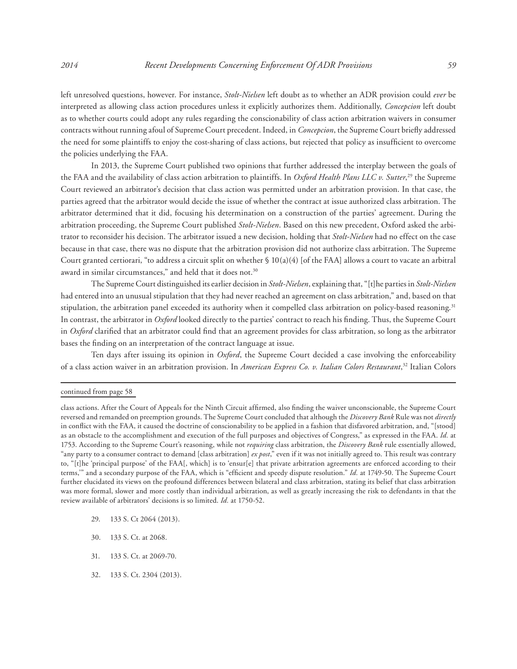left unresolved questions, however. For instance, *Stolt-Nielsen* left doubt as to whether an ADR provision could *ever* be interpreted as allowing class action procedures unless it explicitly authorizes them. Additionally, *Concepcion* left doubt as to whether courts could adopt any rules regarding the conscionability of class action arbitration waivers in consumer contracts without running afoul of Supreme Court precedent. Indeed, in *Concepcion*, the Supreme Court briefly addressed the need for some plaintiffs to enjoy the cost-sharing of class actions, but rejected that policy as insufficient to overcome the policies underlying the FAA.

In 2013, the Supreme Court published two opinions that further addressed the interplay between the goals of the FAA and the availability of class action arbitration to plaintiffs. In *Oxford Health Plans LLC v. Sutter*,<sup>29</sup> the Supreme Court reviewed an arbitrator's decision that class action was permitted under an arbitration provision. In that case, the parties agreed that the arbitrator would decide the issue of whether the contract at issue authorized class arbitration. The arbitrator determined that it did, focusing his determination on a construction of the parties' agreement. During the arbitration proceeding, the Supreme Court published *Stolt-Nielsen*. Based on this new precedent, Oxford asked the arbitrator to reconsider his decision. The arbitrator issued a new decision, holding that *Stolt-Nielsen* had no effect on the case because in that case, there was no dispute that the arbitration provision did not authorize class arbitration. The Supreme Court granted certiorari, "to address a circuit split on whether  $\S 10(a)(4)$  [of the FAA] allows a court to vacate an arbitral award in similar circumstances," and held that it does not.<sup>30</sup>

The Supreme Court distinguished its earlier decision in *Stolt-Nielsen*, explaining that, "[t]he parties in *Stolt-Nielsen* had entered into an unusual stipulation that they had never reached an agreement on class arbitration," and, based on that stipulation, the arbitration panel exceeded its authority when it compelled class arbitration on policy-based reasoning.<sup>31</sup> In contrast, the arbitrator in *Oxford* looked directly to the parties' contract to reach his finding. Thus, the Supreme Court in *Oxford* clarified that an arbitrator could find that an agreement provides for class arbitration, so long as the arbitrator bases the finding on an interpretation of the contract language at issue.

Ten days after issuing its opinion in *Oxford*, the Supreme Court decided a case involving the enforceability of a class action waiver in an arbitration provision. In *American Express Co. v. Italian Colors Restaurant*, 32 Italian Colors

continued from page 58

- 29. 133 S. Ct 2064 (2013).
- 30. 133 S. Ct. at 2068.
- 31. 133 S. Ct. at 2069-70.
- 32. 133 S. Ct. 2304 (2013).

class actions. After the Court of Appeals for the Ninth Circuit affirmed, also finding the waiver unconscionable, the Supreme Court reversed and remanded on preemption grounds. The Supreme Court concluded that although the *Discovery Bank* Rule was not *directly* in conflict with the FAA, it caused the doctrine of conscionability to be applied in a fashion that disfavored arbitration, and, "[stood] as an obstacle to the accomplishment and execution of the full purposes and objectives of Congress," as expressed in the FAA. *Id.* at 1753. According to the Supreme Court's reasoning, while not *requiring* class arbitration, the *Discovery Bank* rule essentially allowed, "any party to a consumer contract to demand [class arbitration] *ex post*," even if it was not initially agreed to. This result was contrary to, "[t]he 'principal purpose' of the FAA[, which] is to 'ensur[e] that private arbitration agreements are enforced according to their terms,'" and a secondary purpose of the FAA, which is "efficient and speedy dispute resolution." *Id.* at 1749-50. The Supreme Court further elucidated its views on the profound differences between bilateral and class arbitration, stating its belief that class arbitration was more formal, slower and more costly than individual arbitration, as well as greatly increasing the risk to defendants in that the review available of arbitrators' decisions is so limited. *Id.* at 1750-52.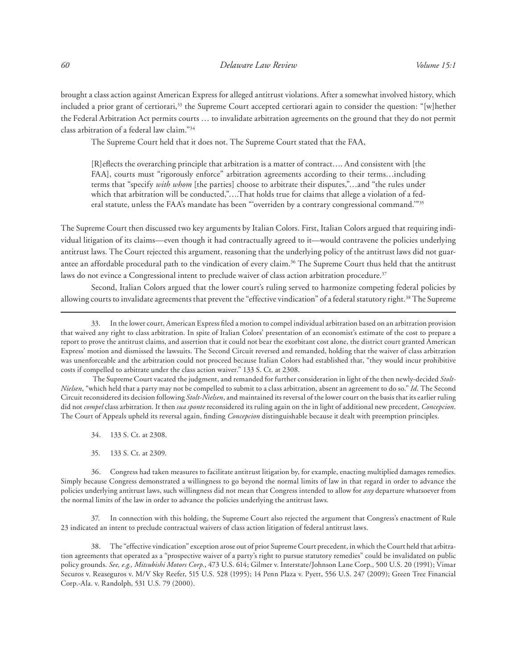brought a class action against American Express for alleged antitrust violations. After a somewhat involved history, which included a prior grant of certiorari,<sup>33</sup> the Supreme Court accepted certiorari again to consider the question: "[w]hether the Federal Arbitration Act permits courts … to invalidate arbitration agreements on the ground that they do not permit class arbitration of a federal law claim."34

The Supreme Court held that it does not. The Supreme Court stated that the FAA,

[R]eflects the overarching principle that arbitration is a matter of contract…. And consistent with [the FAA], courts must "rigorously enforce" arbitration agreements according to their terms…including terms that "specify *with whom* [the parties] choose to arbitrate their disputes,"…and "the rules under which that arbitration will be conducted,"….That holds true for claims that allege a violation of a federal statute, unless the FAA's mandate has been "'overriden by a contrary congressional command.'"35

The Supreme Court then discussed two key arguments by Italian Colors. First, Italian Colors argued that requiring individual litigation of its claims—even though it had contractually agreed to it—would contravene the policies underlying antitrust laws. The Court rejected this argument, reasoning that the underlying policy of the antitrust laws did not guarantee an affordable procedural path to the vindication of every claim.36 The Supreme Court thus held that the antitrust laws do not evince a Congressional intent to preclude waiver of class action arbitration procedure.<sup>37</sup>

Second, Italian Colors argued that the lower court's ruling served to harmonize competing federal policies by allowing courts to invalidate agreements that prevent the "effective vindication" of a federal statutory right.<sup>38</sup> The Supreme

 The Supreme Court vacated the judgment, and remanded for further consideration in light of the then newly-decided *Stolt-Nielsen*, "which held that a party may not be compelled to submit to a class arbitration, absent an agreement to do so." *Id*. The Second Circuit reconsidered its decision following *Stolt-Nielsen*, and maintained its reversal of the lower court on the basis that its earlier ruling did not *compel* class arbitration. It then *sua sponte* reconsidered its ruling again on the in light of additional new precedent, *Concepcion*. The Court of Appeals upheld its reversal again, finding *Concepcion* distinguishable because it dealt with preemption principles.

34. 133 S. Ct. at 2308.

36. Congress had taken measures to facilitate antitrust litigation by, for example, enacting multiplied damages remedies. Simply because Congress demonstrated a willingness to go beyond the normal limits of law in that regard in order to advance the policies underlying antitrust laws, such willingness did not mean that Congress intended to allow for *any* departure whatsoever from the normal limits of the law in order to advance the policies underlying the antitrust laws.

37. In connection with this holding, the Supreme Court also rejected the argument that Congress's enactment of Rule 23 indicated an intent to preclude contractual waivers of class action litigation of federal antitrust laws.

38. The "effective vindication" exception arose out of prior Supreme Court precedent, in which the Court held that arbitration agreements that operated as a "prospective waiver of a party's right to pursue statutory remedies" could be invalidated on public policy grounds. *See, e.g., Mitsubishi Motors Corp*., 473 U.S. 614; Gilmer v. Interstate/Johnson Lane Corp., 500 U.S. 20 (1991); Vimar Securos v. Reaseguros v. M/V Sky Reefer, 515 U.S. 528 (1995); 14 Penn Plaza v. Pyett, 556 U.S. 247 (2009); Green Tree Financial Corp.-Ala. v. Randolph, 531 U.S. 79 (2000).

<sup>33.</sup> In the lower court, American Express filed a motion to compel individual arbitration based on an arbitration provision that waived any right to class arbitration. In spite of Italian Colors' presentation of an economist's estimate of the cost to prepare a report to prove the antitrust claims, and assertion that it could not bear the exorbitant cost alone, the district court granted American Express' motion and dismissed the lawsuits. The Second Circuit reversed and remanded, holding that the waiver of class arbitration was unenforceable and the arbitration could not proceed because Italian Colors had established that, "they would incur prohibitive costs if compelled to arbitrate under the class action waiver." 133 S. Ct. at 2308.

<sup>35.</sup> 133 S. Ct. at 2309.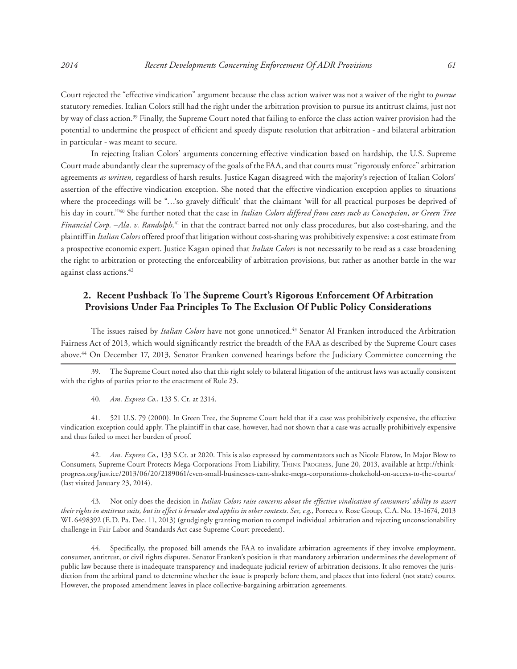Court rejected the "effective vindication" argument because the class action waiver was not a waiver of the right to *pursue*  statutory remedies. Italian Colors still had the right under the arbitration provision to pursue its antitrust claims, just not by way of class action.<sup>39</sup> Finally, the Supreme Court noted that failing to enforce the class action waiver provision had the potential to undermine the prospect of efficient and speedy dispute resolution that arbitration - and bilateral arbitration in particular - was meant to secure.

In rejecting Italian Colors' arguments concerning effective vindication based on hardship, the U.S. Supreme Court made abundantly clear the supremacy of the goals of the FAA, and that courts must "rigorously enforce" arbitration agreements *as written,* regardless of harsh results. Justice Kagan disagreed with the majority's rejection of Italian Colors' assertion of the effective vindication exception. She noted that the effective vindication exception applies to situations where the proceedings will be "...'so gravely difficult' that the claimant 'will for all practical purposes be deprived of his day in court.'"40 She further noted that the case in *Italian Colors differed from cases such as Concepcion, or Green Tree Financial Corp. –Ala. v. Randolph*,<sup>41</sup> in that the contract barred not only class procedures, but also cost-sharing, and the plaintiff in *Italian Colors* offered proof that litigation without cost-sharing was prohibitively expensive: a cost estimate from a prospective economic expert. Justice Kagan opined that *Italian Colors* is not necessarily to be read as a case broadening the right to arbitration or protecting the enforceability of arbitration provisions, but rather as another battle in the war against class actions.42

# **2. Recent Pushback To The Supreme Court's Rigorous Enforcement Of Arbitration Provisions Under Faa Principles To The Exclusion Of Public Policy Considerations**

The issues raised by *Italian Colors* have not gone unnoticed.43 Senator Al Franken introduced the Arbitration Fairness Act of 2013, which would significantly restrict the breadth of the FAA as described by the Supreme Court cases above.44 On December 17, 2013, Senator Franken convened hearings before the Judiciary Committee concerning the

39. The Supreme Court noted also that this right solely to bilateral litigation of the antitrust laws was actually consistent with the rights of parties prior to the enactment of Rule 23.

40. *Am. Express Co.*, 133 S. Ct. at 2314.

41. 521 U.S. 79 (2000). In Green Tree, the Supreme Court held that if a case was prohibitively expensive, the effective vindication exception could apply. The plaintiff in that case, however, had not shown that a case was actually prohibitively expensive and thus failed to meet her burden of proof.

42. *Am. Express Co.*, 133 S.Ct. at 2020. This is also expressed by commentators such as Nicole Flatow, In Major Blow to Consumers, Supreme Court Protects Mega-Corporations From Liability, Think Progress, June 20, 2013, available at http://thinkprogress.org/justice/2013/06/20/2189061/even-small-businesses-cant-shake-mega-corporations-chokehold-on-access-to-the-courts/ (last visited January 23, 2014).

43. Not only does the decision in *Italian Colors raise concerns about the effective vindication of consumers' ability to assert their rights in antitrust suits, but its effect is broader and applies in other contexts. See, e.g.,* Porreca v. Rose Group*,* C.A. No. 13-1674, 2013 WL 6498392 (E.D. Pa. Dec. 11, 2013) (grudgingly granting motion to compel individual arbitration and rejecting unconscionability challenge in Fair Labor and Standards Act case Supreme Court precedent).

44. Specifically, the proposed bill amends the FAA to invalidate arbitration agreements if they involve employment, consumer, antitrust, or civil rights disputes. Senator Franken's position is that mandatory arbitration undermines the development of public law because there is inadequate transparency and inadequate judicial review of arbitration decisions. It also removes the jurisdiction from the arbitral panel to determine whether the issue is properly before them, and places that into federal (not state) courts. However, the proposed amendment leaves in place collective-bargaining arbitration agreements.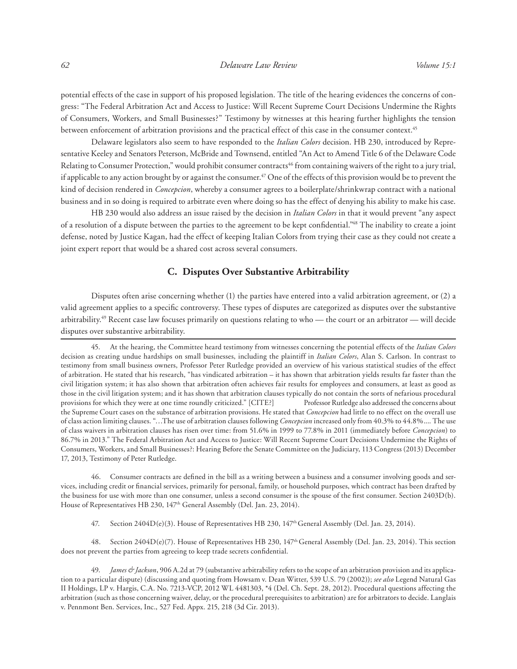potential effects of the case in support of his proposed legislation. The title of the hearing evidences the concerns of congress: "The Federal Arbitration Act and Access to Justice: Will Recent Supreme Court Decisions Undermine the Rights of Consumers, Workers, and Small Businesses?" Testimony by witnesses at this hearing further highlights the tension between enforcement of arbitration provisions and the practical effect of this case in the consumer context.45

Delaware legislators also seem to have responded to the *Italian Colors* decision. HB 230, introduced by Representative Keeley and Senators Peterson, McBride and Townsend, entitled "An Act to Amend Title 6 of the Delaware Code Relating to Consumer Protection," would prohibit consumer contracts<sup>46</sup> from containing waivers of the right to a jury trial, if applicable to any action brought by or against the consumer.<sup>47</sup> One of the effects of this provision would be to prevent the kind of decision rendered in *Concepcion*, whereby a consumer agrees to a boilerplate/shrinkwrap contract with a national business and in so doing is required to arbitrate even where doing so has the effect of denying his ability to make his case.

HB 230 would also address an issue raised by the decision in *Italian Colors* in that it would prevent "any aspect of a resolution of a dispute between the parties to the agreement to be kept confidential."48 The inability to create a joint defense, noted by Justice Kagan, had the effect of keeping Italian Colors from trying their case as they could not create a joint expert report that would be a shared cost across several consumers.

#### **C. Disputes Over Substantive Arbitrability**

Disputes often arise concerning whether (1) the parties have entered into a valid arbitration agreement, or (2) a valid agreement applies to a specific controversy. These types of disputes are categorized as disputes over the substantive arbitrability.49 Recent case law focuses primarily on questions relating to who — the court or an arbitrator — will decide disputes over substantive arbitrability.

46. Consumer contracts are defined in the bill as a writing between a business and a consumer involving goods and services, including credit or financial services, primarily for personal, family, or household purposes, which contract has been drafted by the business for use with more than one consumer, unless a second consumer is the spouse of the first consumer. Section 2403D(b). House of Representatives HB 230, 147<sup>th</sup> General Assembly (Del. Jan. 23, 2014).

47. Section 2404D(e)(3). House of Representatives HB 230, 147<sup>th</sup> General Assembly (Del. Jan. 23, 2014).

48. Section 2404D(e)(7). House of Representatives HB 230, 147<sup>th</sup> General Assembly (Del. Jan. 23, 2014). This section does not prevent the parties from agreeing to keep trade secrets confidential.

49. *James & Jackson*, 906 A.2d at 79 (substantive arbitrability refers to the scope of an arbitration provision and its application to a particular dispute) (discussing and quoting from Howsam v. Dean Witter, 539 U.S. 79 (2002)); *see also* Legend Natural Gas II Holdings, LP v. Hargis, C.A. No. 7213-VCP, 2012 WL 4481303, \*4 (Del. Ch. Sept. 28, 2012). Procedural questions affecting the arbitration (such as those concerning waiver, delay, or the procedural prerequisites to arbitration) are for arbitrators to decide. Langlais v. Pennmont Ben. Services, Inc., 527 Fed. Appx. 215, 218 (3d Cir. 2013).

<sup>45.</sup> At the hearing, the Committee heard testimony from witnesses concerning the potential effects of the *Italian Colors*  decision as creating undue hardships on small businesses, including the plaintiff in *Italian Colors*, Alan S. Carlson. In contrast to testimony from small business owners, Professor Peter Rutledge provided an overview of his various statistical studies of the effect of arbitration. He stated that his research, "has vindicated arbitration – it has shown that arbitration yields results far faster than the civil litigation system; it has also shown that arbitration often achieves fair results for employees and consumers, at least as good as those in the civil litigation system; and it has shown that arbitration clauses typically do not contain the sorts of nefarious procedural provisions for which they were at one time roundly criticized." [CITE?] Professor Rutledge also addressed the concerns about the Supreme Court cases on the substance of arbitration provisions. He stated that *Concepcion* had little to no effect on the overall use of class action limiting clauses. "…The use of arbitration clauses following *Concepcion* increased only from 40.3% to 44.8%.... The use of class waivers in arbitration clauses has risen over time: from 51.6% in 1999 to 77.8% in 2011 (immediately before *Concepcion*) to 86.7% in 2013." The Federal Arbitration Act and Access to Justice: Will Recent Supreme Court Decisions Undermine the Rights of Consumers, Workers, and Small Businesses?: Hearing Before the Senate Committee on the Judiciary, 113 Congress (2013) December 17, 2013, Testimony of Peter Rutledge.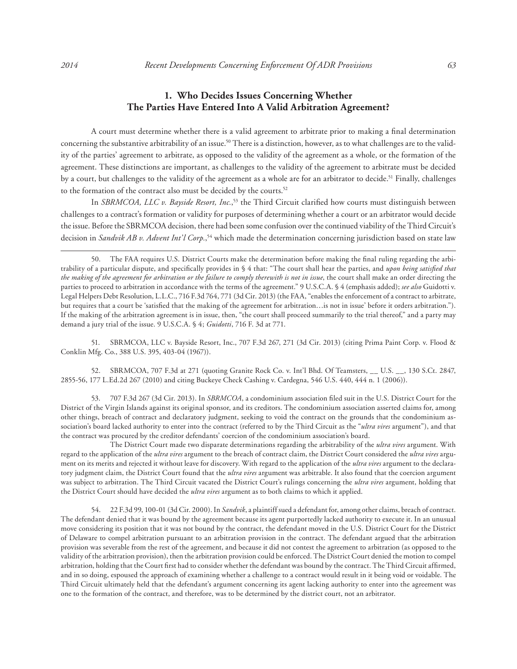# **1. Who Decides Issues Concerning Whether The Parties Have Entered Into A Valid Arbitration Agreement?**

A court must determine whether there is a valid agreement to arbitrate prior to making a final determination concerning the substantive arbitrability of an issue.50 There is a distinction, however, as to what challenges are to the validity of the parties' agreement to arbitrate, as opposed to the validity of the agreement as a whole, or the formation of the agreement. These distinctions are important, as challenges to the validity of the agreement to arbitrate must be decided by a court, but challenges to the validity of the agreement as a whole are for an arbitrator to decide.<sup>51</sup> Finally, challenges to the formation of the contract also must be decided by the courts.<sup>52</sup>

In *SBRMCOA, LLC v. Bayside Resort, Inc.*, 53 the Third Circuit clarified how courts must distinguish between challenges to a contract's formation or validity for purposes of determining whether a court or an arbitrator would decide the issue. Before the SBRMCOA decision, there had been some confusion over the continued viability of the Third Circuit's decision in *Sandvik AB v. Advent Int'l Corp.*, 54 which made the determination concerning jurisdiction based on state law

51. SBRMCOA, LLC v. Bayside Resort, Inc., 707 F.3d 267, 271 (3d Cir. 2013) (citing Prima Paint Corp. v. Flood & Conklin Mfg. Co., 388 U.S. 395, 403-04 (1967)).

52. SBRMCOA, 707 F.3d at 271 (quoting Granite Rock Co. v. Int'l Bhd. Of Teamsters, \_\_ U.S. \_\_, 130 S.Ct. 2847, 2855-56, 177 L.Ed.2d 267 (2010) and citing Buckeye Check Cashing v. Cardegna, 546 U.S. 440, 444 n. 1 (2006)).

53. 707 F.3d 267 (3d Cir. 2013). In *SBRMCOA*, a condominium association filed suit in the U.S. District Court for the District of the Virgin Islands against its original sponsor, and its creditors. The condominium association asserted claims for, among other things, breach of contract and declaratory judgment, seeking to void the contract on the grounds that the condominium association's board lacked authority to enter into the contract (referred to by the Third Circuit as the "*ultra vires* argument"), and that the contract was procured by the creditor defendants' coercion of the condominium association's board.

The District Court made two disparate determinations regarding the arbitrability of the *ultra vires* argument. With regard to the application of the *ultra vires* argument to the breach of contract claim, the District Court considered the *ultra vires* argument on its merits and rejected it without leave for discovery. With regard to the application of the *ultra vires* argument to the declaratory judgment claim, the District Court found that the *ultra vires* argument was arbitrable. It also found that the coercion argument was subject to arbitration. The Third Circuit vacated the District Court's rulings concerning the *ultra vires* argument, holding that the District Court should have decided the *ultra vires* argument as to both claims to which it applied.

54. 22 F.3d 99, 100-01 (3d Cir. 2000). In *Sandvik*, a plaintiff sued a defendant for, among other claims, breach of contract. The defendant denied that it was bound by the agreement because its agent purportedly lacked authority to execute it. In an unusual move considering its position that it was not bound by the contract, the defendant moved in the U.S. District Court for the District of Delaware to compel arbitration pursuant to an arbitration provision in the contract. The defendant argued that the arbitration provision was severable from the rest of the agreement, and because it did not contest the agreement to arbitration (as opposed to the validity of the arbitration provision), then the arbitration provision could be enforced. The District Court denied the motion to compel arbitration, holding that the Court first had to consider whether the defendant was bound by the contract. The Third Circuit affirmed, and in so doing, espoused the approach of examining whether a challenge to a contract would result in it being void or voidable. The Third Circuit ultimately held that the defendant's argument concerning its agent lacking authority to enter into the agreement was one to the formation of the contract, and therefore, was to be determined by the district court, not an arbitrator.

<sup>50.</sup> The FAA requires U.S. District Courts make the determination before making the final ruling regarding the arbitrability of a particular dispute, and specifically provides in § 4 that: "The court shall hear the parties, and *upon being satisfied that the making of the agreement for arbitration or the failure to comply therewith is not in issue*, the court shall make an order directing the parties to proceed to arbitration in accordance with the terms of the agreement." 9 U.S.C.A. § 4 (emphasis added); *see also* Guidotti v. Legal Helpers Debt Resolution, L.L.C., 716 F.3d 764, 771 (3d Cir. 2013) (the FAA, "enables the enforcement of a contract to arbitrate, but requires that a court be 'satisfied that the making of the agreement for arbitration…is not in issue' before it orders arbitration."). If the making of the arbitration agreement is in issue, then, "the court shall proceed summarily to the trial thereof," and a party may demand a jury trial of the issue. 9 U.S.C.A. § 4; *Guidotti*, 716 F. 3d at 771.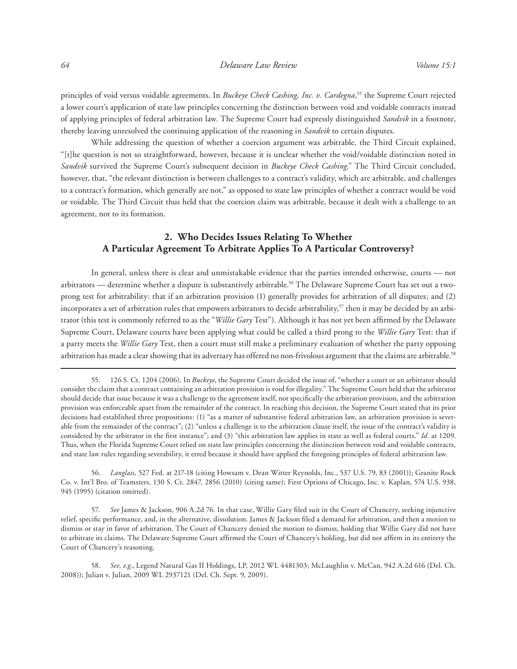principles of void versus voidable agreements. In *Buckeye Check Cashing, Inc. v. Cardegna*, 55 the Supreme Court rejected a lower court's application of state law principles concerning the distinction between void and voidable contracts instead of applying principles of federal arbitration law. The Supreme Court had expressly distinguished *Sandvik* in a footnote, thereby leaving unresolved the continuing application of the reasoning in *Sandvik* to certain disputes.

While addressing the question of whether a coercion argument was arbitrable, the Third Circuit explained, "[t]he question is not so straightforward, however, because it is unclear whether the void/voidable distinction noted in *Sandvik* survived the Supreme Court's subsequent decision in *Buckeye Check Cashing*." The Third Circuit concluded, however, that, "the relevant distinction is between challenges to a contract's validity, which are arbitrable, and challenges to a contract's formation, which generally are not," as opposed to state law principles of whether a contract would be void or voidable. The Third Circuit thus held that the coercion claim was arbitrable, because it dealt with a challenge to an agreement, not to its formation.

# **2. Who Decides Issues Relating To Whether A Particular Agreement To Arbitrate Applies To A Particular Controversy?**

In general, unless there is clear and unmistakable evidence that the parties intended otherwise, courts — not arbitrators — determine whether a dispute is substantively arbitrable.56 The Delaware Supreme Court has set out a twoprong test for arbitrability: that if an arbitration provision (1) generally provides for arbitration of all disputes; and (2) incorporates a set of arbitration rules that empowers arbitrators to decide arbitrability,<sup>57</sup> then it may be decided by an arbitrator (this test is commonly referred to as the "*Willie Gary* Test"). Although it has not yet been affirmed by the Delaware Supreme Court, Delaware courts have been applying what could be called a third prong to the *Willie Gary* Test: that if a party meets the *Willie Gary* Test, then a court must still make a preliminary evaluation of whether the party opposing arbitration has made a clear showing that its adversary has offered no non-frivolous argument that the claims are arbitrable.<sup>58</sup>

56. *Langlais*, 527 Fed. at 217-18 (citing Howsam v. Dean Witter Reynolds, Inc., 537 U.S. 79, 83 (2001)); Granite Rock Co. v. Int'l Bro. of Teamsters, 130 S. Ct. 2847, 2856 (2010) (citing same); First Options of Chicago, Inc. v. Kaplan, 574 U.S. 938, 945 (1995) (citation omitted).

57. *See* James & Jackson, 906 A.2d 76. In that case, Willie Gary filed suit in the Court of Chancery, seeking injunctive relief, specific performance, and, in the alternative, dissolution. James & Jackson filed a demand for arbitration, and then a motion to dismiss or stay in favor of arbitration. The Court of Chancery denied the motion to dismiss, holding that Willie Gary did not have to arbitrate its claims. The Delaware Supreme Court affirmed the Court of Chancery's holding, but did not affirm in its entirety the Court of Chancery's reasoning.

58. *See, e.g.*, Legend Natural Gas II Holdings, LP, 2012 WL 4481303; McLaughlin v. McCan, 942 A.2d 616 (Del. Ch. 2008)); Julian v. Julian, 2009 WL 2937121 (Del. Ch. Sept. 9, 2009).

<sup>55.</sup> 126 S. Ct. 1204 (2006). In *Buckeye*, the Supreme Court decided the issue of, "whether a court or an arbitrator should consider the claim that a contract containing an arbitration provision is void for illegality." The Supreme Court held that the arbitrator should decide that issue because it was a challenge to the agreement itself, not specifically the arbitration provision, and the arbitration provision was enforceable apart from the remainder of the contract. In reaching this decision, the Supreme Court stated that its prior decisions had established three propositions: (1) "as a matter of substantive federal arbitration law, an arbitration provision is severable from the remainder of the contract"; (2) "unless a challenge is to the arbitration clause itself, the issue of the contract's validity is considered by the arbitrator in the first instance"; and (3) "this arbitration law applies in state as well as federal courts." *Id.* at 1209. Thus, when the Florida Supreme Court relied on state law principles concerning the distinction between void and voidable contracts, and state law rules regarding severability, it erred because it should have applied the foregoing principles of federal arbitration law.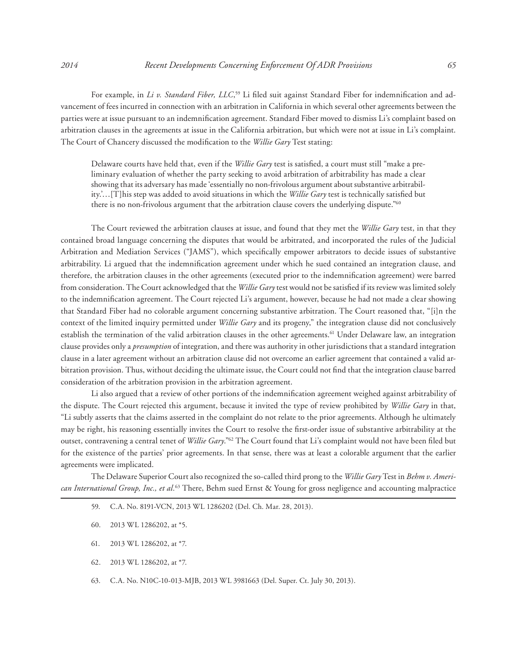For example, in *Li v. Standard Fiber, LLC*, 59 Li filed suit against Standard Fiber for indemnification and advancement of fees incurred in connection with an arbitration in California in which several other agreements between the parties were at issue pursuant to an indemnification agreement. Standard Fiber moved to dismiss Li's complaint based on arbitration clauses in the agreements at issue in the California arbitration, but which were not at issue in Li's complaint. The Court of Chancery discussed the modification to the *Willie Gary* Test stating:

Delaware courts have held that, even if the *Willie Gary* test is satisfied, a court must still "make a preliminary evaluation of whether the party seeking to avoid arbitration of arbitrability has made a clear showing that its adversary has made 'essentially no non-frivolous argument about substantive arbitrability.'…[T]his step was added to avoid situations in which the *Willie Gary* test is technically satisfied but there is no non-frivolous argument that the arbitration clause covers the underlying dispute."60

The Court reviewed the arbitration clauses at issue, and found that they met the *Willie Gary* test, in that they contained broad language concerning the disputes that would be arbitrated, and incorporated the rules of the Judicial Arbitration and Mediation Services ("JAMS"), which specifically empower arbitrators to decide issues of substantive arbitrability. Li argued that the indemnification agreement under which he sued contained an integration clause, and therefore, the arbitration clauses in the other agreements (executed prior to the indemnification agreement) were barred from consideration. The Court acknowledged that the *Willie Gary* test would not be satisfied if its review was limited solely to the indemnification agreement. The Court rejected Li's argument, however, because he had not made a clear showing that Standard Fiber had no colorable argument concerning substantive arbitration. The Court reasoned that, "[i]n the context of the limited inquiry permitted under *Willie Gary* and its progeny," the integration clause did not conclusively establish the termination of the valid arbitration clauses in the other agreements.<sup>61</sup> Under Delaware law, an integration clause provides only a *presumption* of integration, and there was authority in other jurisdictions that a standard integration clause in a later agreement without an arbitration clause did not overcome an earlier agreement that contained a valid arbitration provision. Thus, without deciding the ultimate issue, the Court could not find that the integration clause barred consideration of the arbitration provision in the arbitration agreement.

Li also argued that a review of other portions of the indemnification agreement weighed against arbitrability of the dispute. The Court rejected this argument, because it invited the type of review prohibited by *Willie Gary* in that, "Li subtly asserts that the claims asserted in the complaint do not relate to the prior agreements. Although he ultimately may be right, his reasoning essentially invites the Court to resolve the first-order issue of substantive arbitrability at the outset, contravening a central tenet of *Willie Gary*."62 The Court found that Li's complaint would not have been filed but for the existence of the parties' prior agreements. In that sense, there was at least a colorable argument that the earlier agreements were implicated.

The Delaware Superior Court also recognized the so-called third prong to the *Willie Gary* Test in *Behm v. American International Group, Inc., et al.*63 There, Behm sued Ernst & Young for gross negligence and accounting malpractice

- 61. 2013 WL 1286202, at \*7.
- 62. 2013 WL 1286202, at \*7.
- 63. C.A. No. N10C-10-013-MJB, 2013 WL 3981663 (Del. Super. Ct. July 30, 2013).

<sup>59.</sup> C.A. No. 8191-VCN, 2013 WL 1286202 (Del. Ch. Mar. 28, 2013).

<sup>60.</sup> 2013 WL 1286202, at \*5.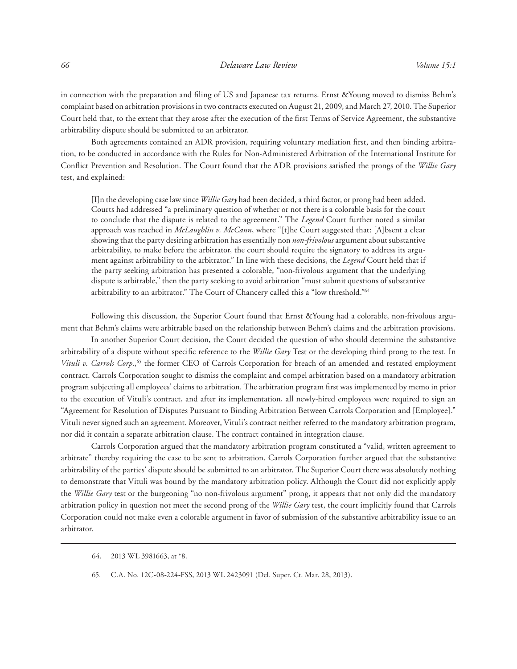in connection with the preparation and filing of US and Japanese tax returns. Ernst &Young moved to dismiss Behm's complaint based on arbitration provisions in two contracts executed on August 21, 2009, and March 27, 2010. The Superior Court held that, to the extent that they arose after the execution of the first Terms of Service Agreement, the substantive arbitrability dispute should be submitted to an arbitrator.

Both agreements contained an ADR provision, requiring voluntary mediation first, and then binding arbitration, to be conducted in accordance with the Rules for Non-Administered Arbitration of the International Institute for Conflict Prevention and Resolution. The Court found that the ADR provisions satisfied the prongs of the *Willie Gary*  test, and explained:

[I]n the developing case law since *Willie Gary* had been decided, a third factor, or prong had been added. Courts had addressed "a preliminary question of whether or not there is a colorable basis for the court to conclude that the dispute is related to the agreement." The *Legend* Court further noted a similar approach was reached in *McLaughlin v. McCann*, where "[t]he Court suggested that: [A]bsent a clear showing that the party desiring arbitration has essentially non *non-frivolous* argument about substantive arbitrability, to make before the arbitrator, the court should require the signatory to address its argument against arbitrability to the arbitrator." In line with these decisions, the *Legend* Court held that if the party seeking arbitration has presented a colorable, "non-frivolous argument that the underlying dispute is arbitrable," then the party seeking to avoid arbitration "must submit questions of substantive arbitrability to an arbitrator." The Court of Chancery called this a "low threshold."<sup>64</sup>

Following this discussion, the Superior Court found that Ernst &Young had a colorable, non-frivolous argument that Behm's claims were arbitrable based on the relationship between Behm's claims and the arbitration provisions.

In another Superior Court decision, the Court decided the question of who should determine the substantive arbitrability of a dispute without specific reference to the *Willie Gary* Test or the developing third prong to the test. In Vituli v. Carrols Corp.,<sup>65</sup> the former CEO of Carrols Corporation for breach of an amended and restated employment contract. Carrols Corporation sought to dismiss the complaint and compel arbitration based on a mandatory arbitration program subjecting all employees' claims to arbitration. The arbitration program first was implemented by memo in prior to the execution of Vituli's contract, and after its implementation, all newly-hired employees were required to sign an "Agreement for Resolution of Disputes Pursuant to Binding Arbitration Between Carrols Corporation and [Employee]." Vituli never signed such an agreement. Moreover, Vituli's contract neither referred to the mandatory arbitration program, nor did it contain a separate arbitration clause. The contract contained in integration clause.

Carrols Corporation argued that the mandatory arbitration program constituted a "valid, written agreement to arbitrate" thereby requiring the case to be sent to arbitration. Carrols Corporation further argued that the substantive arbitrability of the parties' dispute should be submitted to an arbitrator. The Superior Court there was absolutely nothing to demonstrate that Vituli was bound by the mandatory arbitration policy. Although the Court did not explicitly apply the *Willie Gary* test or the burgeoning "no non-frivolous argument" prong, it appears that not only did the mandatory arbitration policy in question not meet the second prong of the *Willie Gary* test, the court implicitly found that Carrols Corporation could not make even a colorable argument in favor of submission of the substantive arbitrability issue to an arbitrator.

64. 2013 WL 3981663, at \*8.

65. C.A. No. 12C-08-224-FSS, 2013 WL 2423091 (Del. Super. Ct. Mar. 28, 2013).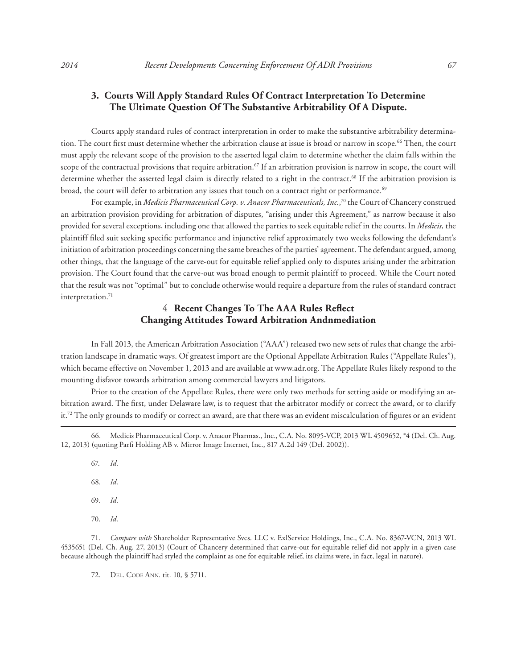## **3. Courts Will Apply Standard Rules Of Contract Interpretation To Determine The Ultimate Question Of The Substantive Arbitrability Of A Dispute.**

Courts apply standard rules of contract interpretation in order to make the substantive arbitrability determination. The court first must determine whether the arbitration clause at issue is broad or narrow in scope.<sup>66</sup> Then, the court must apply the relevant scope of the provision to the asserted legal claim to determine whether the claim falls within the scope of the contractual provisions that require arbitration.<sup>67</sup> If an arbitration provision is narrow in scope, the court will determine whether the asserted legal claim is directly related to a right in the contract.<sup>68</sup> If the arbitration provision is broad, the court will defer to arbitration any issues that touch on a contract right or performance.<sup>69</sup>

For example, in *Medicis Pharmaceutical Corp. v. Anacor Pharmaceuticals, Inc.*, 70 the Court of Chancery construed an arbitration provision providing for arbitration of disputes, "arising under this Agreement," as narrow because it also provided for several exceptions, including one that allowed the parties to seek equitable relief in the courts. In *Medicis*, the plaintiff filed suit seeking specific performance and injunctive relief approximately two weeks following the defendant's initiation of arbitration proceedings concerning the same breaches of the parties' agreement. The defendant argued, among other things, that the language of the carve-out for equitable relief applied only to disputes arising under the arbitration provision. The Court found that the carve-out was broad enough to permit plaintiff to proceed. While the Court noted that the result was not "optimal" but to conclude otherwise would require a departure from the rules of standard contract interpretation.<sup>71</sup>

## 4 **Recent Changes To The AAA Rules Reflect Changing Attitudes Toward Arbitration Andnmediation**

In Fall 2013, the American Arbitration Association ("AAA") released two new sets of rules that change the arbitration landscape in dramatic ways. Of greatest import are the Optional Appellate Arbitration Rules ("Appellate Rules"), which became effective on November 1, 2013 and are available at www.adr.org. The Appellate Rules likely respond to the mounting disfavor towards arbitration among commercial lawyers and litigators.

Prior to the creation of the Appellate Rules, there were only two methods for setting aside or modifying an arbitration award. The first, under Delaware law, is to request that the arbitrator modify or correct the award, or to clarify it.72 The only grounds to modify or correct an award, are that there was an evident miscalculation of figures or an evident

67. *Id.*

68. *Id.*

69. *Id.*

70. *Id.*

71. *Compare with* Shareholder Representative Svcs. LLC v. ExlService Holdings, Inc., C.A. No. 8367-VCN, 2013 WL 4535651 (Del. Ch. Aug. 27, 2013) (Court of Chancery determined that carve-out for equitable relief did not apply in a given case because although the plaintiff had styled the complaint as one for equitable relief, its claims were, in fact, legal in nature).

72. Del. Code Ann*.* tit*.* 10*,* § 5711.

<sup>66.</sup> Medicis Pharmaceutical Corp. v. Anacor Pharmas., Inc., C.A. No. 8095-VCP, 2013 WL 4509652, \*4 (Del. Ch. Aug. 12, 2013) (quoting Parfi Holding AB v. Mirror Image Internet, Inc., 817 A.2d 149 (Del. 2002)).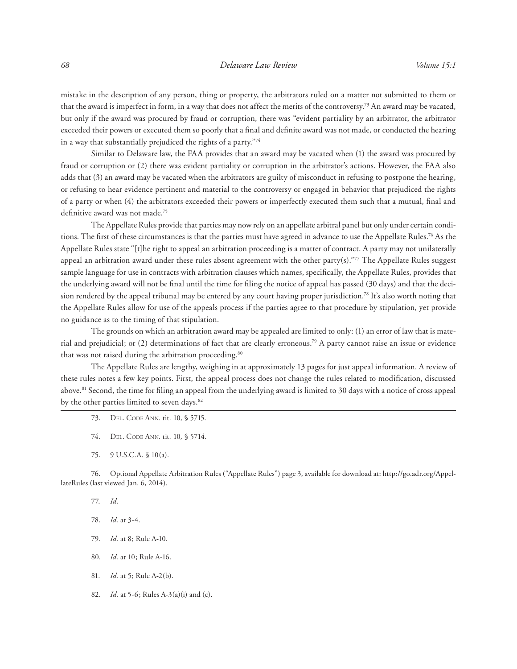mistake in the description of any person, thing or property, the arbitrators ruled on a matter not submitted to them or that the award is imperfect in form, in a way that does not affect the merits of the controversy.73 An award may be vacated, but only if the award was procured by fraud or corruption, there was "evident partiality by an arbitrator, the arbitrator exceeded their powers or executed them so poorly that a final and definite award was not made, or conducted the hearing in a way that substantially prejudiced the rights of a party."74

Similar to Delaware law, the FAA provides that an award may be vacated when (1) the award was procured by fraud or corruption or (2) there was evident partiality or corruption in the arbitrator's actions. However, the FAA also adds that (3) an award may be vacated when the arbitrators are guilty of misconduct in refusing to postpone the hearing, or refusing to hear evidence pertinent and material to the controversy or engaged in behavior that prejudiced the rights of a party or when (4) the arbitrators exceeded their powers or imperfectly executed them such that a mutual, final and definitive award was not made.<sup>75</sup>

The Appellate Rules provide that parties may now rely on an appellate arbitral panel but only under certain conditions. The first of these circumstances is that the parties must have agreed in advance to use the Appellate Rules.76 As the Appellate Rules state "[t]he right to appeal an arbitration proceeding is a matter of contract. A party may not unilaterally appeal an arbitration award under these rules absent agreement with the other party(s)."<sup>77</sup> The Appellate Rules suggest sample language for use in contracts with arbitration clauses which names, specifically, the Appellate Rules, provides that the underlying award will not be final until the time for filing the notice of appeal has passed (30 days) and that the decision rendered by the appeal tribunal may be entered by any court having proper jurisdiction.78 It's also worth noting that the Appellate Rules allow for use of the appeals process if the parties agree to that procedure by stipulation, yet provide no guidance as to the timing of that stipulation.

The grounds on which an arbitration award may be appealed are limited to only: (1) an error of law that is material and prejudicial; or (2) determinations of fact that are clearly erroneous.79 A party cannot raise an issue or evidence that was not raised during the arbitration proceeding.<sup>80</sup>

The Appellate Rules are lengthy, weighing in at approximately 13 pages for just appeal information. A review of these rules notes a few key points. First, the appeal process does not change the rules related to modification, discussed above.<sup>81</sup> Second, the time for filing an appeal from the underlying award is limited to 30 days with a notice of cross appeal by the other parties limited to seven days.<sup>82</sup>

- 73. Del. Code Ann*.* tit*.* 10*,* § 5715.
- 74. Del. Code Ann*.* tit*.* 10*,* § 5714.
- 75. 9 U.S.C.A. § 10(a).

76. Optional Appellate Arbitration Rules ("Appellate Rules") page 3, available for download at: http://go.adr.org/AppellateRules (last viewed Jan. 6, 2014).

- 77. *Id.*
- 78. *Id.* at 3-4.
- 79. *Id.* at 8; Rule A-10.
- 80. *Id.* at 10; Rule A-16.
- 81. *Id.* at 5; Rule A-2(b).
- 82. *Id.* at 5-6; Rules A-3(a)(i) and (c).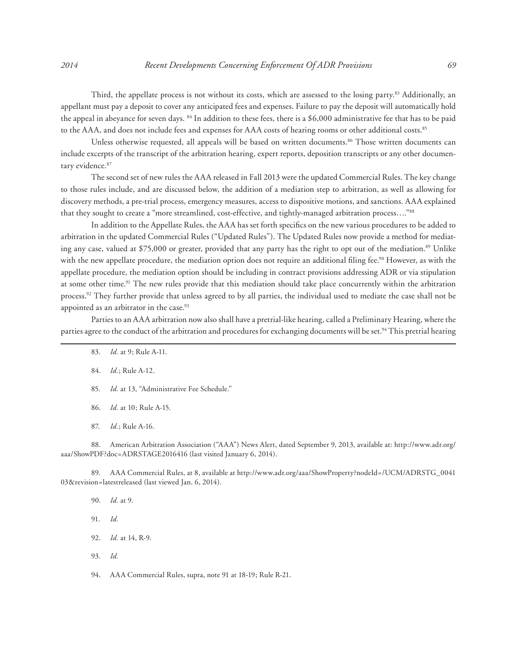Third, the appellate process is not without its costs, which are assessed to the losing party.<sup>83</sup> Additionally, an appellant must pay a deposit to cover any anticipated fees and expenses. Failure to pay the deposit will automatically hold the appeal in abeyance for seven days.  $84$  In addition to these fees, there is a \$6,000 administrative fee that has to be paid to the AAA, and does not include fees and expenses for AAA costs of hearing rooms or other additional costs.<sup>85</sup>

Unless otherwise requested, all appeals will be based on written documents.<sup>86</sup> Those written documents can include excerpts of the transcript of the arbitration hearing, expert reports, deposition transcripts or any other documentary evidence.<sup>87</sup>

The second set of new rules the AAA released in Fall 2013 were the updated Commercial Rules. The key change to those rules include, and are discussed below, the addition of a mediation step to arbitration, as well as allowing for discovery methods, a pre-trial process, emergency measures, access to dispositive motions, and sanctions. AAA explained that they sought to create a "more streamlined, cost-effective, and tightly-managed arbitration process…."88

In addition to the Appellate Rules, the AAA has set forth specifics on the new various procedures to be added to arbitration in the updated Commercial Rules ("Updated Rules"). The Updated Rules now provide a method for mediating any case, valued at \$75,000 or greater, provided that any party has the right to opt out of the mediation.<sup>89</sup> Unlike with the new appellate procedure, the mediation option does not require an additional filing fee.<sup>90</sup> However, as with the appellate procedure, the mediation option should be including in contract provisions addressing ADR or via stipulation at some other time.<sup>91</sup> The new rules provide that this mediation should take place concurrently within the arbitration process.<sup>92</sup> They further provide that unless agreed to by all parties, the individual used to mediate the case shall not be appointed as an arbitrator in the case.<sup>93</sup>

Parties to an AAA arbitration now also shall have a pretrial-like hearing, called a Preliminary Hearing, where the parties agree to the conduct of the arbitration and procedures for exchanging documents will be set.<sup>94</sup> This pretrial hearing

- 83. *Id.* at 9; Rule A-11.
- 84. *Id.*; Rule A-12.
- 85. *Id.* at 13, "Administrative Fee Schedule."
- 86. *Id.* at 10; Rule A-15.
- 87. *Id.*; Rule A-16.

88. American Arbitration Association ("AAA") News Alert, dated September 9, 2013, available at: http://www.adr.org/ aaa/ShowPDF?doc=ADRSTAGE2016416 (last visited January 6, 2014).

89. AAA Commercial Rules, at 8, available at http://www.adr.org/aaa/ShowProperty?nodeId=/UCM/ADRSTG\_0041 03&revision=latestreleased (last viewed Jan. 6, 2014).

- 90. *Id.* at 9.
- 91. *Id.*
- 92. *Id.* at 14, R-9.
- 93. *Id.*

94. AAA Commercial Rules, supra, note 91 at 18-19; Rule R-21.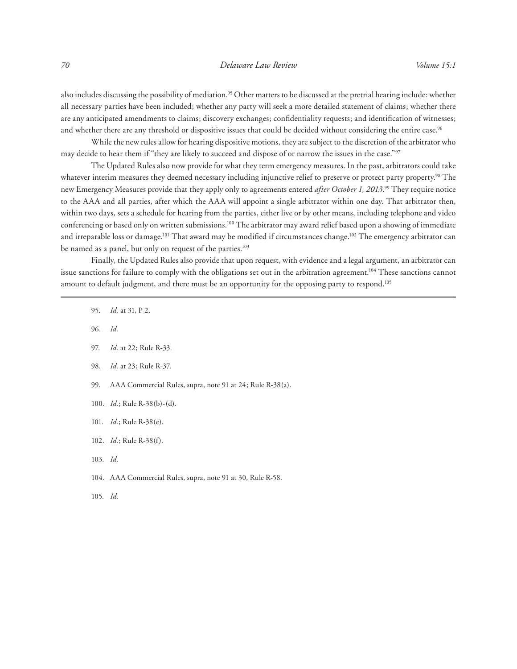also includes discussing the possibility of mediation.<sup>95</sup> Other matters to be discussed at the pretrial hearing include: whether all necessary parties have been included; whether any party will seek a more detailed statement of claims; whether there are any anticipated amendments to claims; discovery exchanges; confidentiality requests; and identification of witnesses; and whether there are any threshold or dispositive issues that could be decided without considering the entire case.<sup>96</sup>

While the new rules allow for hearing dispositive motions, they are subject to the discretion of the arbitrator who may decide to hear them if "they are likely to succeed and dispose of or narrow the issues in the case."97

The Updated Rules also now provide for what they term emergency measures. In the past, arbitrators could take whatever interim measures they deemed necessary including injunctive relief to preserve or protect party property.<sup>98</sup> The new Emergency Measures provide that they apply only to agreements entered *after October 1, 2013.*99 They require notice to the AAA and all parties, after which the AAA will appoint a single arbitrator within one day. That arbitrator then, within two days, sets a schedule for hearing from the parties, either live or by other means, including telephone and video conferencing or based only on written submissions.100 The arbitrator may award relief based upon a showing of immediate and irreparable loss or damage.<sup>101</sup> That award may be modified if circumstances change.<sup>102</sup> The emergency arbitrator can be named as a panel, but only on request of the parties.<sup>103</sup>

Finally, the Updated Rules also provide that upon request, with evidence and a legal argument, an arbitrator can issue sanctions for failure to comply with the obligations set out in the arbitration agreement.104 These sanctions cannot amount to default judgment, and there must be an opportunity for the opposing party to respond.<sup>105</sup>

- 95. *Id.* at 31, P-2.
- 96. *Id.*
- 97. *Id.* at 22; Rule R-33.
- 98. *Id.* at 23; Rule R-37.
- 99. AAA Commercial Rules, supra, note 91 at 24; Rule R-38(a).
- 100. *Id.*; Rule R-38(b)-(d).
- 101. *Id.*; Rule R-38(e).
- 102. *Id.*; Rule R-38(f).
- 103. *Id.*
- 104. AAA Commercial Rules, supra, note 91 at 30, Rule R-58.
- 105. *Id.*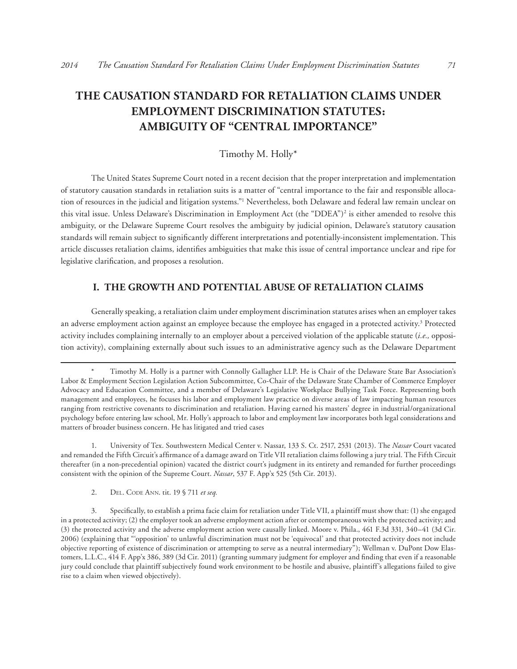# **THE CAUSATION STANDARD FOR RETALIATION CLAIMS UNDER EMPLOYMENT DISCRIMINATION STATUTES: AMBIGUITY OF "CENTRAL IMPORTANCE"**

#### Timothy M. Holly\*

The United States Supreme Court noted in a recent decision that the proper interpretation and implementation of statutory causation standards in retaliation suits is a matter of "central importance to the fair and responsible allocation of resources in the judicial and litigation systems."1 Nevertheless, both Delaware and federal law remain unclear on this vital issue. Unless Delaware's Discrimination in Employment Act (the "DDEA")<sup>2</sup> is either amended to resolve this ambiguity, or the Delaware Supreme Court resolves the ambiguity by judicial opinion, Delaware's statutory causation standards will remain subject to significantly different interpretations and potentially-inconsistent implementation. This article discusses retaliation claims, identifies ambiguities that make this issue of central importance unclear and ripe for legislative clarification, and proposes a resolution.

### **I. THE GROWTH AND POTENTIAL ABUSE OF RETALIATION CLAIMS**

Generally speaking, a retaliation claim under employment discrimination statutes arises when an employer takes an adverse employment action against an employee because the employee has engaged in a protected activity.<sup>3</sup> Protected activity includes complaining internally to an employer about a perceived violation of the applicable statute (*i.e.,* opposition activity), complaining externally about such issues to an administrative agency such as the Delaware Department

1. University of Tex. Southwestern Medical Center v. Nassar, 133 S. Ct. 2517, 2531 (2013). The *Nassar* Court vacated and remanded the Fifth Circuit's affirmance of a damage award on Title VII retaliation claims following a jury trial. The Fifth Circuit thereafter (in a non-precedential opinion) vacated the district court's judgment in its entirety and remanded for further proceedings consistent with the opinion of the Supreme Court. *Nassar*, 537 F. App'x 525 (5th Cir. 2013).

2. Del. Code Ann. tit. 19 § 711 *et seq.*

3. Specifically, to establish a prima facie claim for retaliation under Title VII, a plaintiff must show that: (1) she engaged in a protected activity; (2) the employer took an adverse employment action after or contemporaneous with the protected activity; and (3) the protected activity and the adverse employment action were causally linked. Moore v. Phila., 461 F.3d 331, 340–41 (3d Cir. 2006) (explaining that "'opposition' to unlawful discrimination must not be 'equivocal' and that protected activity does not include objective reporting of existence of discrimination or attempting to serve as a neutral intermediary"); Wellman v. DuPont Dow Elastomers, L.L.C., 414 F. App'x 386, 389 (3d Cir. 2011) (granting summary judgment for employer and finding that even if a reasonable jury could conclude that plaintiff subjectively found work environment to be hostile and abusive, plaintiff's allegations failed to give rise to a claim when viewed objectively).

Timothy M. Holly is a partner with Connolly Gallagher LLP. He is Chair of the Delaware State Bar Association's Labor & Employment Section Legislation Action Subcommittee, Co-Chair of the Delaware State Chamber of Commerce Employer Advocacy and Education Committee, and a member of Delaware's Legislative Workplace Bullying Task Force. Representing both management and employees, he focuses his labor and employment law practice on diverse areas of law impacting human resources ranging from restrictive covenants to discrimination and retaliation. Having earned his masters' degree in industrial/organizational psychology before entering law school, Mr. Holly's approach to labor and employment law incorporates both legal considerations and matters of broader business concern. He has litigated and tried cases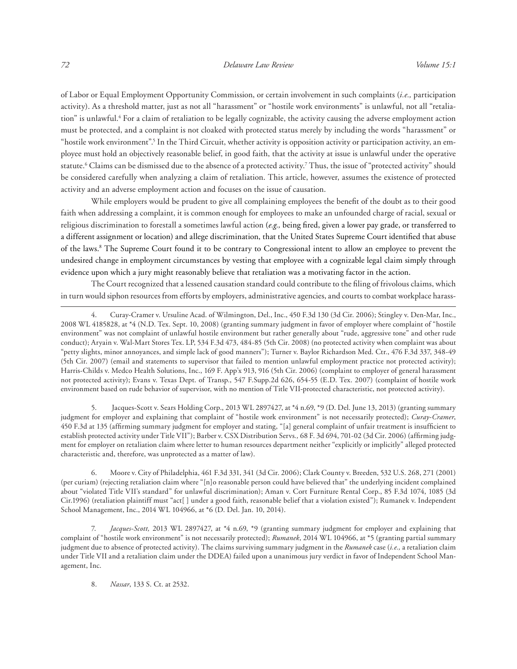of Labor or Equal Employment Opportunity Commission, or certain involvement in such complaints (*i.e.,* participation activity). As a threshold matter, just as not all "harassment" or "hostile work environments" is unlawful, not all "retaliation" is unlawful.4 For a claim of retaliation to be legally cognizable, the activity causing the adverse employment action must be protected, and a complaint is not cloaked with protected status merely by including the words "harassment" or "hostile work environment".5 In the Third Circuit, whether activity is opposition activity or participation activity, an employee must hold an objectively reasonable belief, in good faith, that the activity at issue is unlawful under the operative statute.6 Claims can be dismissed due to the absence of a protected activity.7 Thus, the issue of "protected activity" should be considered carefully when analyzing a claim of retaliation. This article, however, assumes the existence of protected activity and an adverse employment action and focuses on the issue of causation.

While employers would be prudent to give all complaining employees the benefit of the doubt as to their good faith when addressing a complaint, it is common enough for employees to make an unfounded charge of racial, sexual or religious discrimination to forestall a sometimes lawful action (*e.g.,* being fired, given a lower pay grade, or transferred to a different assignment or location) and allege discrimination, that the United States Supreme Court identified that abuse of the laws.8 The Supreme Court found it to be contrary to Congressional intent to allow an employee to prevent the undesired change in employment circumstances by vesting that employee with a cognizable legal claim simply through evidence upon which a jury might reasonably believe that retaliation was a motivating factor in the action.

The Court recognized that a lessened causation standard could contribute to the filing of frivolous claims, which in turn would siphon resources from efforts by employers, administrative agencies, and courts to combat workplace harass-

Jacques-Scott v. Sears Holding Corp., 2013 WL 2897427, at \*4 n.69, \*9 (D. Del. June 13, 2013) (granting summary judgment for employer and explaining that complaint of "hostile work environment" is not necessarily protected); *Curay-Cramer*, 450 F.3d at 135 (affirming summary judgment for employer and stating, "[a] general complaint of unfair treatment is insufficient to establish protected activity under Title VII"); Barber v. CSX Distribution Servs*.,* 68 F. 3d 694, 701-02 (3d Cir. 2006) (affirming judgment for employer on retaliation claim where letter to human resources department neither "explicitly or implicitly" alleged protected characteristic and, therefore, was unprotected as a matter of law).

6. Moore v. City of Philadelphia, 461 F.3d 331, 341 (3d Cir. 2006); Clark County v. Breeden, 532 U.S. 268, 271 (2001) (per curiam) (rejecting retaliation claim where "[n]o reasonable person could have believed that" the underlying incident complained about "violated Title VII's standard" for unlawful discrimination); Aman v. Cort Furniture Rental Corp., 85 F.3d 1074, 1085 (3d Cir.1996) (retaliation plaintiff must "act[ ] under a good faith, reasonable belief that a violation existed"); Rumanek v. Independent School Management, Inc., 2014 WL 104966, at \*6 (D. Del. Jan. 10, 2014).

7. *Jacques-Scott,* 2013 WL 2897427, at \*4 n.69, \*9 (granting summary judgment for employer and explaining that complaint of "hostile work environment" is not necessarily protected); *Rumanek*, 2014 WL 104966, at \*5 (granting partial summary judgment due to absence of protected activity). The claims surviving summary judgment in the *Rumanek* case (*i.e.,* a retaliation claim under Title VII and a retaliation claim under the DDEA) failed upon a unanimous jury verdict in favor of Independent School Management, Inc.

8. *Nassar*, 133 S. Ct. at 2532.

<sup>4.</sup> Curay-Cramer v. Ursuline Acad. of Wilmington, Del., Inc., 450 F.3d 130 (3d Cir. 2006); Stingley v. Den-Mar, Inc., 2008 WL 4185828, at \*4 (N.D. Tex. Sept. 10, 2008) (granting summary judgment in favor of employer where complaint of "hostile environment" was not complaint of unlawful hostile environment but rather generally about "rude, aggressive tone" and other rude conduct); Aryain v. Wal-Mart Stores Tex. LP, 534 F.3d 473, 484-85 (5th Cir. 2008) (no protected activity when complaint was about "petty slights, minor annoyances, and simple lack of good manners"); Turner v. Baylor Richardson Med. Ctr*.*, 476 F.3d 337, 348-49 (5th Cir. 2007) (email and statements to supervisor that failed to mention unlawful employment practice not protected activity); Harris-Childs v. Medco Health Solutions, Inc., 169 F. App'x 913, 916 (5th Cir. 2006) (complaint to employer of general harassment not protected activity); Evans v. Texas Dept. of Transp*.*, 547 F.Supp.2d 626, 654-55 (E.D. Tex. 2007) (complaint of hostile work environment based on rude behavior of supervisor, with no mention of Title VII-protected characteristic, not protected activity).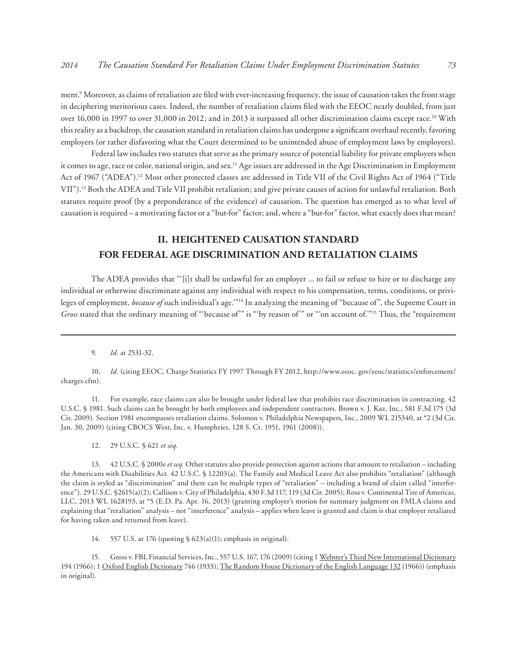ment.9 Moreover, as claims of retaliation are filed with ever-increasing frequency, the issue of causation takes the front stage in deciphering meritorious cases. Indeed, the number of retaliation claims filed with the EEOC nearly doubled, from just over 16,000 in 1997 to over 31,000 in 2012; and in 2013 it surpassed all other discrimination claims except race.10 With this reality as a backdrop, the causation standard in retaliation claims has undergone a significant overhaul recently, favoring employers (or rather disfavoring what the Court determined to be unintended abuse of employment laws by employees).

Federal law includes two statutes that serve as the primary source of potential liability for private employers when it comes to age, race or color, national origin, and sex.11 Age issues are addressed in the Age Discrimination in Employment Act of 1967 ("ADEA").12 Most other protected classes are addressed in Title VII of the Civil Rights Act of 1964 ("Title VII").13 Both the ADEA and Title VII prohibit retaliation; and give private causes of action for unlawful retaliation. Both statutes require proof (by a preponderance of the evidence) of causation. The question has emerged as to what level of causation is required – a motivating factor or a "but-for" factor; and, where a "but-for" factor, what exactly does that mean?

## **II. HEIGHTENED CAUSATION STANDARD FOR FEDERAL AGE DISCRIMINATION AND RETALIATION CLAIMS**

The ADEA provides that "'[i]t shall be unlawful for an employer ... to fail or refuse to hire or to discharge any individual or otherwise discriminate against any individual with respect to his compensation, terms, conditions, or privileges of employment, *because of* such individual's age.'"14 In analyzing the meaning of "because of", the Supreme Court in *Gross* stated that the ordinary meaning of ""because of" is "by reason of" or ""on account of."<sup>15</sup> Thus, the "requirement

9. *Id.* at 2531-32.

10. *Id.* (citing EEOC, Charge Statistics FY 1997 Through FY 2012, http://www.eeoc. gov/eeoc/statistics/enforcement/ charges.cfm).

11. For example, race claims can also be brought under federal law that prohibits race discrimination in contracting. 42 U.S.C. § 1981. Such claims can be brought by both employees and independent contractors. Brown v. J. Kaz, Inc*.*, 581 F.3d 175 (3d Cir. 2009). Section 1981 encompasses retaliation claims. Solomon v. Philadelphia Newspapers, Inc*.*, 2009 WL 215340, at \*2 (3d Cir. Jan. 30, 2009) (citing CBOCS West, Inc. v. Humphries, 128 S. Ct. 1951, 1961 (2008)).

12. 29 U.S.C. § 621 *et seq.*

13. 42 U.S.C. § 2000e *et seq.* Other statutes also provide protection against actions that amount to retaliation – including the Americans with Disabilities Act. 42 U.S.C. § 12203(a). The Family and Medical Leave Act also prohibits "retaliation" (although the claim is styled as "discrimination" and there can be multiple types of "retaliation" – including a brand of claim called "interference"). 29 U.S.C. §2615(a)(2); Callison v. City of Philadelphia, 430 F.3d 117, 119 (3d Cir. 2005); Ross v. Continental Tire of Americas, LLC, 2013 WL 1628193, at \*5 (E.D. Pa. Apr. 16, 2013) (granting employer's motion for summary judgment on FMLA claims and explaining that "retaliation" analysis – not "interference" analysis – applies when leave is granted and claim is that employer retaliated for having taken and returned from leave).

14. 557 U.S. at 176 (quoting § 623(a)(1); emphasis in original).

15. Gross v. FBL Financial Services, Inc*.*, 557 U.S. 167, 176 (2009) (citing 1 Webster's Third New International Dictionary 194 (1966); 1 Oxford English Dictionary 746 (1933); The Random House Dictionary of the English Language 132 (1966)) (emphasis in original).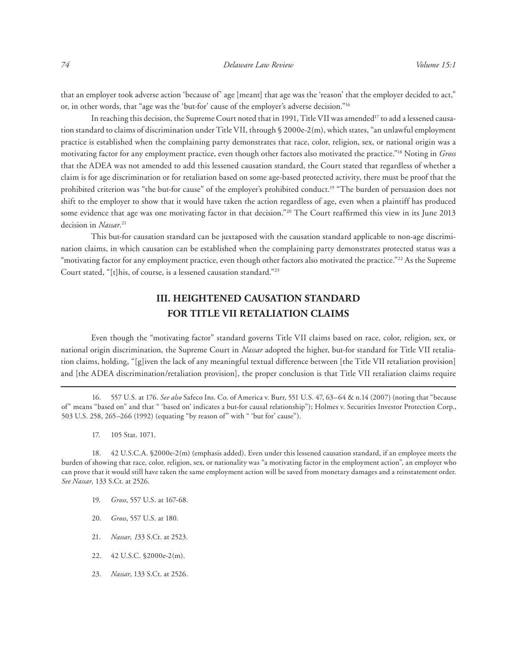that an employer took adverse action 'because of' age [meant] that age was the 'reason' that the employer decided to act," or, in other words, that "age was the 'but-for' cause of the employer's adverse decision."16

In reaching this decision, the Supreme Court noted that in 1991, Title VII was amended<sup>17</sup> to add a lessened causation standard to claims of discrimination under Title VII, through § 2000e-2(m), which states, "an unlawful employment practice is established when the complaining party demonstrates that race, color, religion, sex, or national origin was a motivating factor for any employment practice, even though other factors also motivated the practice."18 Noting in *Gross*  that the ADEA was not amended to add this lessened causation standard, the Court stated that regardless of whether a claim is for age discrimination or for retaliation based on some age-based protected activity, there must be proof that the prohibited criterion was "the but-for cause" of the employer's prohibited conduct.<sup>19</sup> "The burden of persuasion does not shift to the employer to show that it would have taken the action regardless of age, even when a plaintiff has produced some evidence that age was one motivating factor in that decision."20 The Court reaffirmed this view in its June 2013 decision in *Nassar*. 21

This but-for causation standard can be juxtaposed with the causation standard applicable to non-age discrimination claims, in which causation can be established when the complaining party demonstrates protected status was a "motivating factor for any employment practice, even though other factors also motivated the practice."<sup>22</sup> As the Supreme Court stated, "[t]his, of course, is a lessened causation standard."23

# **III. HEIGHTENED CAUSATION STANDARD FOR TITLE VII RETALIATION CLAIMS**

Even though the "motivating factor" standard governs Title VII claims based on race, color, religion, sex, or national origin discrimination, the Supreme Court in *Nassar* adopted the higher, but-for standard for Title VII retaliation claims, holding, "[g]iven the lack of any meaningful textual difference between [the Title VII retaliation provision] and [the ADEA discrimination/retaliation provision], the proper conclusion is that Title VII retaliation claims require

17. 105 Stat. 1071.

18. 42 U.S.C.A. §2000e-2(m) (emphasis added). Even under this lessened causation standard, if an employee meets the burden of showing that race, color, religion, sex, or nationality was "a motivating factor in the employment action", an employer who can prove that it would still have taken the same employment action will be saved from monetary damages and a reinstatement order. *See Nassar,* 133 S.Ct. at 2526.

- 19. *Gross*, 557 U.S. at 167-68.
- 20. *Gross*, 557 U.S. at 180.
- 21. *Nassar, 1*33 S.Ct. at 2523.
- 22. 42 U.S.C. §2000e-2(m).
- 23. *Nassar*, 133 S.Ct. at 2526.

<sup>16.</sup> 557 U.S. at 176. *See also* Safeco Ins. Co. of America v. Burr, 551 U.S. 47, 63–64 & n.14 (2007) (noting that "because of" means "based on" and that " 'based on' indicates a but-for causal relationship"); Holmes v. Securities Investor Protection Corp., 503 U.S. 258, 265–266 (1992) (equating "by reason of" with " 'but for' cause").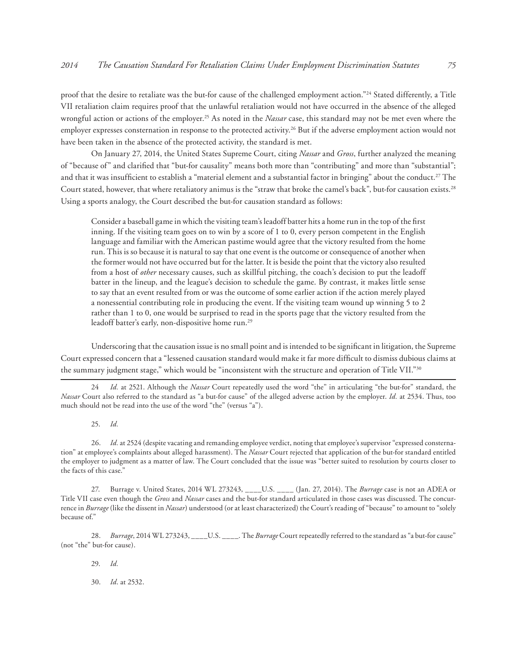proof that the desire to retaliate was the but-for cause of the challenged employment action."24 Stated differently, a Title VII retaliation claim requires proof that the unlawful retaliation would not have occurred in the absence of the alleged wrongful action or actions of the employer.25 As noted in the *Nassar* case, this standard may not be met even where the employer expresses consternation in response to the protected activity.26 But if the adverse employment action would not have been taken in the absence of the protected activity, the standard is met.

On January 27, 2014, the United States Supreme Court, citing *Nassar* and *Gross*, further analyzed the meaning of "because of" and clarified that "but-for causality" means both more than "contributing" and more than "substantial"; and that it was insufficient to establish a "material element and a substantial factor in bringing" about the conduct.<sup>27</sup> The Court stated, however, that where retaliatory animus is the "straw that broke the camel's back", but-for causation exists.<sup>28</sup> Using a sports analogy, the Court described the but-for causation standard as follows:

Consider a baseball game in which the visiting team's leadoff batter hits a home run in the top of the first inning. If the visiting team goes on to win by a score of 1 to 0, every person competent in the English language and familiar with the American pastime would agree that the victory resulted from the home run. This is so because it is natural to say that one event is the outcome or consequence of another when the former would not have occurred but for the latter. It is beside the point that the victory also resulted from a host of *other* necessary causes, such as skillful pitching, the coach's decision to put the leadoff batter in the lineup, and the league's decision to schedule the game. By contrast, it makes little sense to say that an event resulted from or was the outcome of some earlier action if the action merely played a nonessential contributing role in producing the event. If the visiting team wound up winning 5 to 2 rather than 1 to 0, one would be surprised to read in the sports page that the victory resulted from the leadoff batter's early, non-dispositive home run.29

Underscoring that the causation issue is no small point and is intended to be significant in litigation, the Supreme Court expressed concern that a "lessened causation standard would make it far more difficult to dismiss dubious claims at the summary judgment stage," which would be "inconsistent with the structure and operation of Title VII."30

24 *Id.* at 2521. Although the *Nassar* Court repeatedly used the word "the" in articulating "the but-for" standard, the *Nassar* Court also referred to the standard as "a but-for cause" of the alleged adverse action by the employer. *Id.* at 2534. Thus, too much should not be read into the use of the word "the" (versus "a").

25. *Id.*

26. *Id.* at 2524 (despite vacating and remanding employee verdict, noting that employee's supervisor "expressed consternation" at employee's complaints about alleged harassment). The *Nassar* Court rejected that application of the but-for standard entitled the employer to judgment as a matter of law. The Court concluded that the issue was "better suited to resolution by courts closer to the facts of this case."

27. Burrage v. United States, 2014 WL 273243, \_\_\_\_U.S. \_\_\_\_ (Jan. 27, 2014). The *Burrage* case is not an ADEA or Title VII case even though the *Gross* and *Nassar* cases and the but-for standard articulated in those cases was discussed. The concurrence in *Burrage* (like the dissent in *Nassar*) understood (or at least characterized) the Court's reading of "because" to amount to "solely because of."

28. *Burrage*, 2014 WL 273243, \_\_\_\_U.S. \_\_\_\_. The *Burrage* Court repeatedly referred to the standard as "a but-for cause" (not "the" but-for cause).

29. *Id.*

30. *Id*. at 2532.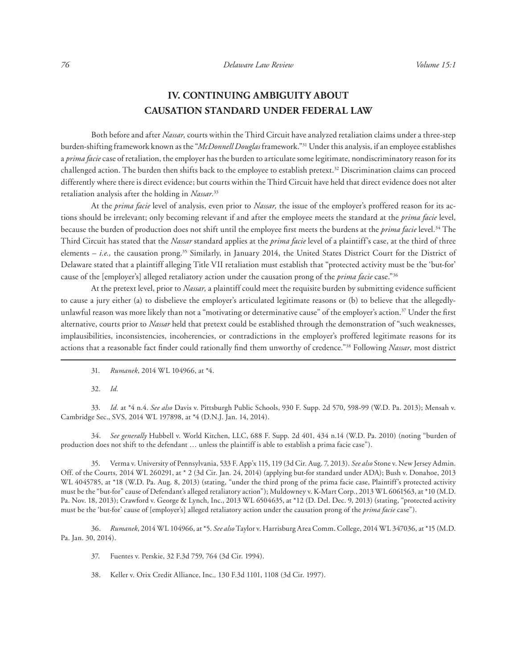## **IV. CONTINUING AMBIGUITY ABOUT CAUSATION STANDARD UNDER FEDERAL LAW**

Both before and after *Nassar,* courts within the Third Circuit have analyzed retaliation claims under a three-step burden-shifting framework known as the "*McDonnell Douglas* framework."31 Under this analysis, if an employee establishes a *prima facie* case of retaliation, the employer has the burden to articulate some legitimate, nondiscriminatory reason for its challenged action. The burden then shifts back to the employee to establish pretext.32 Discrimination claims can proceed differently where there is direct evidence; but courts within the Third Circuit have held that direct evidence does not alter retaliation analysis after the holding in *Nassar*. 33

At the *prima facie* level of analysis, even prior to *Nassar,* the issue of the employer's proffered reason for its actions should be irrelevant; only becoming relevant if and after the employee meets the standard at the *prima facie* level, because the burden of production does not shift until the employee first meets the burdens at the *prima facie* level.34 The Third Circuit has stated that the *Nassar* standard applies at the *prima facie* level of a plaintiff's case, at the third of three elements – *i.e.*, the causation prong.<sup>35</sup> Similarly, in January 2014, the United States District Court for the District of Delaware stated that a plaintiff alleging Title VII retaliation must establish that "protected activity must be the 'but-for' cause of the [employer's] alleged retaliatory action under the causation prong of the *prima facie* case."36

At the pretext level, prior to *Nassar,* a plaintiff could meet the requisite burden by submitting evidence sufficient to cause a jury either (a) to disbelieve the employer's articulated legitimate reasons or (b) to believe that the allegedlyunlawful reason was more likely than not a "motivating or determinative cause" of the employer's action.<sup>37</sup> Under the first alternative, courts prior to *Nassar* held that pretext could be established through the demonstration of "such weaknesses, implausibilities, inconsistencies, incoherencies, or contradictions in the employer's proffered legitimate reasons for its actions that a reasonable fact finder could rationally find them unworthy of credence."38 Following *Nassar*, most district

31. *Rumanek*, 2014 WL 104966, at \*4.

33. *Id.* at \*4 n.4. *See also* Davis v. Pittsburgh Public Schools, 930 F. Supp. 2d 570, 598-99 (W.D. Pa. 2013); Mensah v. Cambridge Sec., SVS*,* 2014 WL 197898, at \*4 (D.N.J. Jan. 14, 2014).

34. *See generally* Hubbell v. World Kitchen, LLC, 688 F. Supp. 2d 401, 434 n.14 (W.D. Pa. 2010) (noting "burden of production does not shift to the defendant … unless the plaintiff is able to establish a prima facie case").

35. Verma v. University of Pennsylvania, 533 F. App'x 115, 119 (3d Cir. Aug. 7, 2013). *See also* Stone v. New Jersey Admin. Off. of the Courts*,* 2014 WL 260291, at \* 2 (3d Cir. Jan. 24, 2014) (applying but-for standard under ADA); Bush v. Donahoe, 2013 WL 4045785, at \*18 (W.D. Pa. Aug. 8, 2013) (stating, "under the third prong of the prima facie case, Plaintiff's protected activity must be the "but-for" cause of Defendant's alleged retaliatory action"); Muldowney v. K-Mart Corp*.*, 2013 WL 6061563, at \*10 (M.D. Pa. Nov. 18, 2013); Crawford v. George & Lynch, Inc., 2013 WL 6504635, at \*12 (D. Del. Dec. 9, 2013) (stating, "protected activity must be the 'but-for' cause of [employer's] alleged retaliatory action under the causation prong of the *prima facie* case").

36. *Rumanek*, 2014 WL 104966, at \*5. *See also* Taylor v. Harrisburg Area Comm. College, 2014 WL 347036, at \*15 (M.D. Pa. Jan. 30, 2014).

37. Fuentes v. Perskie, 32 F.3d 759, 764 (3d Cir. 1994).

38. Keller v. Orix Credit Alliance, Inc.*,* 130 F.3d 1101, 1108 (3d Cir. 1997).

<sup>32.</sup> *Id.*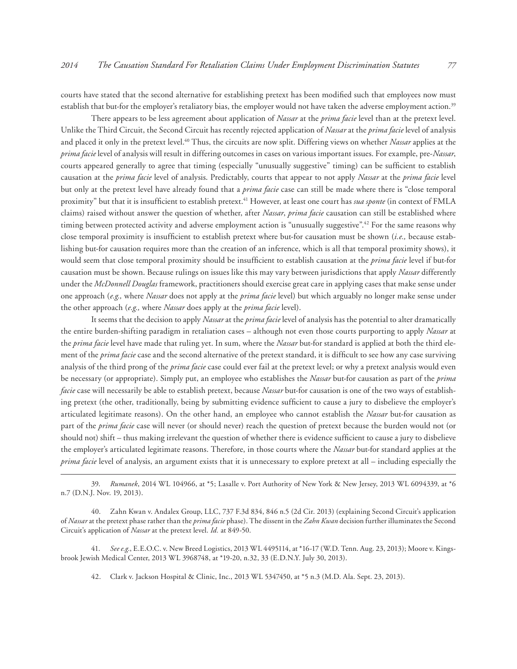courts have stated that the second alternative for establishing pretext has been modified such that employees now must establish that but-for the employer's retaliatory bias, the employer would not have taken the adverse employment action.<sup>39</sup>

There appears to be less agreement about application of *Nassar* at the *prima facie* level than at the pretext level. Unlike the Third Circuit, the Second Circuit has recently rejected application of *Nassar* at the *prima facie* level of analysis and placed it only in the pretext level.40 Thus, the circuits are now split. Differing views on whether *Nassar* applies at the *prima facie* level of analysis will result in differing outcomes in cases on various important issues. For example, pre-*Nassar*, courts appeared generally to agree that timing (especially "unusually suggestive" timing) can be sufficient to establish causation at the *prima facie* level of analysis. Predictably, courts that appear to not apply *Nassar* at the *prima facie* level but only at the pretext level have already found that a *prima facie* case can still be made where there is "close temporal proximity" but that it is insufficient to establish pretext.41 However, at least one court has *sua sponte* (in context of FMLA claims) raised without answer the question of whether, after *Nassar*, *prima facie* causation can still be established where timing between protected activity and adverse employment action is "unusually suggestive".<sup>42</sup> For the same reasons why close temporal proximity is insufficient to establish pretext where but-for causation must be shown (*i.e.,* because establishing but-for causation requires more than the creation of an inference, which is all that temporal proximity shows), it would seem that close temporal proximity should be insufficient to establish causation at the *prima facie* level if but-for causation must be shown. Because rulings on issues like this may vary between jurisdictions that apply *Nassar* differently under the *McDonnell Douglas* framework, practitioners should exercise great care in applying cases that make sense under one approach (*e.g.,* where *Nassar* does not apply at the *prima facie* level) but which arguably no longer make sense under the other approach (*e.g.,* where *Nassar* does apply at the *prima facie* level).

It seems that the decision to apply *Nassar* at the *prima facie* level of analysis has the potential to alter dramatically the entire burden-shifting paradigm in retaliation cases – although not even those courts purporting to apply *Nassar* at the *prima facie* level have made that ruling yet. In sum, where the *Nassar* but-for standard is applied at both the third element of the *prima facie* case and the second alternative of the pretext standard, it is difficult to see how any case surviving analysis of the third prong of the *prima facie* case could ever fail at the pretext level; or why a pretext analysis would even be necessary (or appropriate). Simply put, an employee who establishes the *Nassar* but-for causation as part of the *prima facie* case will necessarily be able to establish pretext, because *Nassar* but-for causation is one of the two ways of establishing pretext (the other, traditionally, being by submitting evidence sufficient to cause a jury to disbelieve the employer's articulated legitimate reasons). On the other hand, an employee who cannot establish the *Nassar* but-for causation as part of the *prima facie* case will never (or should never) reach the question of pretext because the burden would not (or should not) shift – thus making irrelevant the question of whether there is evidence sufficient to cause a jury to disbelieve the employer's articulated legitimate reasons. Therefore, in those courts where the *Nassar* but-for standard applies at the *prima facie* level of analysis, an argument exists that it is unnecessary to explore pretext at all – including especially the

39. *Rumanek*, 2014 WL 104966, at \*5; Lasalle v. Port Authority of New York & New Jersey, 2013 WL 6094339, at \*6 n.7 (D.N.J. Nov. 19, 2013).

40. Zahn Kwan v. Andalex Group, LLC, 737 F.3d 834, 846 n.5 (2d Cir. 2013) (explaining Second Circuit's application of *Nassar* at the pretext phase rather than the *prima facie* phase). The dissent in the *Zahn Kwan* decision further illuminates the Second Circuit's application of *Nassar* at the pretext level. *Id.* at 849-50.

41. *See e.g.*, E.E.O.C. v. New Breed Logistics, 2013 WL 4495114, at \*16-17 (W.D. Tenn. Aug. 23, 2013); Moore v. Kingsbrook Jewish Medical Center, 2013 WL 3968748, at \*19-20, n.32, 33 (E.D.N.Y. July 30, 2013).

42. Clark v. Jackson Hospital & Clinic, Inc., 2013 WL 5347450, at \*5 n.3 (M.D. Ala. Sept. 23, 2013).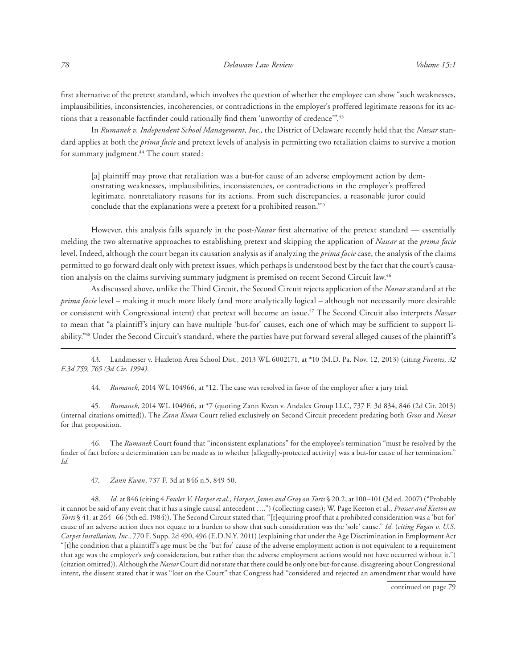first alternative of the pretext standard, which involves the question of whether the employee can show "such weaknesses, implausibilities, inconsistencies, incoherencies, or contradictions in the employer's proffered legitimate reasons for its actions that a reasonable factfinder could rationally find them 'unworthy of credence'".<sup>43</sup>

In *Rumanek v. Independent School Management, Inc.,* the District of Delaware recently held that the *Nassar* standard applies at both the *prima facie* and pretext levels of analysis in permitting two retaliation claims to survive a motion for summary judgment.<sup>44</sup> The court stated:

[a] plaintiff may prove that retaliation was a but-for cause of an adverse employment action by demonstrating weaknesses, implausibilities, inconsistencies, or contradictions in the employer's proffered legitimate, nonretaliatory reasons for its actions. From such discrepancies, a reasonable juror could conclude that the explanations were a pretext for a prohibited reason."45

However, this analysis falls squarely in the post-*Nassar* first alternative of the pretext standard — essentially melding the two alternative approaches to establishing pretext and skipping the application of *Nassar* at the *prima facie*  level. Indeed, although the court began its causation analysis as if analyzing the *prima facie* case, the analysis of the claims permitted to go forward dealt only with pretext issues, which perhaps is understood best by the fact that the court's causation analysis on the claims surviving summary judgment is premised on recent Second Circuit law.46

As discussed above, unlike the Third Circuit, the Second Circuit rejects application of the *Nassar* standard at the *prima facie* level – making it much more likely (and more analytically logical – although not necessarily more desirable or consistent with Congressional intent) that pretext will become an issue.47 The Second Circuit also interprets *Nassar*  to mean that "a plaintiff's injury can have multiple 'but-for' causes, each one of which may be sufficient to support liability."48 Under the Second Circuit's standard, where the parties have put forward several alleged causes of the plaintiff's

43. Landmesser v. Hazleton Area School Dist*.,* 2013 WL 6002171, at \*10 (M.D. Pa. Nov. 12, 2013) (citing *Fuentes, 32 F.3d 759, 765 (3d Cir. 1994).*

44. *Rumanek*, 2014 WL 104966, at \*12. The case was resolved in favor of the employer after a jury trial.

45. *Rumanek*, 2014 WL 104966, at \*7 (quoting Zann Kwan v. Andalex Group LLC, 737 F. 3d 834, 846 (2d Cir. 2013) (internal citations omitted)). The *Zann Kwan* Court relied exclusively on Second Circuit precedent predating both *Gross* and *Nassar* for that proposition.

46. The *Rumanek* Court found that "inconsistent explanations" for the employee's termination "must be resolved by the finder of fact before a determination can be made as to whether [allegedly-protected activity] was a but-for cause of her termination." *Id.*

47. *Zann Kwan*, 737 F. 3d at 846 n.5, 849-50.

48. *Id.* at 846 (citing 4 *Fowler V. Harper et al., Harper, James and Gray on Torts* § 20.2, at 100–101 (3d ed. 2007) ("Probably it cannot be said of any event that it has a single causal antecedent ….") (collecting cases); W. Page Keeton et al., *Prosser and Keeton on Torts* § 41, at 264–66 (5th ed. 1984)). The Second Circuit stated that, "[r]equiring proof that a prohibited consideration was a 'but-for' cause of an adverse action does not equate to a burden to show that such consideration was the 'sole' cause." *Id.* (*citing Fagan v. U.S. Carpet Installation, Inc.,* 770 F. Supp. 2d 490, 496 (E.D.N.Y. 2011) (explaining that under the Age Discrimination in Employment Act "[t]he condition that a plaintiff's age must be the 'but for' cause of the adverse employment action is not equivalent to a requirement that age was the employer's *only* consideration, but rather that the adverse employment actions would not have occurred without it.") (citation omitted)). Although the *Nassar* Court did not state that there could be only one but-for cause, disagreeing about Congressional intent, the dissent stated that it was "lost on the Court" that Congress had "considered and rejected an amendment that would have

continued on page 79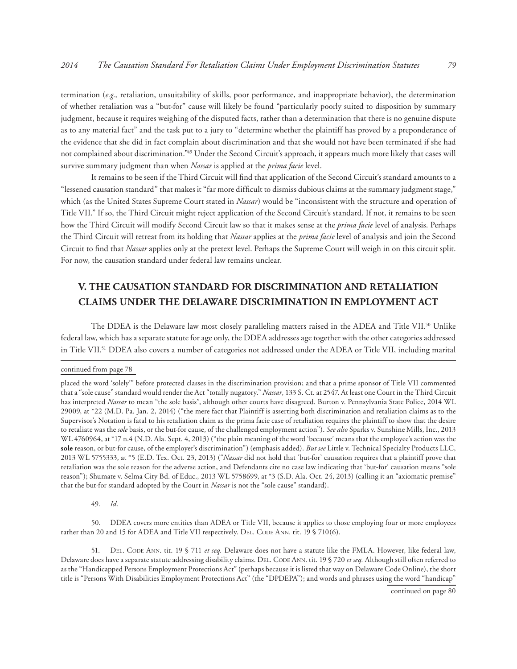termination (*e.g.,* retaliation, unsuitability of skills, poor performance, and inappropriate behavior), the determination of whether retaliation was a "but-for" cause will likely be found "particularly poorly suited to disposition by summary judgment, because it requires weighing of the disputed facts, rather than a determination that there is no genuine dispute as to any material fact" and the task put to a jury to "determine whether the plaintiff has proved by a preponderance of the evidence that she did in fact complain about discrimination and that she would not have been terminated if she had not complained about discrimination."<sup>49</sup> Under the Second Circuit's approach, it appears much more likely that cases will survive summary judgment than when *Nassar* is applied at the *prima facie* level.

It remains to be seen if the Third Circuit will find that application of the Second Circuit's standard amounts to a "lessened causation standard" that makes it "far more difficult to dismiss dubious claims at the summary judgment stage," which (as the United States Supreme Court stated in *Nassar*) would be "inconsistent with the structure and operation of Title VII." If so, the Third Circuit might reject application of the Second Circuit's standard. If not, it remains to be seen how the Third Circuit will modify Second Circuit law so that it makes sense at the *prima facie* level of analysis. Perhaps the Third Circuit will retreat from its holding that *Nassar* applies at the *prima facie* level of analysis and join the Second Circuit to find that *Nassar* applies only at the pretext level. Perhaps the Supreme Court will weigh in on this circuit split. For now, the causation standard under federal law remains unclear.

## **V. THE CAUSATION STANDARD FOR DISCRIMINATION AND RETALIATION CLAIMS UNDER THE DELAWARE DISCRIMINATION IN EMPLOYMENT ACT**

The DDEA is the Delaware law most closely paralleling matters raised in the ADEA and Title VII.<sup>50</sup> Unlike federal law, which has a separate statute for age only, the DDEA addresses age together with the other categories addressed in Title VII.51 DDEA also covers a number of categories not addressed under the ADEA or Title VII, including marital

#### continued from page 78

placed the word 'solely'" before protected classes in the discrimination provision; and that a prime sponsor of Title VII commented that a "sole cause" standard would render the Act "totally nugatory." *Nassar*, 133 S. Ct. at 2547. At least one Court in the Third Circuit has interpreted *Nassar* to mean "the sole basis", although other courts have disagreed. Burton v. Pennsylvania State Police, 2014 WL 29009, at \*22 (M.D. Pa. Jan. 2, 2014) ("the mere fact that Plaintiff is asserting both discrimination and retaliation claims as to the Supervisor's Notation is fatal to his retaliation claim as the prima facie case of retaliation requires the plaintiff to show that the desire to retaliate was the *sole* basis, or the but-for cause, of the challenged employment action"). *See also* Sparks v. Sunshine Mills, Inc., 2013 WL 4760964, at \*17 n.4 (N.D. Ala. Sept. 4, 2013) ("the plain meaning of the word 'because' means that the employee's action was the **sole** reason, or but-for cause, of the employer's discrimination") (emphasis added). *But see* Little v. Technical Specialty Products LLC, 2013 WL 5755333, at \*5 (E.D. Tex. Oct. 23, 2013) ("*Nassar* did not hold that 'but-for' causation requires that a plaintiff prove that retaliation was the sole reason for the adverse action, and Defendants cite no case law indicating that 'but-for' causation means "sole reason"); Shumate v. Selma City Bd. of Educ., 2013 WL 5758699, at \*3 (S.D. Ala. Oct. 24, 2013) (calling it an "axiomatic premise" that the but-for standard adopted by the Court in *Nassar* is not the "sole cause" standard).

49. *Id.*

50. DDEA covers more entities than ADEA or Title VII, because it applies to those employing four or more employees rather than 20 and 15 for ADEA and Title VII respectively. DEL. CODE ANN. tit. 19 § 710(6).

51. Del. Code Ann. tit. 19 § 711 *et seq.* Delaware does not have a statute like the FMLA. However, like federal law, Delaware does have a separate statute addressing disability claims. DEL. CODE ANN. tit. 19 § 720 et seq. Although still often referred to as the "Handicapped Persons Employment Protections Act" (perhaps because it is listed that way on Delaware Code Online), the short title is "Persons With Disabilities Employment Protections Act" (the "DPDEPA"); and words and phrases using the word "handicap"

continued on page 80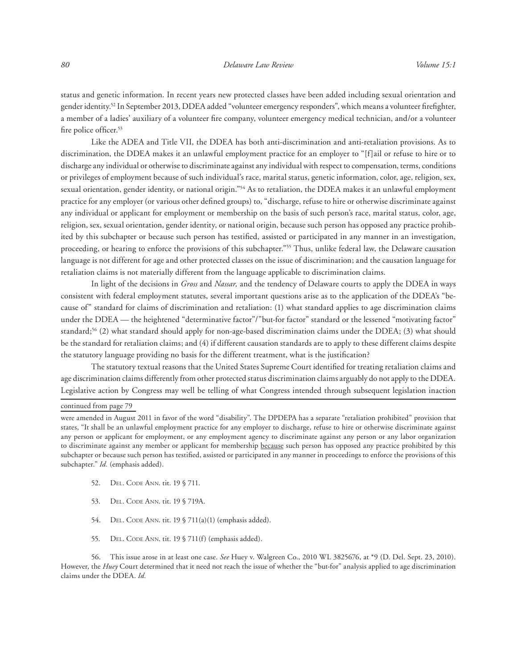status and genetic information. In recent years new protected classes have been added including sexual orientation and gender identity.52 In September 2013, DDEA added "volunteer emergency responders", which means a volunteer firefighter, a member of a ladies' auxiliary of a volunteer fire company, volunteer emergency medical technician, and/or a volunteer fire police officer.<sup>53</sup>

Like the ADEA and Title VII, the DDEA has both anti-discrimination and anti-retaliation provisions. As to discrimination, the DDEA makes it an unlawful employment practice for an employer to "[f]ail or refuse to hire or to discharge any individual or otherwise to discriminate against any individual with respect to compensation, terms, conditions or privileges of employment because of such individual's race, marital status, genetic information, color, age, religion, sex, sexual orientation, gender identity, or national origin."54 As to retaliation, the DDEA makes it an unlawful employment practice for any employer (or various other defined groups) to, "discharge, refuse to hire or otherwise discriminate against any individual or applicant for employment or membership on the basis of such person's race, marital status, color, age, religion, sex, sexual orientation, gender identity, or national origin, because such person has opposed any practice prohibited by this subchapter or because such person has testified, assisted or participated in any manner in an investigation, proceeding, or hearing to enforce the provisions of this subchapter."55 Thus, unlike federal law, the Delaware causation language is not different for age and other protected classes on the issue of discrimination; and the causation language for retaliation claims is not materially different from the language applicable to discrimination claims.

In light of the decisions in *Gross* and *Nassar,* and the tendency of Delaware courts to apply the DDEA in ways consistent with federal employment statutes, several important questions arise as to the application of the DDEA's "because of" standard for claims of discrimination and retaliation: (1) what standard applies to age discrimination claims under the DDEA — the heightened "determinative factor"/"but-for factor" standard or the lessened "motivating factor" standard;56 (2) what standard should apply for non-age-based discrimination claims under the DDEA; (3) what should be the standard for retaliation claims; and (4) if different causation standards are to apply to these different claims despite the statutory language providing no basis for the different treatment, what is the justification?

The statutory textual reasons that the United States Supreme Court identified for treating retaliation claims and age discrimination claims differently from other protected status discrimination claims arguably do not apply to the DDEA. Legislative action by Congress may well be telling of what Congress intended through subsequent legislation inaction

- 52. Del. Code Ann. tit. 19 § 711.
- 53. Del. Code Ann. tit. 19 § 719A.
- 54. DEL. CODE ANN. tit. 19 § 711(a)(1) (emphasis added).
- 55. DEL. CODE ANN. tit. 19 § 711(f) (emphasis added).

56. This issue arose in at least one case. *See* Huey v. Walgreen Co., 2010 WL 3825676, at \*9 (D. Del. Sept. 23, 2010). However, the *Huey* Court determined that it need not reach the issue of whether the "but-for" analysis applied to age discrimination claims under the DDEA. *Id.*

continued from page 79

were amended in August 2011 in favor of the word "disability". The DPDEPA has a separate "retaliation prohibited" provision that states, "It shall be an unlawful employment practice for any employer to discharge, refuse to hire or otherwise discriminate against any person or applicant for employment, or any employment agency to discriminate against any person or any labor organization to discriminate against any member or applicant for membership because such person has opposed any practice prohibited by this subchapter or because such person has testified, assisted or participated in any manner in proceedings to enforce the provisions of this subchapter." *Id.* (emphasis added).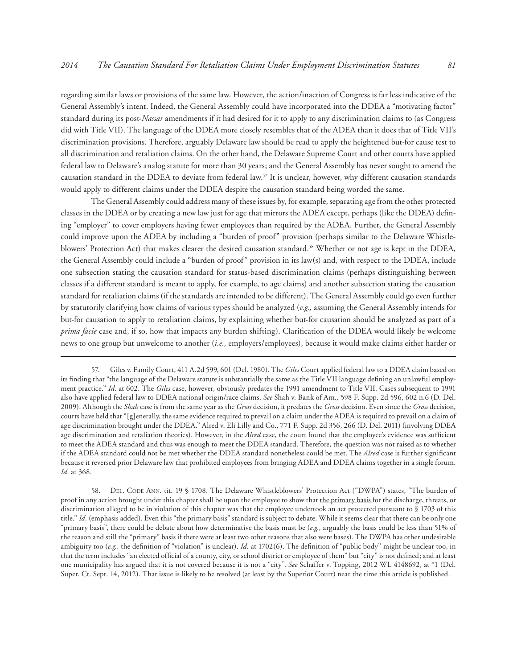regarding similar laws or provisions of the same law. However, the action/inaction of Congress is far less indicative of the General Assembly's intent. Indeed, the General Assembly could have incorporated into the DDEA a "motivating factor" standard during its post-*Nassar* amendments if it had desired for it to apply to any discrimination claims to (as Congress did with Title VII). The language of the DDEA more closely resembles that of the ADEA than it does that of Title VII's discrimination provisions. Therefore, arguably Delaware law should be read to apply the heightened but-for cause test to all discrimination and retaliation claims. On the other hand, the Delaware Supreme Court and other courts have applied federal law to Delaware's analog statute for more than 30 years; and the General Assembly has never sought to amend the causation standard in the DDEA to deviate from federal law.57 It is unclear, however, why different causation standards would apply to different claims under the DDEA despite the causation standard being worded the same.

The General Assembly could address many of these issues by, for example, separating age from the other protected classes in the DDEA or by creating a new law just for age that mirrors the ADEA except, perhaps (like the DDEA) defining "employer" to cover employers having fewer employees than required by the ADEA. Further, the General Assembly could improve upon the ADEA by including a "burden of proof" provision (perhaps similar to the Delaware Whistleblowers' Protection Act) that makes clearer the desired causation standard.<sup>58</sup> Whether or not age is kept in the DDEA, the General Assembly could include a "burden of proof" provision in its law(s) and, with respect to the DDEA, include one subsection stating the causation standard for status-based discrimination claims (perhaps distinguishing between classes if a different standard is meant to apply, for example, to age claims) and another subsection stating the causation standard for retaliation claims (if the standards are intended to be different). The General Assembly could go even further by statutorily clarifying how claims of various types should be analyzed (*e.g.,* assuming the General Assembly intends for but-for causation to apply to retaliation claims, by explaining whether but-for causation should be analyzed as part of a *prima facie* case and, if so, how that impacts any burden shifting). Clarification of the DDEA would likely be welcome news to one group but unwelcome to another (*i.e.,* employers/employees), because it would make claims either harder or

58. DEL. CODE ANN. tit. 19 § 1708. The Delaware Whistleblowers' Protection Act ("DWPA") states, "The burden of proof in any action brought under this chapter shall be upon the employee to show that the primary basis for the discharge, threats, or discrimination alleged to be in violation of this chapter was that the employee undertook an act protected pursuant to § 1703 of this title." *Id.* (emphasis added). Even this "the primary basis" standard is subject to debate. While it seems clear that there can be only one "primary basis", there could be debate about how determinative the basis must be (*e.g.,* arguably the basis could be less than 51% of the reason and still the "primary" basis if there were at least two other reasons that also were bases). The DWPA has other undesirable ambiguity too (*e.g.,* the definition of "violation" is unclear). *Id.* at 1702(6). The definition of "public body" might be unclear too, in that the term includes "an elected official of a county, city, or school district or employee of them" but "city" is not defined; and at least one municipality has argued that it is not covered because it is not a "city". *See* Schaffer v. Topping, 2012 WL 4148692, at \*1 (Del. Super. Ct. Sept. 14, 2012). That issue is likely to be resolved (at least by the Superior Court) near the time this article is published.

<sup>57.</sup> Giles v. Family Court, 411 A.2d 599, 601 (Del. 1980). The *Giles* Court applied federal law to a DDEA claim based on its finding that "the language of the Delaware statute is substantially the same as the Title VII language defining an unlawful employment practice." *Id.* at 602. The *Giles* case, however, obviously predates the 1991 amendment to Title VII. Cases subsequent to 1991 also have applied federal law to DDEA national origin/race claims. *See* Shah v. Bank of Am*.,* 598 F. Supp. 2d 596, 602 n.6 (D. Del. 2009). Although the *Shah* case is from the same year as the *Gross* decision, it predates the *Gross* decision. Even since the *Gross* decision, courts have held that "[g]enerally, the same evidence required to prevail on a claim under the ADEA is required to prevail on a claim of age discrimination brought under the DDEA." Alred v. Eli Lilly and Co., 771 F. Supp. 2d 356, 266 (D. Del. 2011) (involving DDEA age discrimination and retaliation theories). However, in the *Alred* case, the court found that the employee's evidence was sufficient to meet the ADEA standard and thus was enough to meet the DDEA standard. Therefore, the question was not raised as to whether if the ADEA standard could not be met whether the DDEA standard nonetheless could be met. The *Alred* case is further significant because it reversed prior Delaware law that prohibited employees from bringing ADEA and DDEA claims together in a single forum. *Id.* at 368.